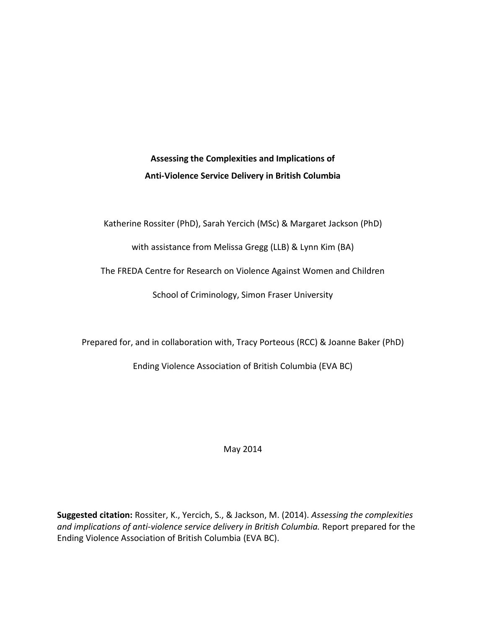Assessing the Complexities and Implications of Anti-Violence Service Delivery in British Columbia

Katherine Rossiter (PhD), Sarah Yercich (MSc) & Margaret Jackson (PhD)

with assistance from Melissa Gregg (LLB) & Lynn Kim (BA)

The FREDA Centre for Research on Violence Against Women and Children

School of Criminology, Simon Fraser University

Prepared for, and in collaboration with, Tracy Porteous (RCC) & Joanne Baker (PhD)

Ending Violence Association of British Columbia (EVA BC)

May 2014

**Suggested citation:** Rossiter, K., Yercich, S., & Jackson, M. (2014). Assessing the complexities and implications of anti-violence service delivery in British Columbia. Report prepared for the Ending Violence Association of British Columbia (EVA BC).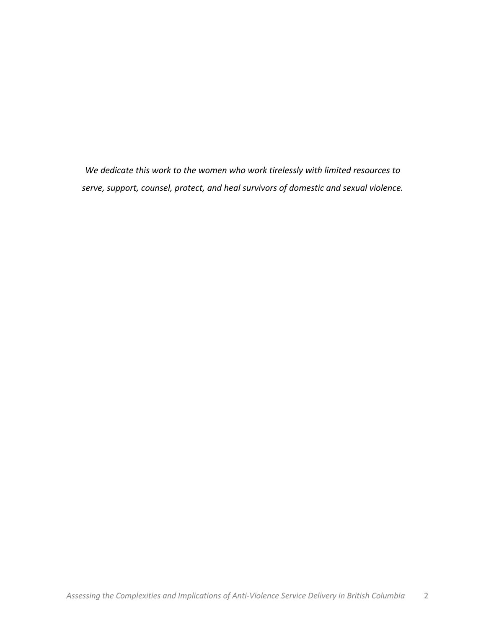*We'dedicate'this'work'to'the'women'who work'tirelessly'with'limited'resources'to* serve, support, counsel, protect, and heal survivors of domestic and sexual violence.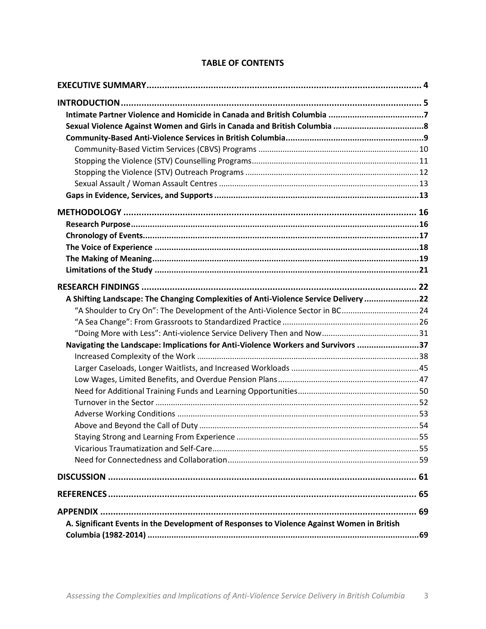| A Shifting Landscape: The Changing Complexities of Anti-Violence Service Delivery 22       |  |
|--------------------------------------------------------------------------------------------|--|
| 42. "A Shoulder to Cry On": The Development of the Anti-Violence Sector in BC24            |  |
|                                                                                            |  |
|                                                                                            |  |
| Navigating the Landscape: Implications for Anti-Violence Workers and Survivors 37          |  |
|                                                                                            |  |
|                                                                                            |  |
|                                                                                            |  |
|                                                                                            |  |
|                                                                                            |  |
|                                                                                            |  |
|                                                                                            |  |
|                                                                                            |  |
|                                                                                            |  |
|                                                                                            |  |
|                                                                                            |  |
|                                                                                            |  |
|                                                                                            |  |
| A. Significant Events in the Development of Responses to Violence Against Women in British |  |
|                                                                                            |  |

## **TABLE OF CONTENTS**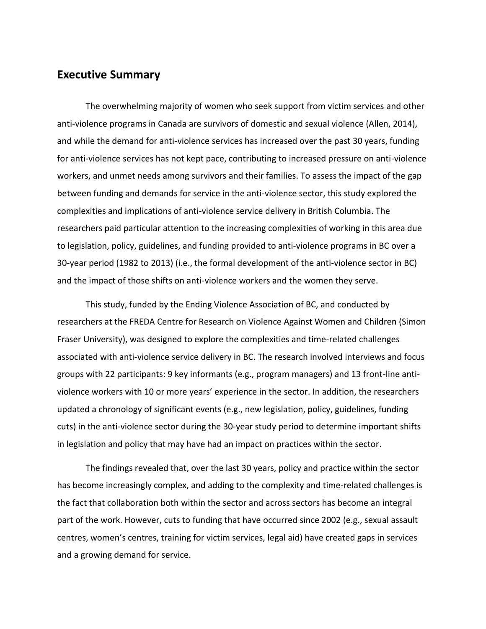### **Executive Summary**

The overwhelming majority of women who seek support from victim services and other anti-violence programs in Canada are survivors of domestic and sexual violence (Allen, 2014), and while the demand for anti-violence services has increased over the past 30 years, funding for anti-violence services has not kept pace, contributing to increased pressure on anti-violence workers, and unmet needs among survivors and their families. To assess the impact of the gap between funding and demands for service in the anti-violence sector, this study explored the complexities and implications of anti-violence service delivery in British Columbia. The researchers paid particular attention to the increasing complexities of working in this area due to legislation, policy, guidelines, and funding provided to anti-violence programs in BC over a 30-year period (1982 to 2013) (i.e., the formal development of the anti-violence sector in BC) and the impact of those shifts on anti-violence workers and the women they serve.

This study, funded by the Ending Violence Association of BC, and conducted by researchers at the FREDA Centre for Research on Violence Against Women and Children (Simon Fraser University), was designed to explore the complexities and time-related challenges associated with anti-violence service delivery in BC. The research involved interviews and focus groups with 22 participants: 9 key informants (e.g., program managers) and 13 front-line antiviolence workers with 10 or more years' experience in the sector. In addition, the researchers updated a chronology of significant events (e.g., new legislation, policy, guidelines, funding cuts) in the anti-violence sector during the 30-year study period to determine important shifts in legislation and policy that may have had an impact on practices within the sector.

The findings revealed that, over the last 30 years, policy and practice within the sector has become increasingly complex, and adding to the complexity and time-related challenges is the fact that collaboration both within the sector and across sectors has become an integral part of the work. However, cuts to funding that have occurred since 2002 (e.g., sexual assault centres, women's centres, training for victim services, legal aid) have created gaps in services and a growing demand for service.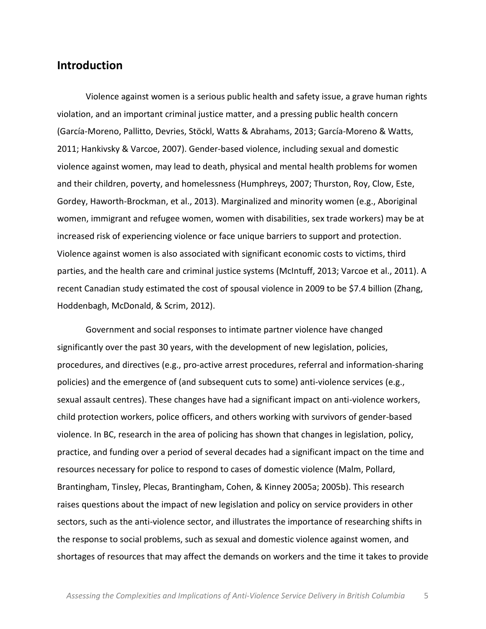# **Introduction**

Violence against women is a serious public health and safety issue, a grave human rights violation, and an important criminal justice matter, and a pressing public health concern (García-Moreno, Pallitto, Devries, Stöckl, Watts & Abrahams, 2013; García-Moreno & Watts, 2011; Hankivsky & Varcoe, 2007). Gender-based violence, including sexual and domestic violence against women, may lead to death, physical and mental health problems for women and their children, poverty, and homelessness (Humphreys, 2007; Thurston, Roy, Clow, Este, Gordey, Haworth-Brockman, et al., 2013). Marginalized and minority women (e.g., Aboriginal women, immigrant and refugee women, women with disabilities, sex trade workers) may be at increased risk of experiencing violence or face unique barriers to support and protection. Violence against women is also associated with significant economic costs to victims, third parties, and the health care and criminal justice systems (McIntuff, 2013; Varcoe et al., 2011). A recent Canadian study estimated the cost of spousal violence in 2009 to be \$7.4 billion (Zhang, Hoddenbagh, McDonald, & Scrim, 2012).

Government and social responses to intimate partner violence have changed significantly over the past 30 years, with the development of new legislation, policies, procedures, and directives (e.g., pro-active arrest procedures, referral and information-sharing policies) and the emergence of (and subsequent cuts to some) anti-violence services (e.g., sexual assault centres). These changes have had a significant impact on anti-violence workers, child protection workers, police officers, and others working with survivors of gender-based violence. In BC, research in the area of policing has shown that changes in legislation, policy, practice, and funding over a period of several decades had a significant impact on the time and resources necessary for police to respond to cases of domestic violence (Malm, Pollard, Brantingham, Tinsley, Plecas, Brantingham, Cohen, & Kinney 2005a; 2005b). This research raises questions about the impact of new legislation and policy on service providers in other sectors, such as the anti-violence sector, and illustrates the importance of researching shifts in the response to social problems, such as sexual and domestic violence against women, and shortages of resources that may affect the demands on workers and the time it takes to provide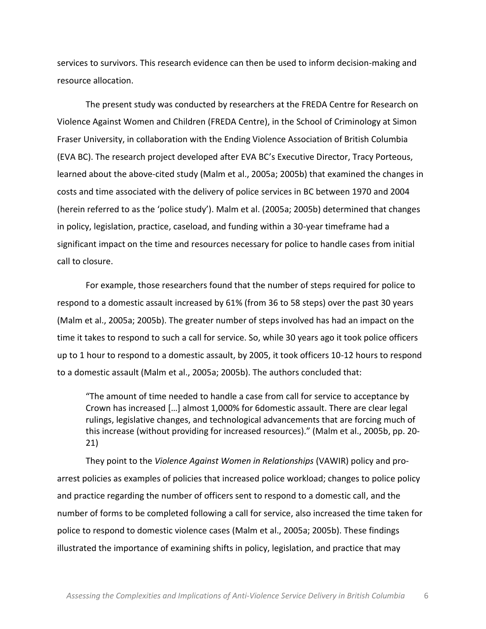services to survivors. This research evidence can then be used to inform decision-making and resource!allocation.

The present study was conducted by researchers at the FREDA Centre for Research on Violence Against Women and Children (FREDA Centre), in the School of Criminology at Simon Fraser University, in collaboration with the Ending Violence Association of British Columbia (EVA BC). The research project developed after EVA BC's Executive Director, Tracy Porteous, learned about the above-cited study (Malm et al., 2005a; 2005b) that examined the changes in costs and time associated with the delivery of police services in BC between 1970 and 2004 (herein referred to as the 'police study'). Malm et al. (2005a; 2005b) determined that changes in policy, legislation, practice, caseload, and funding within a 30-year timeframe had a significant impact on the time and resources necessary for police to handle cases from initial call to closure.

For example, those researchers found that the number of steps required for police to respond to a domestic assault increased by 61% (from 36 to 58 steps) over the past 30 years (Malm et al., 2005a; 2005b). The greater number of steps involved has had an impact on the time it takes to respond to such a call for service. So, while 30 years ago it took police officers up to 1 hour to respond to a domestic assault, by 2005, it took officers 10-12 hours to respond to a domestic assault (Malm et al., 2005a; 2005b). The authors concluded that:

"The amount of time needed to handle a case from call for service to acceptance by Crown has increased [...] almost 1,000% for 6domestic assault. There are clear legal rulings, legislative changes, and technological advancements that are forcing much of this increase (without providing for increased resources)." (Malm et al., 2005b, pp. 20-21)

They point to the *Violence Against Women in Relationships* (VAWIR) policy and proarrest policies as examples of policies that increased police workload; changes to police policy and practice regarding the number of officers sent to respond to a domestic call, and the number of forms to be completed following a call for service, also increased the time taken for police to respond to domestic violence cases (Malm et al., 2005a; 2005b). These findings illustrated the importance of examining shifts in policy, legislation, and practice that may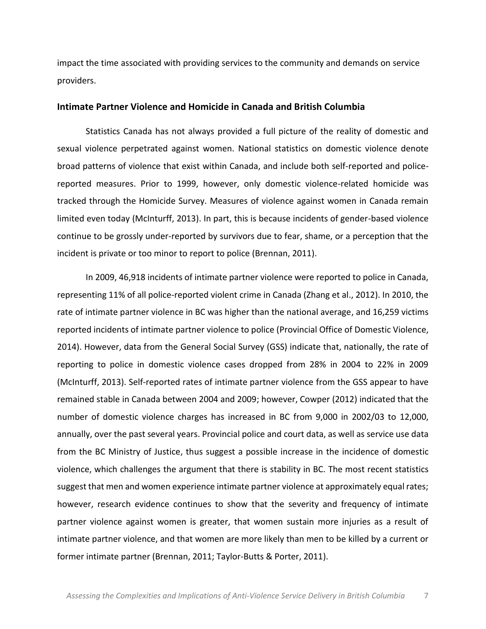impact the time associated with providing services to the community and demands on service providers.

#### **Intimate'Partner'Violence and'Homicide'in'Canada'and'British'Columbia**

Statistics Canada has not always provided a full picture of the reality of domestic and sexual violence perpetrated against women. National statistics on domestic violence denote broad patterns of violence that exist within Canada, and include both self-reported and policereported measures. Prior to 1999, however, only domestic violence-related homicide was tracked through the Homicide Survey. Measures of violence against women in Canada remain limited even today (McInturff, 2013). In part, this is because incidents of gender-based violence continue to be grossly under-reported by survivors due to fear, shame, or a perception that the incident is private or too minor to report to police (Brennan, 2011).

In 2009, 46,918 incidents of intimate partner violence were reported to police in Canada, representing 11% of all police-reported violent crime in Canada (Zhang et al., 2012). In 2010, the rate of intimate partner violence in BC was higher than the national average, and 16,259 victims reported incidents of intimate partner violence to police (Provincial Office of Domestic Violence, 2014). However, data from the General Social Survey (GSS) indicate that, nationally, the rate of reporting to police in domestic violence cases dropped from 28% in 2004 to 22% in 2009 (McInturff, 2013). Self-reported rates of intimate partner violence from the GSS appear to have remained stable in Canada between 2004 and 2009; however, Cowper (2012) indicated that the number of domestic violence charges has increased in BC from 9,000 in 2002/03 to 12,000, annually, over the past several years. Provincial police and court data, as well as service use data from the BC Ministry of Justice, thus suggest a possible increase in the incidence of domestic violence, which challenges the argument that there is stability in BC. The most recent statistics suggest that men and women experience intimate partner violence at approximately equal rates; however, research evidence continues to show that the severity and frequency of intimate partner violence against women is greater, that women sustain more injuries as a result of intimate partner violence, and that women are more likely than men to be killed by a current or former intimate partner (Brennan, 2011; Taylor-Butts & Porter, 2011).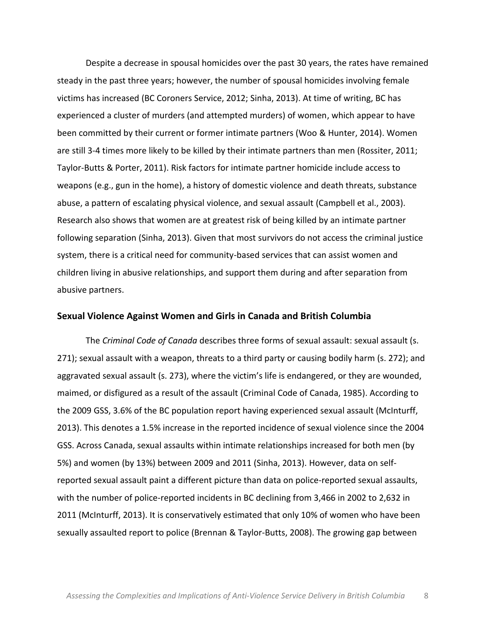Despite a decrease in spousal homicides over the past 30 years, the rates have remained steady in the past three years; however, the number of spousal homicides involving female victims has increased (BC Coroners Service, 2012; Sinha, 2013). At time of writing, BC has experienced a cluster of murders (and attempted murders) of women, which appear to have been committed by their current or former intimate partners (Woo & Hunter, 2014). Women are still 3-4 times more likely to be killed by their intimate partners than men (Rossiter, 2011; Taylor-Butts & Porter, 2011). Risk factors for intimate partner homicide include access to weapons (e.g., gun in the home), a history of domestic violence and death threats, substance abuse, a pattern of escalating physical violence, and sexual assault (Campbell et al., 2003). Research also shows that women are at greatest risk of being killed by an intimate partner following separation (Sinha, 2013). Given that most survivors do not access the criminal justice system, there is a critical need for community-based services that can assist women and children living in abusive relationships, and support them during and after separation from abusive partners.

#### **Sexual'Violence'Against'Women'and'Girls'in'Canada'and'British'Columbia**

The *Criminal Code of Canada* describes three forms of sexual assault: sexual assault (s. 271); sexual assault with a weapon, threats to a third party or causing bodily harm (s. 272); and aggravated sexual assault (s. 273), where the victim's life is endangered, or they are wounded, maimed, or disfigured as a result of the assault (Criminal Code of Canada, 1985). According to the 2009 GSS, 3.6% of the BC population report having experienced sexual assault (McInturff, 2013). This denotes a 1.5% increase in the reported incidence of sexual violence since the 2004 GSS. Across Canada, sexual assaults within intimate relationships increased for both men (by 5%) and women (by 13%) between 2009 and 2011 (Sinha, 2013). However, data on selfreported sexual assault paint a different picture than data on police-reported sexual assaults, with the number of police-reported incidents in BC declining from 3,466 in 2002 to 2,632 in 2011 (McInturff, 2013). It is conservatively estimated that only 10% of women who have been sexually assaulted report to police (Brennan & Taylor-Butts, 2008). The growing gap between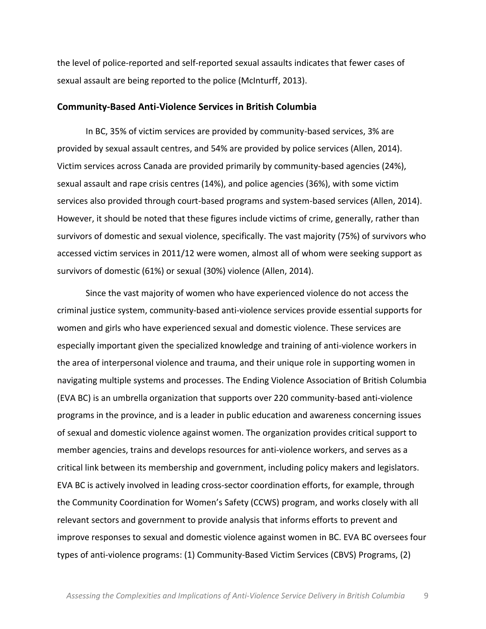the level of police-reported and self-reported sexual assaults indicates that fewer cases of sexual assault are being reported to the police (McInturff, 2013).

#### **Community-Based Anti-Violence Services in British Columbia**

In BC, 35% of victim services are provided by community-based services, 3% are provided by sexual assault centres, and 54% are provided by police services (Allen, 2014). Victim services across Canada are provided primarily by community-based agencies (24%), sexual assault and rape crisis centres (14%), and police agencies (36%), with some victim services also provided through court-based programs and system-based services (Allen, 2014). However, it should be noted that these figures include victims of crime, generally, rather than survivors of domestic and sexual violence, specifically. The vast majority (75%) of survivors who accessed victim services in 2011/12 were women, almost all of whom were seeking support as survivors of domestic (61%) or sexual (30%) violence (Allen, 2014).

Since the vast majority of women who have experienced violence do not access the criminal justice system, community-based anti-violence services provide essential supports for women and girls who have experienced sexual and domestic violence. These services are especially important given the specialized knowledge and training of anti-violence workers in the area of interpersonal violence and trauma, and their unique role in supporting women in navigating multiple systems and processes. The Ending Violence Association of British Columbia (EVA BC) is an umbrella organization that supports over 220 community-based anti-violence programs in the province, and is a leader in public education and awareness concerning issues of sexual and domestic violence against women. The organization provides critical support to member agencies, trains and develops resources for anti-violence workers, and serves as a critical link between its membership and government, including policy makers and legislators. EVA BC is actively involved in leading cross-sector coordination efforts, for example, through the Community Coordination for Women's Safety (CCWS) program, and works closely with all relevant sectors and government to provide analysis that informs efforts to prevent and improve responses to sexual and domestic violence against women in BC. EVA BC oversees four types of anti-violence programs: (1) Community-Based Victim Services (CBVS) Programs, (2)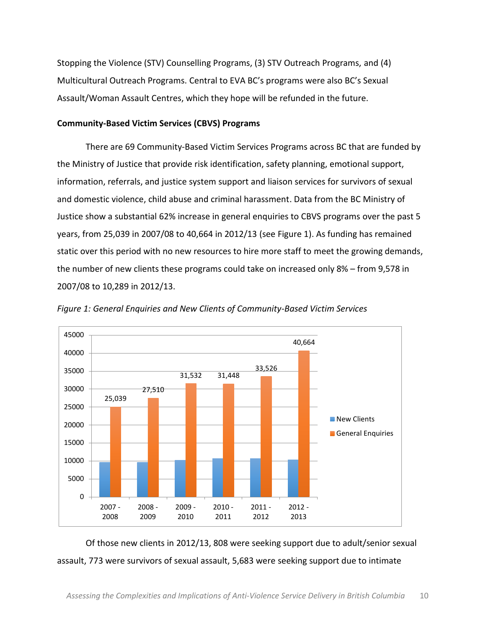Stopping the Violence (STV) Counselling Programs, (3) STV Outreach Programs, and (4) Multicultural Outreach Programs. Central to EVA BC's programs were also BC's Sexual Assault/Woman Assault Centres, which they hope will be refunded in the future.

#### **Community-Based Victim Services (CBVS) Programs**

There are 69 Community-Based Victim Services Programs across BC that are funded by the Ministry of Justice that provide risk identification, safety planning, emotional support, information, referrals, and justice system support and liaison services for survivors of sexual and domestic violence, child abuse and criminal harassment. Data from the BC Ministry of Justice show a substantial 62% increase in general enquiries to CBVS programs over the past 5 years, from 25,039 in 2007/08 to 40,664 in 2012/13 (see Figure 1). As funding has remained static over this period with no new resources to hire more staff to meet the growing demands, the number of new clients these programs could take on increased only 8% – from 9,578 in 2007/08 to 10,289 in 2012/13.



Figure 1: General Enquiries and New Clients of Community-Based Victim Services

Of those new clients in 2012/13, 808 were seeking support due to adult/senior sexual assault, 773 were survivors of sexual assault, 5,683 were seeking support due to intimate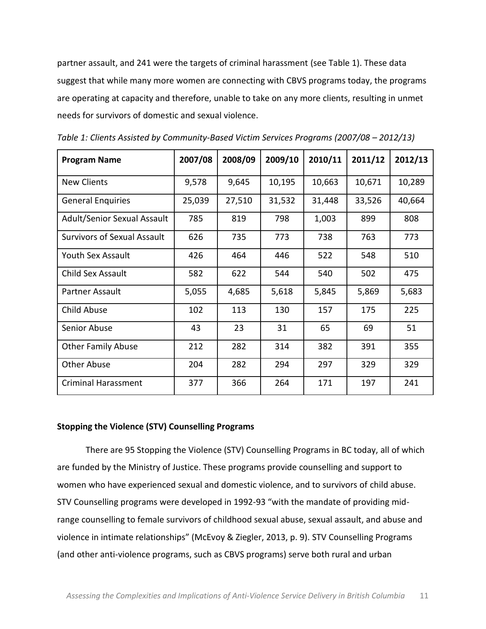partner assault, and 241 were the targets of criminal harassment (see Table 1). These data suggest that while many more women are connecting with CBVS programs today, the programs are operating at capacity and therefore, unable to take on any more clients, resulting in unmet needs for survivors of domestic and sexual violence.

| <b>Program Name</b>                | 2007/08 | 2008/09 | 2009/10 | 2010/11 | 2011/12 | 2012/13 |
|------------------------------------|---------|---------|---------|---------|---------|---------|
| <b>New Clients</b>                 | 9,578   | 9,645   | 10,195  | 10,663  | 10,671  | 10,289  |
| <b>General Enquiries</b>           | 25,039  | 27,510  | 31,532  | 31,448  | 33,526  | 40,664  |
| <b>Adult/Senior Sexual Assault</b> | 785     | 819     | 798     | 1,003   | 899     | 808     |
| <b>Survivors of Sexual Assault</b> | 626     | 735     | 773     | 738     | 763     | 773     |
| Youth Sex Assault                  | 426     | 464     | 446     | 522     | 548     | 510     |
| Child Sex Assault                  | 582     | 622     | 544     | 540     | 502     | 475     |
| Partner Assault                    | 5,055   | 4,685   | 5,618   | 5,845   | 5,869   | 5,683   |
| <b>Child Abuse</b>                 | 102     | 113     | 130     | 157     | 175     | 225     |
| Senior Abuse                       | 43      | 23      | 31      | 65      | 69      | 51      |
| <b>Other Family Abuse</b>          | 212     | 282     | 314     | 382     | 391     | 355     |
| Other Abuse                        | 204     | 282     | 294     | 297     | 329     | 329     |
| <b>Criminal Harassment</b>         | 377     | 366     | 264     | 171     | 197     | 241     |

Table 1: Clients Assisted by Community-Based Victim Services Programs (2007/08 - 2012/13)

#### Stopping the Violence (STV) Counselling Programs

There are 95 Stopping the Violence (STV) Counselling Programs in BC today, all of which are funded by the Ministry of Justice. These programs provide counselling and support to women who have experienced sexual and domestic violence, and to survivors of child abuse. STV Counselling programs were developed in 1992-93 "with the mandate of providing midrange counselling to female survivors of childhood sexual abuse, sexual assault, and abuse and violence in intimate relationships" (McEvoy & Ziegler, 2013, p. 9). STV Counselling Programs (and other anti-violence programs, such as CBVS programs) serve both rural and urban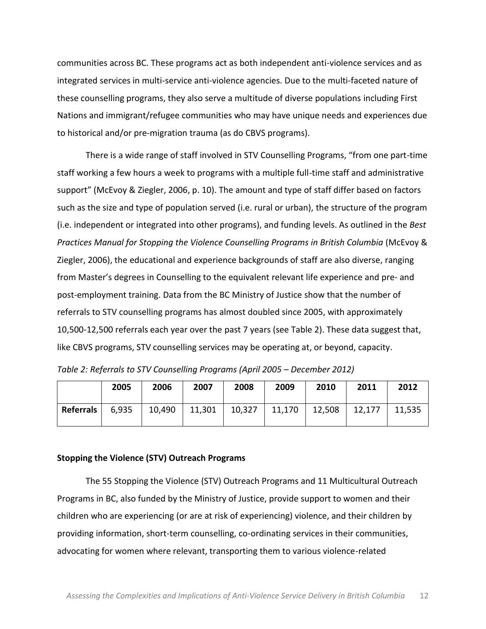communities across BC. These programs act as both independent anti-violence services and as integrated services in multi-service anti-violence agencies. Due to the multi-faceted nature of these counselling programs, they also serve a multitude of diverse populations including First Nations and immigrant/refugee communities who may have unique needs and experiences due to historical and/or pre-migration trauma (as do CBVS programs).

There is a wide range of staff involved in STV Counselling Programs, "from one part-time staff working a few hours a week to programs with a multiple full-time staff and administrative support" (McEvoy & Ziegler, 2006, p. 10). The amount and type of staff differ based on factors such as the size and type of population served (i.e. rural or urban), the structure of the program (i.e. independent or integrated into other programs), and funding levels. As outlined in the *Best Practices'Manual'for'Stopping'the'Violence'Counselling'Programs'in'British'Columbia* (McEvoy!&! Ziegler, 2006), the educational and experience backgrounds of staff are also diverse, ranging from Master's degrees in Counselling to the equivalent relevant life experience and pre- and post-employment training. Data from the BC Ministry of Justice show that the number of referrals to STV counselling programs has almost doubled since 2005, with approximately 10,500-12,500 referrals each year over the past 7 years (see Table 2). These data suggest that, like CBVS programs, STV counselling services may be operating at, or beyond, capacity.

*Table'2:'Referrals'to'STV'Counselling'Programs'(April'2005'ʹ December'2012)*

|           | 2005  | 2006   | 2007   | 2008   | 2009   | 2010   | 2011   | 2012   |
|-----------|-------|--------|--------|--------|--------|--------|--------|--------|
| Referrals | 6,935 | 10,490 | 11,301 | 10,327 | 11,170 | 12,508 | 12,177 | 11,535 |

### Stopping the Violence (STV) Outreach Programs

The 55 Stopping the Violence (STV) Outreach Programs and 11 Multicultural Outreach Programs in BC, also funded by the Ministry of Justice, provide support to women and their children who are experiencing (or are at risk of experiencing) violence, and their children by providing information, short-term counselling, co-ordinating services in their communities, advocating for women where relevant, transporting them to various violence-related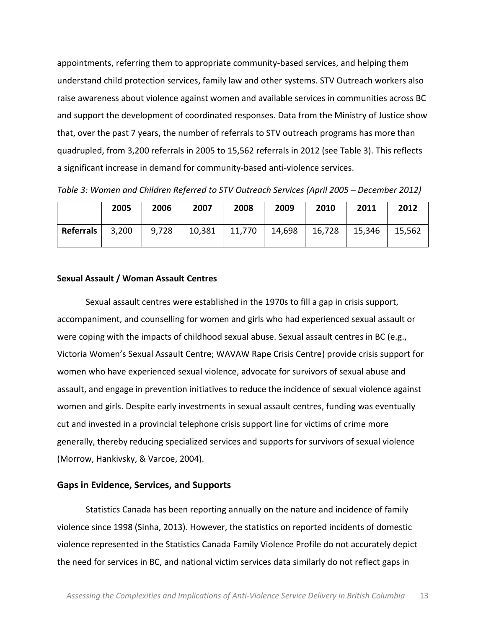appointments, referring them to appropriate community-based services, and helping them understand child protection services, family law and other systems. STV Outreach workers also raise awareness about violence against women and available services in communities across BC and support the development of coordinated responses. Data from the Ministry of Justice show that, over the past 7 years, the number of referrals to STV outreach programs has more than quadrupled, from 3,200 referrals in 2005 to 15,562 referrals in 2012 (see Table 3). This reflects a significant increase in demand for community-based anti-violence services.

|                  | 2005  | 2006  | 2007   | 2008   | 2009           | 2010   | 2011   | 2012   |
|------------------|-------|-------|--------|--------|----------------|--------|--------|--------|
| <b>Referrals</b> | 3,200 | 9,728 | 10,381 | 11,770 | $\vert$ 14,698 | 16,728 | 15,346 | 15,562 |

*Table'3:'Women'and'Children'Referred to'STV'Outreach'Services'(April'2005'ʹ December'2012)*

#### **Sexual'Assault / Woman'Assault'Centres**

Sexual assault centres were established in the 1970s to fill a gap in crisis support, accompaniment, and counselling for women and girls who had experienced sexual assault or were coping with the impacts of childhood sexual abuse. Sexual assault centres in BC (e.g., Victoria Women's Sexual Assault Centre; WAVAW Rape Crisis Centre) provide crisis support for women who have experienced sexual violence, advocate for survivors of sexual abuse and assault, and engage in prevention initiatives to reduce the incidence of sexual violence against women and girls. Despite early investments in sexual assault centres, funding was eventually cut and invested in a provincial telephone crisis support line for victims of crime more generally, thereby reducing specialized services and supports for survivors of sexual violence (Morrow, Hankivsky, & Varcoe, 2004).

#### Gaps in Evidence, Services, and Supports

Statistics Canada has been reporting annually on the nature and incidence of family violence since 1998 (Sinha, 2013). However, the statistics on reported incidents of domestic violence represented in the Statistics Canada Family Violence Profile do not accurately depict the need for services in BC, and national victim services data similarly do not reflect gaps in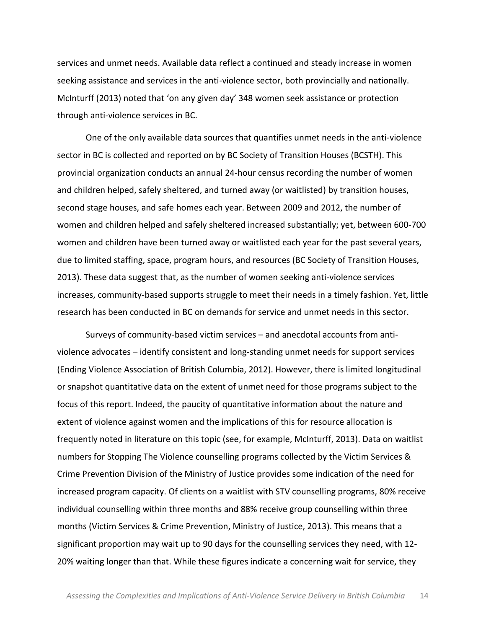services and unmet needs. Available data reflect a continued and steady increase in women seeking assistance and services in the anti-violence sector, both provincially and nationally. McInturff (2013) noted that 'on any given day' 348 women seek assistance or protection through anti-violence services in BC.

One of the only available data sources that quantifies unmet needs in the anti-violence sector in BC is collected and reported on by BC Society of Transition Houses (BCSTH). This provincial organization conducts an annual 24-hour census recording the number of women and children helped, safely sheltered, and turned away (or waitlisted) by transition houses, second stage houses, and safe homes each year. Between 2009 and 2012, the number of women and children helped and safely sheltered increased substantially; yet, between 600-700 women and children have been turned away or waitlisted each year for the past several years, due to limited staffing, space, program hours, and resources (BC Society of Transition Houses, 2013). These data suggest that, as the number of women seeking anti-violence services increases, community-based supports struggle to meet their needs in a timely fashion. Yet, little research has been conducted in BC on demands for service and unmet needs in this sector.

Surveys of community-based victim services – and anecdotal accounts from antiviolence advocates – identify consistent and long-standing unmet needs for support services (Ending Violence Association of British Columbia, 2012). However, there is limited longitudinal or snapshot quantitative data on the extent of unmet need for those programs subject to the focus of this report. Indeed, the paucity of quantitative information about the nature and extent of violence against women and the implications of this for resource allocation is frequently noted in literature on this topic (see, for example, McInturff, 2013). Data on waitlist numbers for Stopping The Violence counselling programs collected by the Victim Services & Crime Prevention Division of the Ministry of Justice provides some indication of the need for increased program capacity. Of clients on a waitlist with STV counselling programs, 80% receive individual counselling within three months and 88% receive group counselling within three months (Victim Services & Crime Prevention, Ministry of Justice, 2013). This means that a significant proportion may wait up to 90 days for the counselling services they need, with 12-20% waiting longer than that. While these figures indicate a concerning wait for service, they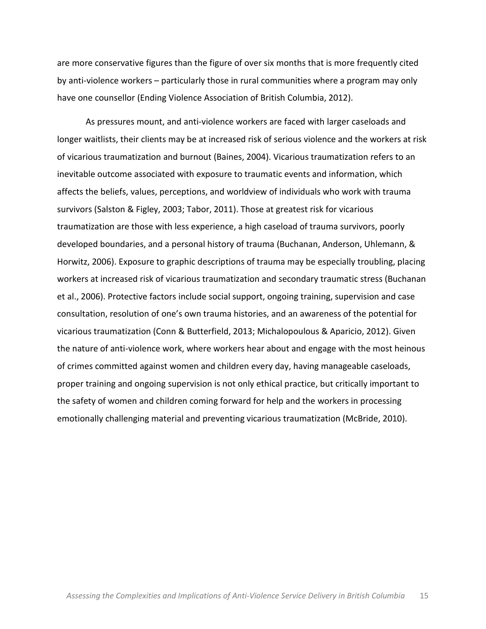are more conservative figures than the figure of over six months that is more frequently cited by anti-violence workers – particularly those in rural communities where a program may only have one counsellor (Ending Violence Association of British Columbia, 2012).

As pressures mount, and anti-violence workers are faced with larger caseloads and longer waitlists, their clients may be at increased risk of serious violence and the workers at risk of vicarious traumatization and burnout (Baines, 2004). Vicarious traumatization refers to an inevitable outcome associated with exposure to traumatic events and information, which affects the beliefs, values, perceptions, and worldview of individuals who work with trauma survivors (Salston & Figley, 2003; Tabor, 2011). Those at greatest risk for vicarious traumatization are those with less experience, a high caseload of trauma survivors, poorly developed boundaries, and a personal history of trauma (Buchanan, Anderson, Uhlemann, & Horwitz, 2006). Exposure to graphic descriptions of trauma may be especially troubling, placing workers at increased risk of vicarious traumatization and secondary traumatic stress (Buchanan et al., 2006). Protective factors include social support, ongoing training, supervision and case consultation, resolution of one's own trauma histories, and an awareness of the potential for vicarious traumatization (Conn & Butterfield, 2013; Michalopoulous & Aparicio, 2012). Given the nature of anti-violence work, where workers hear about and engage with the most heinous of crimes committed against women and children every day, having manageable caseloads, proper training and ongoing supervision is not only ethical practice, but critically important to the safety of women and children coming forward for help and the workers in processing emotionally challenging material and preventing vicarious traumatization (McBride, 2010).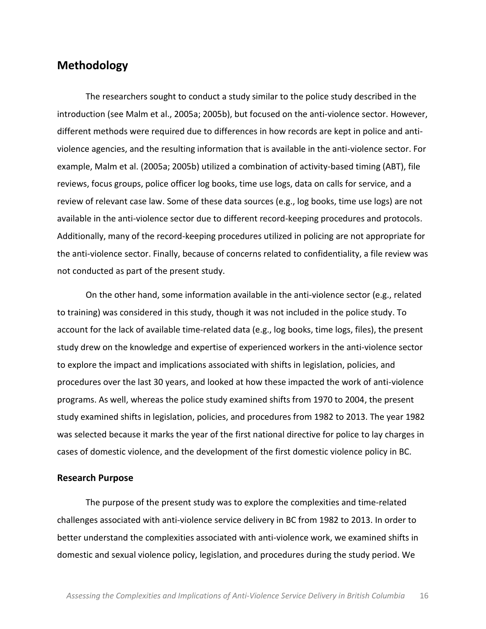## **Methodology**

The researchers sought to conduct a study similar to the police study described in the introduction (see Malm et al., 2005a; 2005b), but focused on the anti-violence sector. However, different methods were required due to differences in how records are kept in police and antiviolence agencies, and the resulting information that is available in the anti-violence sector. For example, Malm et al. (2005a; 2005b) utilized a combination of activity-based timing (ABT), file reviews, focus groups, police officer log books, time use logs, data on calls for service, and a review of relevant case law. Some of these data sources (e.g., log books, time use logs) are not available in the anti-violence sector due to different record-keeping procedures and protocols. Additionally, many of the record-keeping procedures utilized in policing are not appropriate for the anti-violence sector. Finally, because of concerns related to confidentiality, a file review was not conducted as part of the present study.

On the other hand, some information available in the anti-violence sector (e.g., related to training) was considered in this study, though it was not included in the police study. To account for the lack of available time-related data (e.g., log books, time logs, files), the present study drew on the knowledge and expertise of experienced workers in the anti-violence sector to explore the impact and implications associated with shifts in legislation, policies, and procedures over the last 30 years, and looked at how these impacted the work of anti-violence programs. As well, whereas the police study examined shifts from 1970 to 2004, the present study examined shifts in legislation, policies, and procedures from 1982 to 2013. The year 1982 was selected because it marks the year of the first national directive for police to lay charges in cases of domestic violence, and the development of the first domestic violence policy in BC.

#### **Research'Purpose**

The purpose of the present study was to explore the complexities and time-related challenges associated with anti-violence service delivery in BC from 1982 to 2013. In order to better understand the complexities associated with anti-violence work, we examined shifts in domestic and sexual violence policy, legislation, and procedures during the study period. We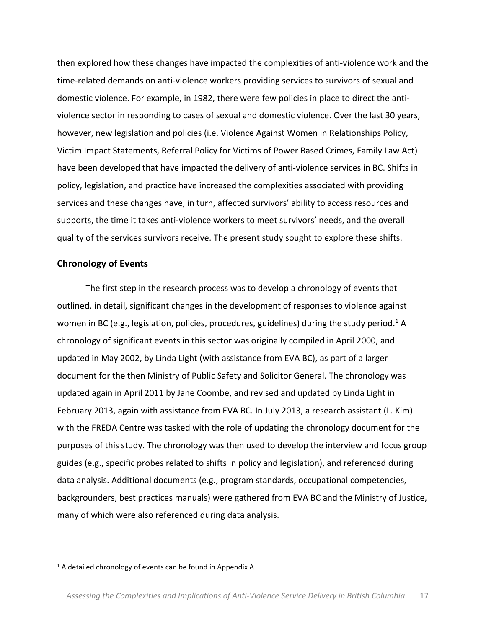then explored how these changes have impacted the complexities of anti-violence work and the time-related demands on anti-violence workers providing services to survivors of sexual and domestic violence. For example, in 1982, there were few policies in place to direct the antiviolence sector in responding to cases of sexual and domestic violence. Over the last 30 years, however, new legislation and policies (i.e. Violence Against Women in Relationships Policy, Victim Impact Statements, Referral Policy for Victims of Power Based Crimes, Family Law Act) have been developed that have impacted the delivery of anti-violence services in BC. Shifts in policy, legislation, and practice have increased the complexities associated with providing services and these changes have, in turn, affected survivors' ability to access resources and supports, the time it takes anti-violence workers to meet survivors' needs, and the overall quality of the services survivors receive. The present study sought to explore these shifts.

#### **Chronology of Events**

The first step in the research process was to develop a chronology of events that outlined, in detail, significant changes in the development of responses to violence against women in BC (e.g., legislation, policies, procedures, guidelines) during the study period.<sup>1</sup> A chronology of significant events in this sector was originally compiled in April 2000, and updated in May 2002, by Linda Light (with assistance from EVA BC), as part of a larger document for the then Ministry of Public Safety and Solicitor General. The chronology was updated again in April 2011 by Jane Coombe, and revised and updated by Linda Light in February 2013, again with assistance from EVA BC. In July 2013, a research assistant (L. Kim) with the FREDA Centre was tasked with the role of updating the chronology document for the purposes of this study. The chronology was then used to develop the interview and focus group guides (e.g., specific probes related to shifts in policy and legislation), and referenced during data analysis. Additional documents (e.g., program standards, occupational competencies, backgrounders, best practices manuals) were gathered from EVA BC and the Ministry of Justice, many of which were also referenced during data analysis.

!!!!!!!!!!!!!!!!!!!!!!!!!!!!!!!!!!!!!!!!!!!!!!!!!!!!!!!!!!

 $1$  A detailed chronology of events can be found in Appendix A.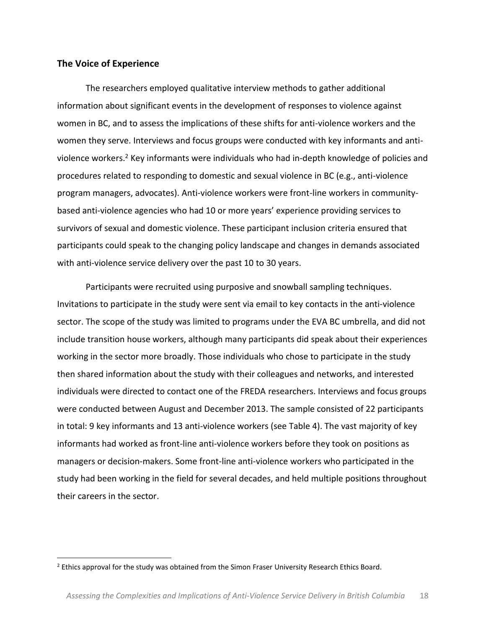### **The Voice of Experience**

The researchers employed qualitative interview methods to gather additional information about significant events in the development of responses to violence against women in BC, and to assess the implications of these shifts for anti-violence workers and the women they serve. Interviews and focus groups were conducted with key informants and antiviolence workers.<sup>2</sup> Key informants were individuals who had in-depth knowledge of policies and procedures related to responding to domestic and sexual violence in BC (e.g., anti-violence program managers, advocates). Anti-violence workers were front-line workers in communitybased anti-violence agencies who had 10 or more years' experience providing services to survivors of sexual and domestic violence. These participant inclusion criteria ensured that participants could speak to the changing policy landscape and changes in demands associated with anti-violence service delivery over the past 10 to 30 years.

Participants were recruited using purposive and snowball sampling techniques. Invitations to participate in the study were sent via email to key contacts in the anti-violence sector. The scope of the study was limited to programs under the EVA BC umbrella, and did not include transition house workers, although many participants did speak about their experiences working in the sector more broadly. Those individuals who chose to participate in the study then shared information about the study with their colleagues and networks, and interested individuals were directed to contact one of the FREDA researchers. Interviews and focus groups were conducted between August and December 2013. The sample consisted of 22 participants in total: 9 key informants and 13 anti-violence workers (see Table 4). The vast majority of key informants had worked as front-line anti-violence workers before they took on positions as managers or decision-makers. Some front-line anti-violence workers who participated in the study had been working in the field for several decades, and held multiple positions throughout their careers in the sector.

!!!!!!!!!!!!!!!!!!!!!!!!!!!!!!!!!!!!!!!!!!!!!!!!!!!!!!!!!!

<sup>&</sup>lt;sup>2</sup> Ethics approval for the study was obtained from the Simon Fraser University Research Ethics Board.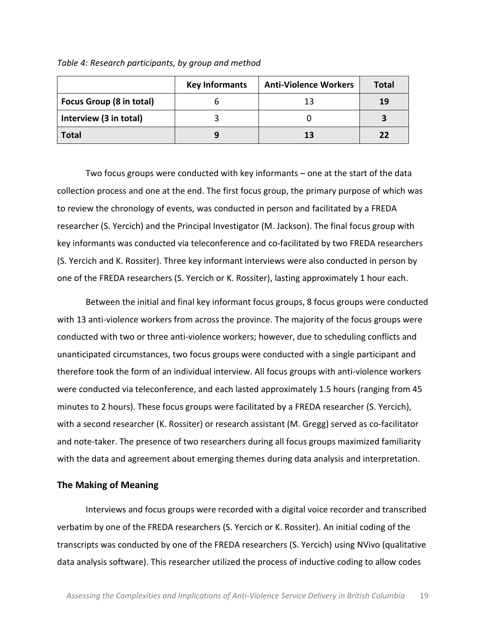Table 4: Research participants, by group and method

|                                 | <b>Key Informants</b> | <b>Anti-Violence Workers</b> | Total |
|---------------------------------|-----------------------|------------------------------|-------|
| <b>Focus Group (8 in total)</b> |                       | 13                           | 19    |
| Interview (3 in total)          |                       |                              |       |
| <b>Total</b>                    |                       | 13                           | 22    |

Two focus groups were conducted with key informants – one at the start of the data collection process and one at the end. The first focus group, the primary purpose of which was to review the chronology of events, was conducted in person and facilitated by a FREDA researcher (S. Yercich) and the Principal Investigator (M. Jackson). The final focus group with key informants was conducted via teleconference and co-facilitated by two FREDA researchers (S. Yercich and K. Rossiter). Three key informant interviews were also conducted in person by one of the FREDA researchers (S. Yercich or K. Rossiter), lasting approximately 1 hour each.

Between the initial and final key informant focus groups, 8 focus groups were conducted with 13 anti-violence workers from across the province. The majority of the focus groups were conducted with two or three anti-violence workers; however, due to scheduling conflicts and unanticipated circumstances, two focus groups were conducted with a single participant and therefore took the form of an individual interview. All focus groups with anti-violence workers were conducted via teleconference, and each lasted approximately 1.5 hours (ranging from 45 minutes to 2 hours). These focus groups were facilitated by a FREDA researcher (S. Yercich), with a second researcher (K. Rossiter) or research assistant (M. Gregg) served as co-facilitator and note-taker. The presence of two researchers during all focus groups maximized familiarity with the data and agreement about emerging themes during data analysis and interpretation.

#### **The'Making'of'Meaning**

Interviews and focus groups were recorded with a digital voice recorder and transcribed verbatim by one of the FREDA researchers (S. Yercich or K. Rossiter). An initial coding of the transcripts was conducted by one of the FREDA researchers (S. Yercich) using NVivo (qualitative data analysis software). This researcher utilized the process of inductive coding to allow codes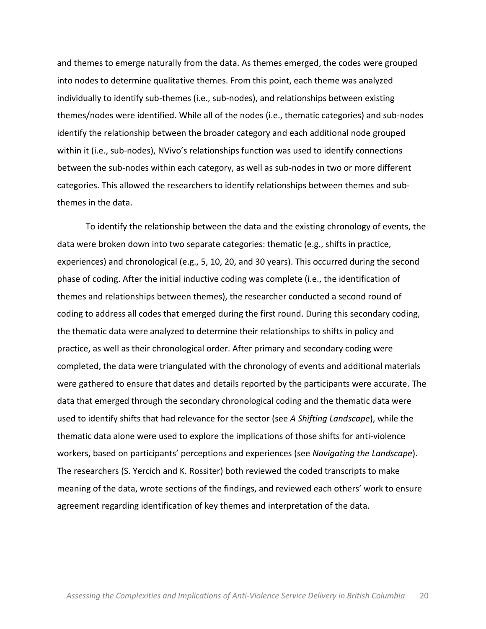and themes to emerge naturally from the data. As themes emerged, the codes were grouped into nodes to determine qualitative themes. From this point, each theme was analyzed individually to identify sub-themes (i.e., sub-nodes), and relationships between existing themes/nodes were identified. While all of the nodes (i.e., thematic categories) and sub-nodes identify the relationship between the broader category and each additional node grouped within it (i.e., sub-nodes), NVivo's relationships function was used to identify connections between the sub-nodes within each category, as well as sub-nodes in two or more different categories. This allowed the researchers to identify relationships between themes and subthemes in the data.

To identify the relationship between the data and the existing chronology of events, the data were broken down into two separate categories: thematic (e.g., shifts in practice, experiences) and chronological (e.g., 5, 10, 20, and 30 years). This occurred during the second phase of coding. After the initial inductive coding was complete (i.e., the identification of themes and relationships between themes), the researcher conducted a second round of coding to address all codes that emerged during the first round. During this secondary coding, the thematic data were analyzed to determine their relationships to shifts in policy and practice, as well as their chronological order. After primary and secondary coding were completed, the data were triangulated with the chronology of events and additional materials were gathered to ensure that dates and details reported by the participants were accurate. The data that emerged through the secondary chronological coding and the thematic data were used to identify shifts that had relevance for the sector (see A Shifting Landscape), while the thematic data alone were used to explore the implications of those shifts for anti-violence workers, based on participants' perceptions and experiences (see *Navigating the Landscape*). The researchers (S. Yercich and K. Rossiter) both reviewed the coded transcripts to make meaning of the data, wrote sections of the findings, and reviewed each others' work to ensure agreement regarding identification of key themes and interpretation of the data.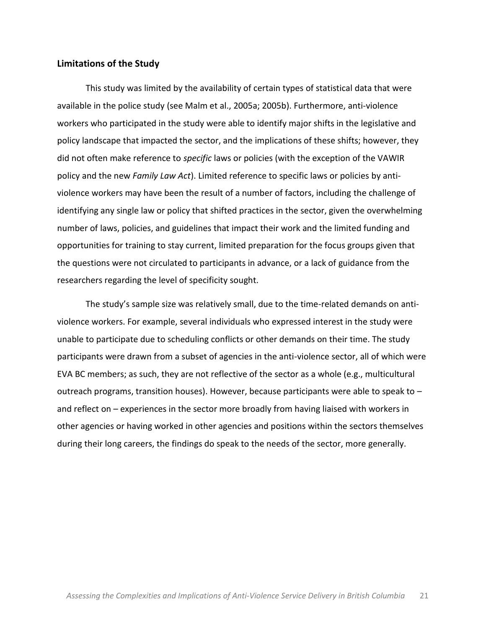### **Limitations of the Study**

This study was limited by the availability of certain types of statistical data that were available in the police study (see Malm et al., 2005a; 2005b). Furthermore, anti-violence workers who participated in the study were able to identify major shifts in the legislative and policy landscape that impacted the sector, and the implications of these shifts; however, they did not often make reference to *specific* laws or policies (with the exception of the VAWIR policy and the new *Family Law Act*). Limited reference to specific laws or policies by antiviolence workers may have been the result of a number of factors, including the challenge of identifying any single law or policy that shifted practices in the sector, given the overwhelming number of laws, policies, and guidelines that impact their work and the limited funding and opportunities for training to stay current, limited preparation for the focus groups given that the questions were not circulated to participants in advance, or a lack of guidance from the researchers regarding the level of specificity sought.

The study's sample size was relatively small, due to the time-related demands on antiviolence workers. For example, several individuals who expressed interest in the study were unable to participate due to scheduling conflicts or other demands on their time. The study participants were drawn from a subset of agencies in the anti-violence sector, all of which were EVA BC members; as such, they are not reflective of the sector as a whole (e.g., multicultural outreach programs, transition houses). However, because participants were able to speak to  $$ and reflect on  $-$  experiences in the sector more broadly from having liaised with workers in other agencies or having worked in other agencies and positions within the sectors themselves during their long careers, the findings do speak to the needs of the sector, more generally.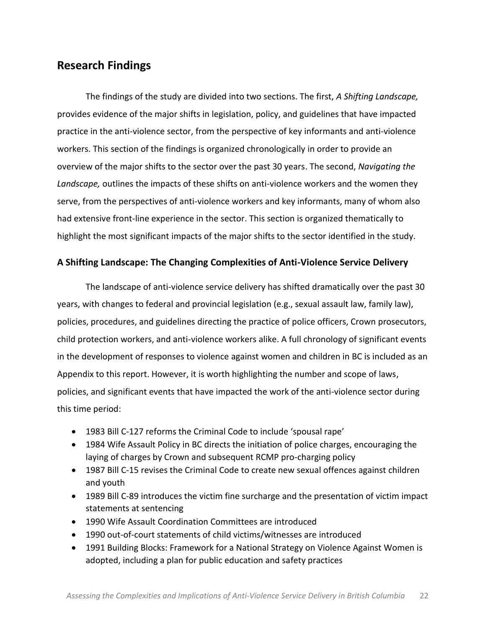# **Research Findings**

The findings of the study are divided into two sections. The first, *A Shifting Landscape*, provides evidence of the major shifts in legislation, policy, and guidelines that have impacted practice in the anti-violence sector, from the perspective of key informants and anti-violence workers. This section of the findings is organized chronologically in order to provide an overview of the major shifts to the sector over the past 30 years. The second, *Navigating the* Landscape, outlines the impacts of these shifts on anti-violence workers and the women they serve, from the perspectives of anti-violence workers and key informants, many of whom also had extensive front-line experience in the sector. This section is organized thematically to highlight the most significant impacts of the major shifts to the sector identified in the study.

### A Shifting Landscape: The Changing Complexities of Anti-Violence Service Delivery

The landscape of anti-violence service delivery has shifted dramatically over the past 30 years, with changes to federal and provincial legislation (e.g., sexual assault law, family law), policies, procedures, and guidelines directing the practice of police officers, Crown prosecutors, child protection workers, and anti-violence workers alike. A full chronology of significant events in the development of responses to violence against women and children in BC is included as an Appendix to this report. However, it is worth highlighting the number and scope of laws, policies, and significant events that have impacted the work of the anti-violence sector during this time period:

- 1983 Bill C-127 reforms the Criminal Code to include 'spousal rape'
- 1984 Wife Assault Policy in BC directs the initiation of police charges, encouraging the laying of charges by Crown and subsequent RCMP pro-charging policy
- 1987 Bill C-15 revises the Criminal Code to create new sexual offences against children and youth
- 1989 Bill C-89 introduces the victim fine surcharge and the presentation of victim impact statements at sentencing
- 1990 Wife Assault Coordination Committees are introduced
- $\bullet$  1990 out-of-court statements of child victims/witnesses are introduced
- 1991 Building Blocks: Framework for a National Strategy on Violence Against Women is adopted, including a plan for public education and safety practices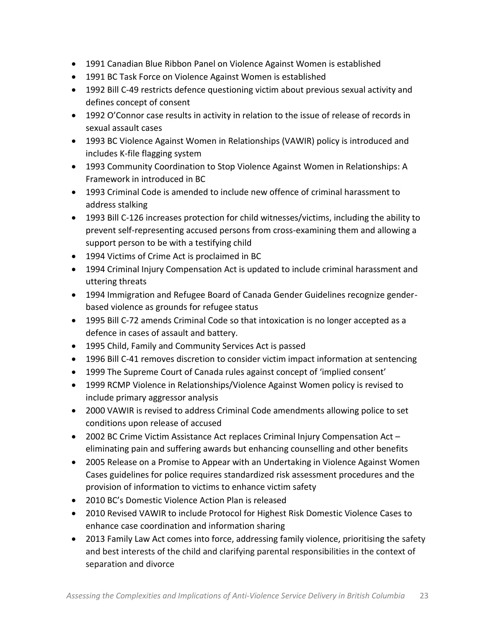- 1991 Canadian Blue Ribbon Panel on Violence Against Women is established
- 1991 BC Task Force on Violence Against Women is established
- 1992 Bill C-49 restricts defence questioning victim about previous sexual activity and defines concept of consent
- 1992 O'Connor case results in activity in relation to the issue of release of records in sexual assault cases
- 1993 BC Violence Against Women in Relationships (VAWIR) policy is introduced and includes K-file flagging system
- 1993 Community Coordination to Stop Violence Against Women in Relationships: A Framework in introduced in BC
- $\bullet$  1993 Criminal Code is amended to include new offence of criminal harassment to address stalking
- 1993 Bill C-126 increases protection for child witnesses/victims, including the ability to prevent self-representing accused persons from cross-examining them and allowing a support person to be with a testifying child
- 1994 Victims of Crime Act is proclaimed in BC
- 1994 Criminal Injury Compensation Act is updated to include criminal harassment and uttering threats
- 1994 Immigration and Refugee Board of Canada Gender Guidelines recognize genderbased violence as grounds for refugee status
- 1995 Bill C-72 amends Criminal Code so that intoxication is no longer accepted as a defence in cases of assault and battery.
- 1995 Child, Family and Community Services Act is passed
- 1996 Bill C-41 removes discretion to consider victim impact information at sentencing
- 1999 The Supreme Court of Canada rules against concept of 'implied consent'
- 1999 RCMP Violence in Relationships/Violence Against Women policy is revised to include primary aggressor analysis
- 2000 VAWIR is revised to address Criminal Code amendments allowing police to set conditions upon release of accused
- 2002 BC Crime Victim Assistance Act replaces Criminal Injury Compensation Act eliminating pain and suffering awards but enhancing counselling and other benefits
- 2005 Release on a Promise to Appear with an Undertaking in Violence Against Women Cases guidelines for police requires standardized risk assessment procedures and the provision of information to victims to enhance victim safety
- 2010 BC's Domestic Violence Action Plan is released
- 2010 Revised VAWIR to include Protocol for Highest Risk Domestic Violence Cases to enhance case coordination and information sharing
- 2013 Family Law Act comes into force, addressing family violence, prioritising the safety and best interests of the child and clarifying parental responsibilities in the context of separation and divorce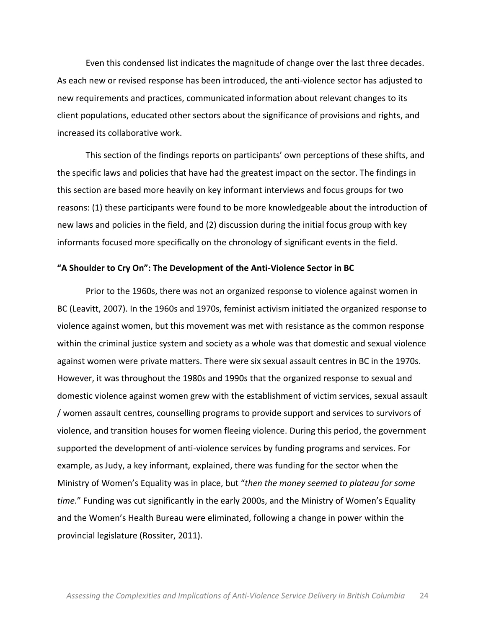Even this condensed list indicates the magnitude of change over the last three decades. As each new or revised response has been introduced, the anti-violence sector has adjusted to new requirements and practices, communicated information about relevant changes to its client populations, educated other sectors about the significance of provisions and rights, and increased its collaborative work.

This section of the findings reports on participants' own perceptions of these shifts, and the specific laws and policies that have had the greatest impact on the sector. The findings in this section are based more heavily on key informant interviews and focus groups for two reasons: (1) these participants were found to be more knowledgeable about the introduction of new laws and policies in the field, and (2) discussion during the initial focus group with key informants focused more specifically on the chronology of significant events in the field.

#### **<sup>"</sup>A Shoulder to Cry On": The Development of the Anti-Violence Sector in BC**

Prior to the 1960s, there was not an organized response to violence against women in BC (Leavitt, 2007). In the 1960s and 1970s, feminist activism initiated the organized response to violence against women, but this movement was met with resistance as the common response within the criminal justice system and society as a whole was that domestic and sexual violence against women were private matters. There were six sexual assault centres in BC in the 1970s. However, it was throughout the 1980s and 1990s that the organized response to sexual and domestic violence against women grew with the establishment of victim services, sexual assault / women assault centres, counselling programs to provide support and services to survivors of violence, and transition houses for women fleeing violence. During this period, the government supported the development of anti-violence services by funding programs and services. For example, as Judy, a key informant, explained, there was funding for the sector when the Ministry of Women's Equality was in place, but "then the money seemed to plateau for some *time.*" Funding was cut significantly in the early 2000s, and the Ministry of Women's Equality and the Women's Health Bureau were eliminated, following a change in power within the provincial legislature (Rossiter, 2011).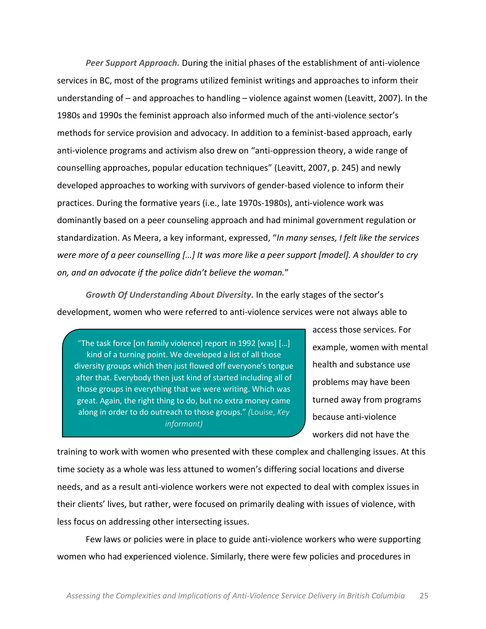**Peer Support Approach.** During the initial phases of the establishment of anti-violence services in BC, most of the programs utilized feminist writings and approaches to inform their understanding of  $-$  and approaches to handling  $-$  violence against women (Leavitt, 2007). In the 1980s and 1990s the feminist approach also informed much of the anti-violence sector's methods for service provision and advocacy. In addition to a feminist-based approach, early anti-violence programs and activism also drew on "anti-oppression theory, a wide range of counselling approaches, popular education techniques" (Leavitt, 2007, p. 245) and newly developed approaches to working with survivors of gender-based violence to inform their practices. During the formative years (i.e., late 1970s-1980s), anti-violence work was dominantly based on a peer counseling approach and had minimal government regulation or standardization. As Meera, a key informant, expressed, "In many senses, I felt like the services were more of a peer counselling [...] It was more like a peer support [model]. A shoulder to cry *on, and an advocate if the police didn't believe the woman."* 

*Growth Of Understanding About Diversity.* In the early stages of the sector's development, women who were referred to anti-violence services were not always able to

"The task force [on family violence] report in 1992 [was] [...] kind of a turning point. We developed a list of all those diversity groups which then just flowed off everyone's tongue after that. Everybody then just kind of started including all of those groups in everything that we were writing. Which was great. Again, the right thing to do, but no extra money came along in order to do outreach to those groups." (Louise, *Key informant)*

access those services. For example, women with mental health and substance use problems may have been turned away from programs because anti-violence workers did not have the

training to work with women who presented with these complex and challenging issues. At this time society as a whole was less attuned to women's differing social locations and diverse needs, and as a result anti-violence workers were not expected to deal with complex issues in their clients' lives, but rather, were focused on primarily dealing with issues of violence, with less focus on addressing other intersecting issues.

Few laws or policies were in place to guide anti-violence workers who were supporting women who had experienced violence. Similarly, there were few policies and procedures in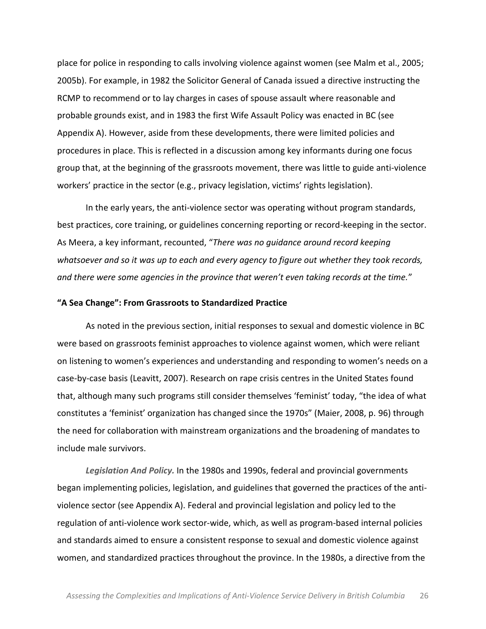place for police in responding to calls involving violence against women (see Malm et al., 2005; 2005b). For example, in 1982 the Solicitor General of Canada issued a directive instructing the RCMP to recommend or to lay charges in cases of spouse assault where reasonable and probable grounds exist, and in 1983 the first Wife Assault Policy was enacted in BC (see Appendix A). However, aside from these developments, there were limited policies and procedures in place. This is reflected in a discussion among key informants during one focus group that, at the beginning of the grassroots movement, there was little to guide anti-violence workers' practice in the sector (e.g., privacy legislation, victims' rights legislation).

In the early years, the anti-violence sector was operating without program standards, best practices, core training, or guidelines concerning reporting or record-keeping in the sector. As Meera, a key informant, recounted, "There was no guidance around record keeping' *whatsoever'and'so'it'was'up'to'each'and'every'agency'to'figure'out'whether'they'took'records,'* and there were some agencies in the province that weren't even taking records at the time."

#### **͞^ĞĂŚĂŶŐĞ͗͟&ƌŽŵ'ƌĂƐƐƌŽŽƚƐƚŽStandardized Practice**

As noted in the previous section, initial responses to sexual and domestic violence in BC were based on grassroots feminist approaches to violence against women, which were reliant on listening to women's experiences and understanding and responding to women's needs on a case-by-case basis (Leavitt, 2007). Research on rape crisis centres in the United States found that, although many such programs still consider themselves 'feminist' today, "the idea of what constitutes a 'feminist' organization has changed since the 1970s" (Maier, 2008, p. 96) through the need for collaboration with mainstream organizations and the broadening of mandates to include male survivors.

Legislation And Policy. In the 1980s and 1990s, federal and provincial governments began implementing policies, legislation, and guidelines that governed the practices of the antiviolence sector (see Appendix A). Federal and provincial legislation and policy led to the regulation of anti-violence work sector-wide, which, as well as program-based internal policies and standards aimed to ensure a consistent response to sexual and domestic violence against women, and standardized practices throughout the province. In the 1980s, a directive from the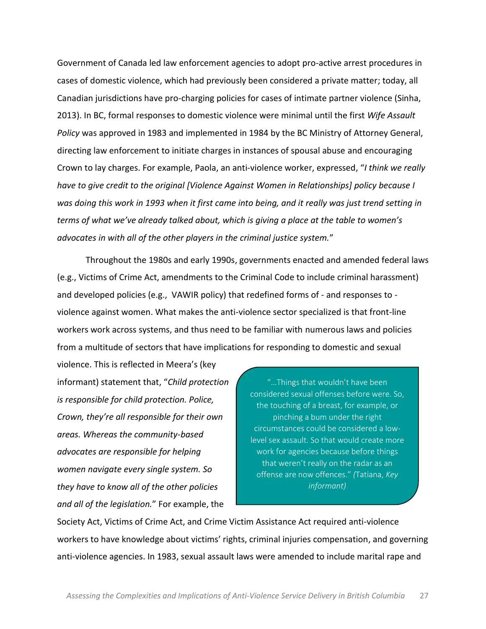Government of Canada led law enforcement agencies to adopt pro-active arrest procedures in cases of domestic violence, which had previously been considered a private matter; today, all Canadian jurisdictions have pro-charging policies for cases of intimate partner violence (Sinha, 2013). In BC, formal responses to domestic violence were minimal until the first *Wife Assault Policy* was approved in 1983 and implemented in 1984 by the BC Ministry of Attorney General, directing law enforcement to initiate charges in instances of spousal abuse and encouraging Crown to lay charges. For example, Paola, an anti-violence worker, expressed, *"I think we really have'to'give'credit'to'the'original'[Violence'Against'Women'in'Relationships] policy'because'I'* was doing this work in 1993 when it first came into being, and it really was just trend setting in *terms of what we've already talked about, which is giving a place at the table to women's advocates in with all of the other players in the criminal justice system.*"

Throughout the 1980s and early 1990s, governments enacted and amended federal laws (e.g., Victims of Crime Act, amendments to the Criminal Code to include criminal harassment) and developed policies (e.g., VAWIR policy) that redefined forms of - and responses to violence against women. What makes the anti-violence sector specialized is that front-line workers work across systems, and thus need to be familiar with numerous laws and policies from a multitude of sectors that have implications for responding to domestic and sexual

violence. This is reflected in Meera's (key informant) statement that, "Child protection is responsible for child protection. Police, *Crown, they're all responsible for their own* areas. Whereas the community-based *advocates'are'responsible'for'helping' women'navigate'every'single'system.'So' they'have'to'know'all'of'the'other'policies'* and all of the legislation." For example, the

"...Things that wouldn't have been considered sexual offenses before were. So, the touching of a breast, for example, or pinching a bum under the right circumstances could be considered a lowlevel sex assault. So that would create more work for agencies because before things that weren't really on the radar as an offense are now offences." (Tatiana, *Key informant)*

Society Act, Victims of Crime Act, and Crime Victim Assistance Act required anti-violence workers to have knowledge about victims' rights, criminal injuries compensation, and governing anti-violence agencies. In 1983, sexual assault laws were amended to include marital rape and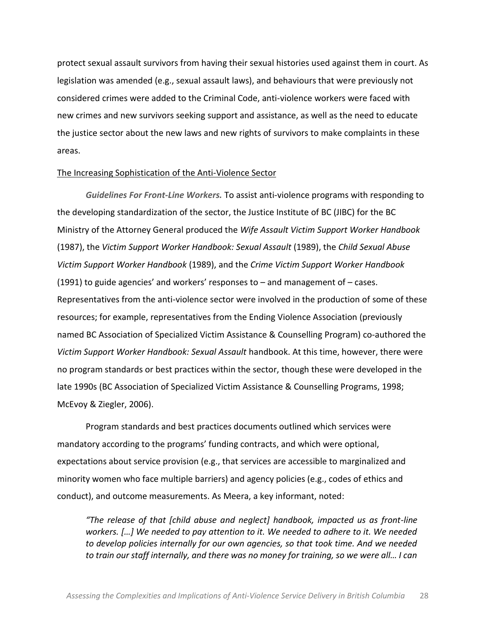protect sexual assault survivors from having their sexual histories used against them in court. As legislation was amended (e.g., sexual assault laws), and behaviours that were previously not considered crimes were added to the Criminal Code, anti-violence workers were faced with new crimes and new survivors seeking support and assistance, as well as the need to educate the justice sector about the new laws and new rights of survivors to make complaints in these areas.

#### The Increasing Sophistication of the Anti-Violence Sector

**Guidelines For Front-Line Workers. To assist anti-violence programs with responding to** the developing standardization of the sector, the Justice Institute of BC (JIBC) for the BC Ministry of the Attorney General produced the *Wife Assault Victim Support Worker Handbook* (1987), the *Victim Support Worker Handbook: Sexual Assault* (1989), the *Child Sexual Abuse Victim Support Worker Handbook* (1989), and the *Crime Victim Support Worker Handbook* (1991) to guide agencies' and workers' responses to  $-$  and management of  $-$  cases. Representatives from the anti-violence sector were involved in the production of some of these resources; for example, representatives from the Ending Violence Association (previously named BC Association of Specialized Victim Assistance & Counselling Program) co-authored the *Victim Support'Worker Handbook: Sexual Assault handbook. At this time, however, there were* no program standards or best practices within the sector, though these were developed in the late 1990s (BC Association of Specialized Victim Assistance & Counselling Programs, 1998; McEvoy & Ziegler, 2006).

Program standards and best practices documents outlined which services were mandatory according to the programs' funding contracts, and which were optional, expectations about service provision (e.g., that services are accessible to marginalized and minority women who face multiple barriers) and agency policies (e.g., codes of ethics and conduct), and outcome measurements. As Meera, a key informant, noted:

*<del><i>The release of that [child abuse and neglect] handbook, impacted us as front-line*</del> *workers.* [...] We needed to pay attention to it. We needed to adhere to it. We needed *to'develop'policies'internally'for'our'own'agencies,'so'that'took'time.'And'we'needed'* to train our staff internally, and there was no money for training, so we were all... I can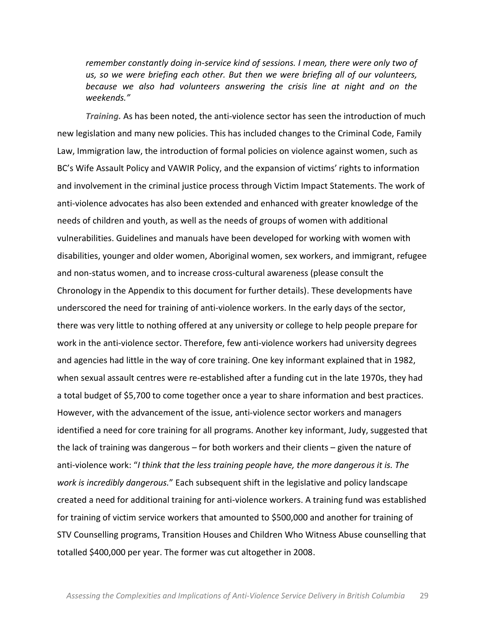remember constantly doing in-service kind of sessions. I mean, there were only two of us, so we were briefing each other. But then we were briefing all of our volunteers, *because' we' also' had' volunteers' answering' the' crisis' line' at' night' and' on' the'*  $weekends.$ "

*Training.* As has been noted, the anti-violence sector has seen the introduction of much new legislation and many new policies. This has included changes to the Criminal Code, Family Law, Immigration law, the introduction of formal policies on violence against women, such as BC's Wife Assault Policy and VAWIR Policy, and the expansion of victims' rights to information and involvement in the criminal justice process through Victim Impact Statements. The work of anti-violence advocates has also been extended and enhanced with greater knowledge of the needs of children and youth, as well as the needs of groups of women with additional vulnerabilities. Guidelines and manuals have been developed for working with women with disabilities, younger and older women, Aboriginal women, sex workers, and immigrant, refugee and non-status women, and to increase cross-cultural awareness (please consult the Chronology in the Appendix to this document for further details). These developments have underscored the need for training of anti-violence workers. In the early days of the sector, there was very little to nothing offered at any university or college to help people prepare for work in the anti-violence sector. Therefore, few anti-violence workers had university degrees and agencies had little in the way of core training. One key informant explained that in 1982, when sexual assault centres were re-established after a funding cut in the late 1970s, they had a total budget of \$5,700 to come together once a year to share information and best practices. However, with the advancement of the issue, anti-violence sector workers and managers identified a need for core training for all programs. Another key informant, Judy, suggested that the lack of training was dangerous – for both workers and their clients – given the nature of anti-violence work: "*I* think that the less training people have, the more dangerous it is. The work is incredibly dangerous.<sup>"</sup> Each subsequent shift in the legislative and policy landscape created a need for additional training for anti-violence workers. A training fund was established for training of victim service workers that amounted to \$500,000 and another for training of STV Counselling programs, Transition Houses and Children Who Witness Abuse counselling that totalled \$400,000 per year. The former was cut altogether in 2008.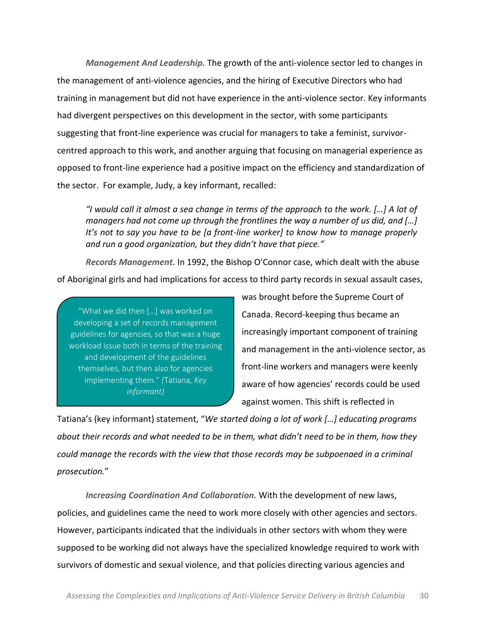*Management And Leadership.* The growth of the anti-violence sector led to changes in the management of anti-violence agencies, and the hiring of Executive Directors who had training in management but did not have experience in the anti-violence sector. Key informants had divergent perspectives on this development in the sector, with some participants suggesting that front-line experience was crucial for managers to take a feminist, survivorcentred approach to this work, and another arguing that focusing on managerial experience as opposed to front-line experience had a positive impact on the efficiency and standardization of the sector. For example, Judy, a key informant, recalled:

*I* would call it almost a sea change in terms of the approach to the work. [...] A lot of *managers had not come up through the frontlines the way a number of us did, and [...] It's not to say you have to be [a front-line worker] to know how to manage properly* and run a good organization, but they didn't have that piece."

*Records Management.* In 1992, the Bishop O'Connor case, which dealt with the abuse of Aboriginal girls and had implications for access to third party records in sexual assault cases,

"What we did then [...] was worked on developing a set of records management guidelines for agencies, so that was a huge workload issue both in terms of the training and development of the guidelines themselves, but then also for agencies implementing them." (Tatiana, *Key informant)*

was brought before the Supreme Court of Canada. Record-keeping thus became an increasingly important component of training and management in the anti-violence sector, as front-line workers and managers were keenly aware of how agencies' records could be used against women. This shift is reflected in

Tatiana's (key informant) statement, "We started doing a lot of work [...] educating programs *About their records and what needed to be in them, what didn't need to be in them, how they could'manage'the'records'with'the'view'that'those'records'may'be'subpoenaed'in'a'criminal' prosecution.*͟

*Increasing Coordination And Collaboration.* With the development of new laws, policies, and guidelines came the need to work more closely with other agencies and sectors. However, participants indicated that the individuals in other sectors with whom they were supposed to be working did not always have the specialized knowledge required to work with survivors of domestic and sexual violence, and that policies directing various agencies and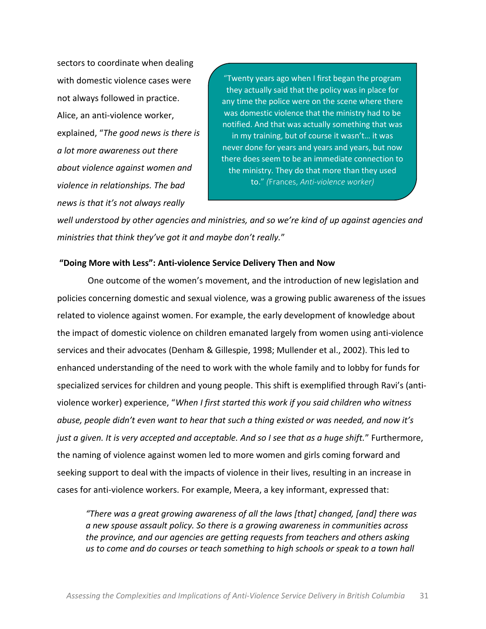sectors to coordinate when dealing with domestic violence cases were not always followed in practice. Alice, an anti-violence worker, explained, "The good news is there is *a'lot'more'awareness'out'there' about'violence'against'women'and' violence'in'relationships.'The'bad' news is that it's not always really* 

"Twenty years ago when I first began the program they actually said that the policy was in place for any time the police were on the scene where there was domestic violence that the ministry had to be notified. And that was actually something that was in my training, but of course it wasn't... it was never done for years and years and years, but now there does seem to be an immediate connection to the ministry. They do that more than they used to.<sup>"</sup> (Frances, Anti-violence worker)

well understood by other agencies and ministries, and so we're kind of up against agencies and *ministries that think they've got it and maybe don't really."* 

#### **͞ŽŝŶŐDŽƌĞǁŝƚŚ>ĞƐƐ͗͟Anti5violence'Service'Delivery Then'and'Now**

One outcome of the women's movement, and the introduction of new legislation and policies concerning domestic and sexual violence, was a growing public awareness of the issues related to violence against women. For example, the early development of knowledge about the impact of domestic violence on children emanated largely from women using anti-violence services and their advocates (Denham & Gillespie, 1998; Mullender et al., 2002). This led to enhanced understanding of the need to work with the whole family and to lobby for funds for specialized services for children and young people. This shift is exemplified through Ravi's (antiviolence worker) experience, "When I first started this work if you said children who witness *abuse, people didn't even want to hear that such a thing existed or was needed, and now it's* just a given. It is very accepted and acceptable. And so I see that as a huge shift." Furthermore, the naming of violence against women led to more women and girls coming forward and seeking support to deal with the impacts of violence in their lives, resulting in an increase in cases for anti-violence workers. For example, Meera, a key informant, expressed that:

*͞There'was'a'great'growing'awareness'of'all'the'laws'[that]'changed,'[and]'there'was' a'new'spouse'assault'policy.'So'there'is'a'growing'awareness'in'communities'across' the'province,'and'our'agencies'are'getting'requests'from'teachers'and'others'asking' us'to'come'and'do'courses'or'teach'something'to'high'schools'or'speak'to'a'town'hall'*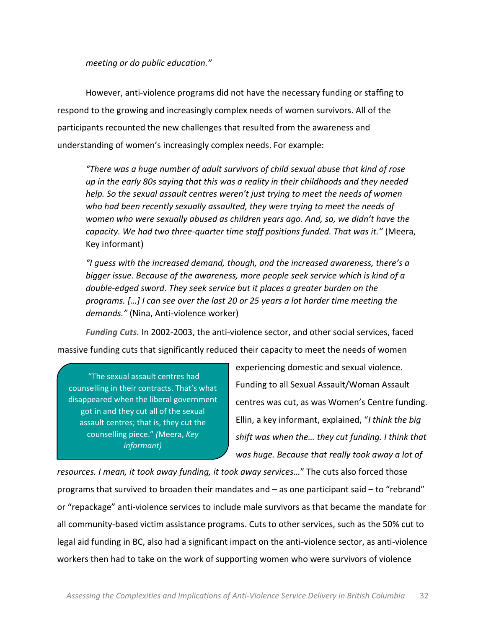*meeting or do public education."* 

However, anti-violence programs did not have the necessary funding or staffing to respond to the growing and increasingly complex needs of women survivors. All of the participants recounted the new challenges that resulted from the awareness and understanding of women's increasingly complex needs. For example:

"There was a huge number of adult survivors of child sexual abuse that kind of rose *up'in'the'early'80s'saying'that'this'was'a'reality'in'their'childhoods'and'they'needed' help.* So the sexual assault centres weren't just trying to meet the needs of women who had been recently sexually assaulted, they were trying to meet the needs of *women who were sexually abused as children years ago. And, so, we didn't have the capacity. We had two three-quarter time staff positions funded. That was it.*" (Meera, Key informant)

*͞/ŐƵĞƐƐǁŝƚŚƚŚĞŝŶĐƌĞĂƐĞĚĚĞŵĂŶĚ͕ƚŚŽƵŐŚ͕ĂŶĚƚŚĞŝŶĐƌĞĂƐĞĚĂǁĂƌĞŶĞƐƐ͕ƚŚĞƌĞ͛ƐĂ bigger'issue.'Because'of'the'awareness,'more'people'seek'service'which'is'kind'of'a'* double-edged sword. They seek service but it places a greater burden on the programs. [...] I can see over the last 20 or 25 years a lot harder time meeting the *demands."* (Nina, Anti-violence worker)

Funding Cuts. In 2002-2003, the anti-violence sector, and other social services, faced massive funding cuts that significantly reduced their capacity to meet the needs of women

"The sexual assault centres had counselling in their contracts. That's what disappeared when the liberal government got in and they cut all of the sexual assault centres; that is, they cut the counselling piece." (Meera, *Key informant)*

experiencing domestic and sexual violence. Funding to all Sexual Assault/Woman Assault centres was cut, as was Women's Centre funding. Ellin, a key informant, explained, "I think the big *shift was when the... they cut funding. I think that* was huge. Because that really took away a lot of

*resources. I mean, it took away funding, it took away services..."* The cuts also forced those programs that survived to broaden their mandates and  $-$  as one participant said  $-$  to "rebrand" or "repackage" anti-violence services to include male survivors as that became the mandate for all community-based victim assistance programs. Cuts to other services, such as the 50% cut to legal aid funding in BC, also had a significant impact on the anti-violence sector, as anti-violence workers then had to take on the work of supporting women who were survivors of violence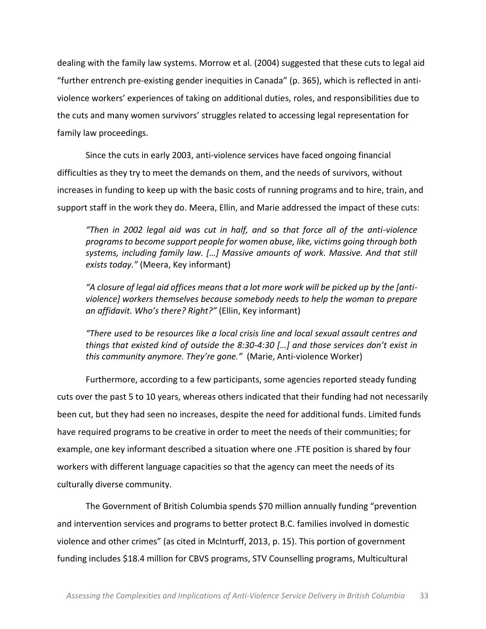dealing with the family law systems. Morrow et al. (2004) suggested that these cuts to legal aid "further entrench pre-existing gender inequities in Canada" (p. 365), which is reflected in antiviolence workers' experiences of taking on additional duties, roles, and responsibilities due to the cuts and many women survivors' struggles related to accessing legal representation for family law proceedings.

Since the cuts in early 2003, anti-violence services have faced ongoing financial difficulties as they try to meet the demands on them, and the needs of survivors, without increases in funding to keep up with the basic costs of running programs and to hire, train, and support staff in the work they do. Meera, Ellin, and Marie addressed the impact of these cuts:

*Then in 2002 legal aid was cut in half, and so that force all of the anti-violence programs'to'become'support'people'for'women'abuse,'like,'victims'going'through'both'* systems, including family law. [...] Massive amounts of work. Massive. And that still exists today." (Meera, Key informant)

"A closure of legal aid offices means that a lot more work will be picked up by the [anti*violence]'workers'themselves'because'somebody'needs'to'help'the'woman to'prepare'* an affidavit. Who's there? Right?" (Ellin, Key informant)

*There used to be resources like a local crisis line and local sexual assault centres and* things that existed kind of outside the 8:30-4:30 [...] and those services don't exist in *this community anymore. They're gone.*" (Marie, Anti-violence Worker)

Furthermore, according to a few participants, some agencies reported steady funding cuts over the past 5 to 10 years, whereas others indicated that their funding had not necessarily been cut, but they had seen no increases, despite the need for additional funds. Limited funds have required programs to be creative in order to meet the needs of their communities; for example, one key informant described a situation where one .FTE position is shared by four workers with different language capacities so that the agency can meet the needs of its culturally diverse community.

The Government of British Columbia spends \$70 million annually funding "prevention and intervention services and programs to better protect B.C. families involved in domestic violence and other crimes" (as cited in McInturff, 2013, p. 15). This portion of government funding includes \$18.4 million for CBVS programs, STV Counselling programs, Multicultural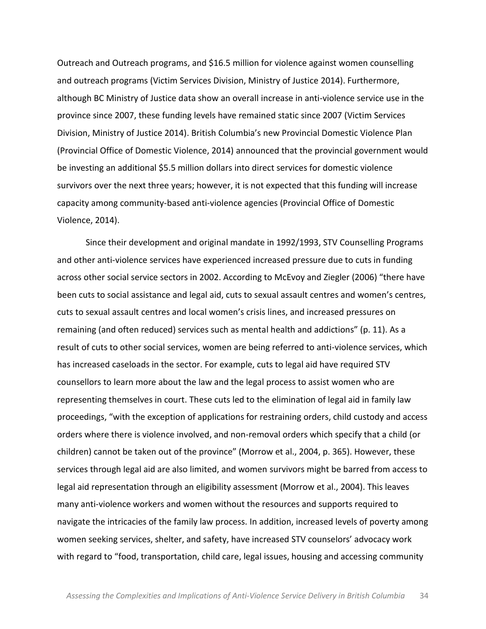Outreach and Outreach programs, and \$16.5 million for violence against women counselling and outreach programs (Victim Services Division, Ministry of Justice 2014). Furthermore, although BC Ministry of Justice data show an overall increase in anti-violence service use in the province since 2007, these funding levels have remained static since 2007 (Victim Services Division, Ministry of Justice 2014). British Columbia's new Provincial Domestic Violence Plan (Provincial Office of Domestic Violence, 2014) announced that the provincial government would be investing an additional \$5.5 million dollars into direct services for domestic violence survivors over the next three years; however, it is not expected that this funding will increase capacity among community-based anti-violence agencies (Provincial Office of Domestic Violence, 2014).

Since their development and original mandate in 1992/1993, STV Counselling Programs and other anti-violence services have experienced increased pressure due to cuts in funding across other social service sectors in 2002. According to McEvoy and Ziegler (2006) "there have been cuts to social assistance and legal aid, cuts to sexual assault centres and women's centres, cuts to sexual assault centres and local women's crisis lines, and increased pressures on remaining (and often reduced) services such as mental health and addictions" (p. 11). As a result of cuts to other social services, women are being referred to anti-violence services, which has increased caseloads in the sector. For example, cuts to legal aid have required STV counsellors to learn more about the law and the legal process to assist women who are representing themselves in court. These cuts led to the elimination of legal aid in family law proceedings, "with the exception of applications for restraining orders, child custody and access orders where there is violence involved, and non-removal orders which specify that a child (or children) cannot be taken out of the province" (Morrow et al., 2004, p. 365). However, these services through legal aid are also limited, and women survivors might be barred from access to legal aid representation through an eligibility assessment (Morrow et al., 2004). This leaves many anti-violence workers and women without the resources and supports required to navigate the intricacies of the family law process. In addition, increased levels of poverty among women seeking services, shelter, and safety, have increased STV counselors' advocacy work with regard to "food, transportation, child care, legal issues, housing and accessing community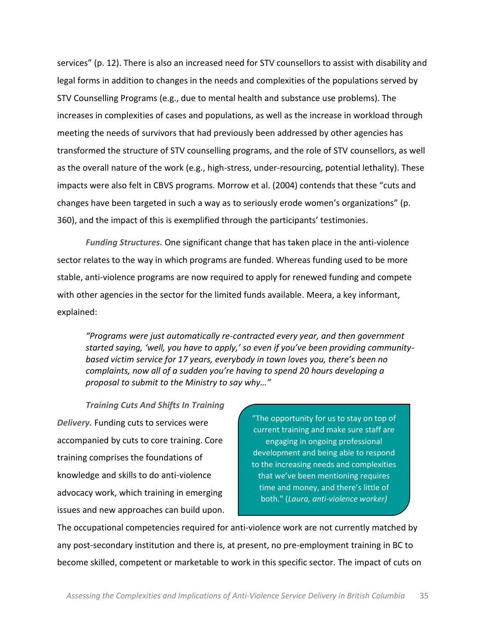services" (p. 12). There is also an increased need for STV counsellors to assist with disability and legal forms in addition to changes in the needs and complexities of the populations served by STV Counselling Programs (e.g., due to mental health and substance use problems). The increases in complexities of cases and populations, as well as the increase in workload through meeting the needs of survivors that had previously been addressed by other agencies has transformed the structure of STV counselling programs, and the role of STV counsellors, as well as the overall nature of the work (e.g., high-stress, under-resourcing, potential lethality). These impacts were also felt in CBVS programs. Morrow et al. (2004) contends that these "cuts and changes have been targeted in such a way as to seriously erode women's organizations" (p. 360), and the impact of this is exemplified through the participants' testimonies.

*Funding Structures.* One significant change that has taken place in the anti-violence sector relates to the way in which programs are funded. Whereas funding used to be more stable, anti-violence programs are now required to apply for renewed funding and compete with other agencies in the sector for the limited funds available. Meera, a key informant, explained:

*͞Programs'were'just'automatically're3contracted'every'year,'and'then'government' started saying, 'well, you have to apply,' so even if you've been providing community*based victim service for 17 years, everybody in town loves you, there's been no *complaints, now all of a sudden you're having to spend 20 hours developing a* proposal to submit to the Ministry to say why..."

*Training\$Cuts\$And\$Shifts\$In\$Training\$* **Delivery.** Funding cuts to services were accompanied by cuts to core training. Core training comprises the foundations of knowledge and skills to do anti-violence advocacy work, which training in emerging issues and new approaches can build upon.

"The opportunity for us to stay on top of current training and make sure staff are engaging in ongoing professional development and being able to respond to the increasing needs and complexities that we've been mentioning requires time and money, and there's little of both." (Laura, anti-violence worker)

The occupational competencies required for anti-violence work are not currently matched by any post-secondary institution and there is, at present, no pre-employment training in BC to become skilled, competent or marketable to work in this specific sector. The impact of cuts on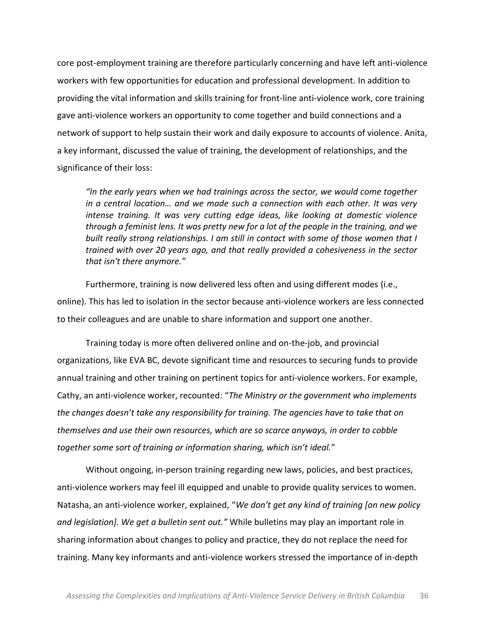core post-employment training are therefore particularly concerning and have left anti-violence workers with few opportunities for education and professional development. In addition to providing the vital information and skills training for front-line anti-violence work, core training gave anti-violence workers an opportunity to come together and build connections and a network of support to help sustain their work and daily exposure to accounts of violence. Anita, a key informant, discussed the value of training, the development of relationships, and the significance of their loss:

"In the early years when we had trainings across the sector, we would come together *in a central location... and we made such a connection with each other. It was very intense' training.' It' was' very' cutting' edge' ideas,' like' looking' at' domestic' violence' through'a'feminist'lens.'It'was'pretty'new'for'a'lot'of'the'people'in'the'training,'and'we'* built really strong relationships. I am still in contact with some of those women that I *trained'with'over'20'years'ago,'and'that'really'provided'a'cohesiveness'in'the'sector' that isn't there anymore."* 

Furthermore, training is now delivered less often and using different modes (i.e., online). This has led to isolation in the sector because anti-violence workers are less connected to their colleagues and are unable to share information and support one another.

Training today is more often delivered online and on-the-job, and provincial organizations, like EVA BC, devote significant time and resources to securing funds to provide annual training and other training on pertinent topics for anti-violence workers. For example, Cathy, an anti-violence worker, recounted: "The Ministry or the government who implements' *the changes doesn't take any responsibility for training. The agencies have to take that on themselves'and'use'their'own'resources,'which'are'so'scarce'anyways,'in'order'to'cobble'* together some sort of training or information sharing, which isn't ideal."

Without ongoing, in-person training regarding new laws, policies, and best practices, anti-violence workers may feel ill equipped and unable to provide quality services to women. Natasha, an anti-violence worker, explained, *"We don't get any kind of training [on new policy and legislation]. We get a bulletin sent out.*<sup>*"*</sup> While bulletins may play an important role in sharing information about changes to policy and practice, they do not replace the need for training. Many key informants and anti-violence workers stressed the importance of in-depth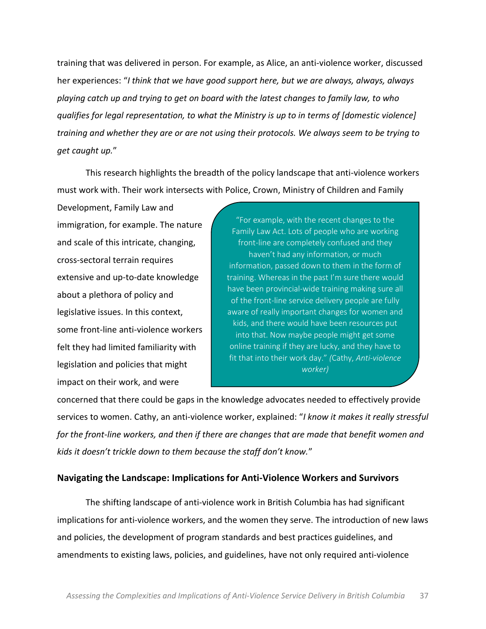training that was delivered in person. For example, as Alice, an anti-violence worker, discussed her experiences: "*I* think that we have good support here, but we are always, always, always *playing'catch'up'and'trying'to'get'on'board'with'the'latest'changes'to'family'law,'to'who' qualifies'for'legal representation,'to'what'the'Ministry'is'up'to'in'terms'of'[domestic'violence]' training'and'whether'they'are'or'are'not'using'their'protocols.'We'always'seem'to'be'trying'to'* get caught up."

This research highlights the breadth of the policy landscape that anti-violence workers must work with. Their work intersects with Police, Crown, Ministry of Children and Family

Development, Family Law and immigration, for example. The nature and scale of this intricate, changing, cross-sectoral terrain requires extensive and up-to-date knowledge about a plethora of policy and legislative issues. In this context, some front-line anti-violence workers felt they had limited familiarity with legislation and policies that might impact on their work, and were

"For example, with the recent changes to the Family Law Act. Lots of people who are working front-line are completely confused and they haven't had any information, or much information, passed down to them in the form of training. Whereas in the past I'm sure there would have been provincial-wide training making sure all of the front-line service delivery people are fully aware of really important changes for women and kids, and there would have been resources put into that. Now maybe people might get some online training if they are lucky, and they have to fit that into their work day." (Cathy, Anti-violence *worker)*

concerned that there could be gaps in the knowledge advocates needed to effectively provide services to women. Cathy, an anti-violence worker, explained: *"I know it makes it really stressful* for the front-line workers, and then if there are changes that are made that benefit women and *kids it doesn't trickle down to them because the staff don't know."* 

# **Navigating the Landscape: Implications for Anti-Violence Workers and Survivors**

The shifting landscape of anti-violence work in British Columbia has had significant implications for anti-violence workers, and the women they serve. The introduction of new laws and policies, the development of program standards and best practices guidelines, and amendments to existing laws, policies, and guidelines, have not only required anti-violence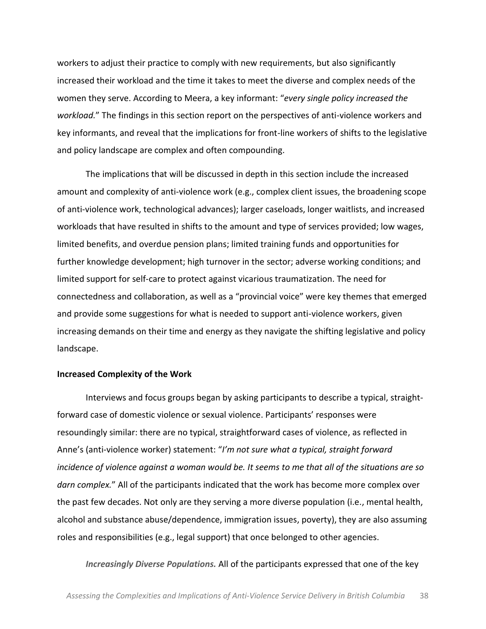workers to adjust their practice to comply with new requirements, but also significantly increased their workload and the time it takes to meet the diverse and complex needs of the women they serve. According to Meera, a key informant: *"every single policy increased the workload.*" The findings in this section report on the perspectives of anti-violence workers and key informants, and reveal that the implications for front-line workers of shifts to the legislative and policy landscape are complex and often compounding.

The implications that will be discussed in depth in this section include the increased amount and complexity of anti-violence work (e.g., complex client issues, the broadening scope of anti-violence work, technological advances); larger caseloads, longer waitlists, and increased workloads that have resulted in shifts to the amount and type of services provided; low wages, limited benefits, and overdue pension plans; limited training funds and opportunities for further knowledge development; high turnover in the sector; adverse working conditions; and limited support for self-care to protect against vicarious traumatization. The need for connectedness and collaboration, as well as a "provincial voice" were key themes that emerged and provide some suggestions for what is needed to support anti-violence workers, given increasing demands on their time and energy as they navigate the shifting legislative and policy landscape.

#### **Increased'Complexity'of'the'Work**

Interviews and focus groups began by asking participants to describe a typical, straightforward case of domestic violence or sexual violence. Participants' responses were resoundingly similar: there are no typical, straightforward cases of violence, as reflected in Anne's (anti-violence worker) statement: "I'm not sure what a typical, straight forward incidence of violence against a woman would be. It seems to me that all of the situations are so *darn complex.*" All of the participants indicated that the work has become more complex over the past few decades. Not only are they serving a more diverse population (i.e., mental health, alcohol and substance abuse/dependence, immigration issues, poverty), they are also assuming roles and responsibilities (e.g., legal support) that once belonged to other agencies.

*Increasingly Diverse Populations.* All of the participants expressed that one of the key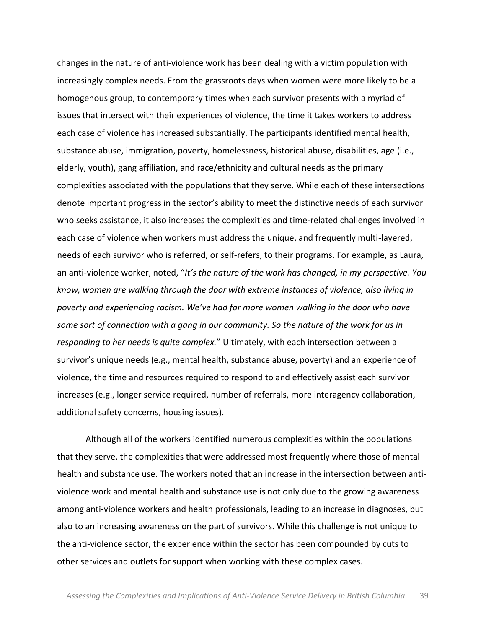changes in the nature of anti-violence work has been dealing with a victim population with increasingly complex needs. From the grassroots days when women were more likely to be a homogenous group, to contemporary times when each survivor presents with a myriad of issues that intersect with their experiences of violence, the time it takes workers to address each case of violence has increased substantially. The participants identified mental health, substance abuse, immigration, poverty, homelessness, historical abuse, disabilities, age (i.e., elderly, youth), gang affiliation, and race/ethnicity and cultural needs as the primary complexities associated with the populations that they serve. While each of these intersections denote important progress in the sector's ability to meet the distinctive needs of each survivor who seeks assistance, it also increases the complexities and time-related challenges involved in each case of violence when workers must address the unique, and frequently multi-layered, needs of each survivor who is referred, or self-refers, to their programs. For example, as Laura, an anti-violence worker, noted, *"It's the nature of the work has changed, in my perspective. You know,'women'are'walking'through'the'door'with'extreme'instances'of'violence,'also'living'in' ƉŽǀĞƌƚLJĂŶĚĞdžƉĞƌŝĞŶĐŝŶŐƌĂĐŝƐŵ͘tĞ͛ǀĞŚĂĚĨĂƌŵŽƌĞǁŽŵĞŶǁĂůŬŝŶŐŝŶƚŚĞĚŽŽƌǁho'have'* some sort of connection with a gang in our community. So the nature of the work for us in responding to her needs is quite complex." Ultimately, with each intersection between a survivor's unique needs (e.g., mental health, substance abuse, poverty) and an experience of violence, the time and resources required to respond to and effectively assist each survivor increases (e.g., longer service required, number of referrals, more interagency collaboration, additional safety concerns, housing issues).

Although all of the workers identified numerous complexities within the populations that they serve, the complexities that were addressed most frequently where those of mental health and substance use. The workers noted that an increase in the intersection between antiviolence work and mental health and substance use is not only due to the growing awareness among anti-violence workers and health professionals, leading to an increase in diagnoses, but also to an increasing awareness on the part of survivors. While this challenge is not unique to the anti-violence sector, the experience within the sector has been compounded by cuts to other services and outlets for support when working with these complex cases.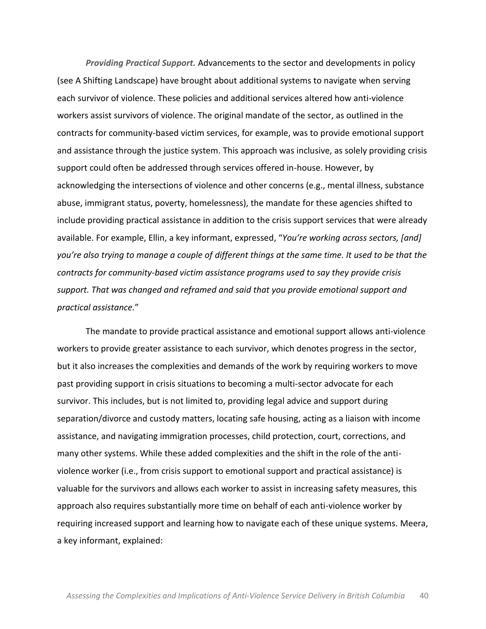*Providing Practical Support.* Advancements to the sector and developments in policy (see A Shifting Landscape) have brought about additional systems to navigate when serving each survivor of violence. These policies and additional services altered how anti-violence workers assist survivors of violence. The original mandate of the sector, as outlined in the contracts for community-based victim services, for example, was to provide emotional support and assistance through the justice system. This approach was inclusive, as solely providing crisis support could often be addressed through services offered in-house. However, by acknowledging the intersections of violence and other concerns (e.g., mental illness, substance abuse, immigrant status, poverty, homelessness), the mandate for these agencies shifted to include providing practical assistance in addition to the crisis support services that were already available. For example, Ellin, a key informant, expressed, "You're working across sectors, [and] *LJŽƵ͛ƌĞĂůƐŽƚƌLJŝŶŐƚŽŵĂŶĂŐĞĂĐŽƵƉůĞŽĨdifferent'things'at'the'same'time.'It'used'to'be'that'the'* contracts for community-based victim assistance programs used to say they provide crisis *support.'That'was'changed'and'reframed'and'said'that'you'provide'emotional'support'and' practical'assistance.*͟

The mandate to provide practical assistance and emotional support allows anti-violence workers to provide greater assistance to each survivor, which denotes progress in the sector, but it also increases the complexities and demands of the work by requiring workers to move past providing support in crisis situations to becoming a multi-sector advocate for each survivor. This includes, but is not limited to, providing legal advice and support during separation/divorce and custody matters, locating safe housing, acting as a liaison with income assistance, and navigating immigration processes, child protection, court, corrections, and many other systems. While these added complexities and the shift in the role of the antiviolence worker (i.e., from crisis support to emotional support and practical assistance) is valuable for the survivors and allows each worker to assist in increasing safety measures, this approach also requires substantially more time on behalf of each anti-violence worker by requiring increased support and learning how to navigate each of these unique systems. Meera, a key informant, explained: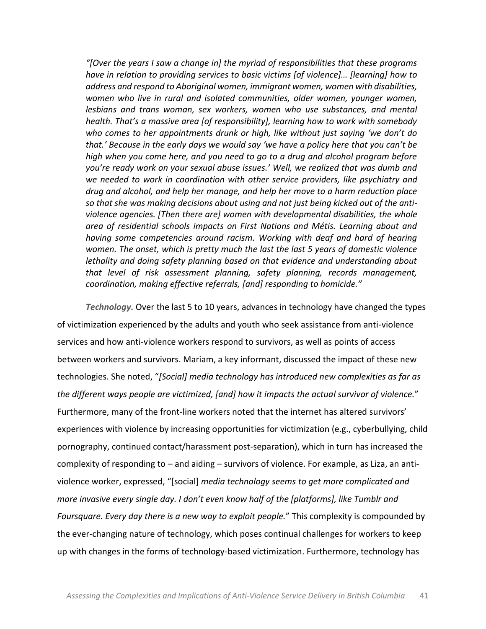*"*[Over the years I saw a change in] the myriad of responsibilities that these programs *have in relation to providing services to basic victims [of violence]... [learning] how to address'and'respond'to'Aboriginal'women,'immigrant'women,'women'with'disabilities,' women' who' live' in' rural' and' isolated' communities,' older' women,' younger' women,' lesbians' and' trans' woman,' sex' workers,' women' who' use' substances,' and' mental' health. That's a massive area [of responsibility], learning how to work with somebody* who comes to her appointments drunk or high, like without just saying 'we don't do *that.'* Because in the early days we would say 'we have a policy here that you can't be *high'when'you'come'here,'and'you'need'to'go'to'a'drug'and'alcohol'program'before'* you're ready work on your sexual abuse issues.' Well, we realized that was dumb and we needed to work in coordination with other service providers, like psychiatry and *drug'and'alcohol,'and'help'her'manage,'and'help'her'move'to'a'harm'reduction'place'* so that she was making decisions about using and not just being kicked out of the anti*violence'agencies.'[Then'there'are]'women'with'developmental'disabilities,'the'whole' area' of' residential' schools' impacts' on' First' Nations' and'Métis.' Learning' about' and' having' some' competencies' around' racism.' Working' with' deaf' and' hard' of' hearing'* women. The onset, which is pretty much the last the last 5 years of domestic violence *lethality'and'doing'safety'planning'based'on'that'evidence'and'understanding'about' that' level' of' risk' assessment' planning,' safety' planning,' records' management,'* coordination, making effective referrals, [and] responding to homicide."

Technology. Over the last 5 to 10 years, advances in technology have changed the types of victimization experienced by the adults and youth who seek assistance from anti-violence services and how anti-violence workers respond to survivors, as well as points of access between workers and survivors. Mariam, a key informant, discussed the impact of these new technologies. She noted, "[Social] media technology has introduced new complexities as far as the different ways people are victimized, [and] how it impacts the actual survivor of violence." Furthermore, many of the front-line workers noted that the internet has altered survivors' experiences with violence by increasing opportunities for victimization (e.g., cyberbullying, child pornography, continued contact/harassment post-separation), which in turn has increased the complexity of responding to  $-$  and aiding  $-$  survivors of violence. For example, as Liza, an antiviolence worker, expressed, "[social] *media technology seems to get more complicated and more invasive every single day. I don't even know half of the [platforms], like Tumblr and Foursquare. Every day there is a new way to exploit people.*" This complexity is compounded by the ever-changing nature of technology, which poses continual challenges for workers to keep up with changes in the forms of technology-based victimization. Furthermore, technology has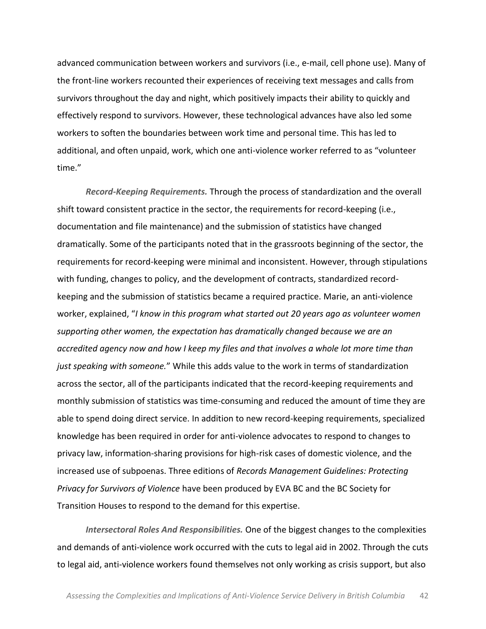advanced communication between workers and survivors (i.e., e-mail, cell phone use). Many of the front-line workers recounted their experiences of receiving text messages and calls from survivors throughout the day and night, which positively impacts their ability to quickly and effectively respond to survivors. However, these technological advances have also led some workers to soften the boundaries between work time and personal time. This has led to additional, and often unpaid, work, which one anti-violence worker referred to as "volunteer time."

*Record-Keeping Requirements.* Through the process of standardization and the overall shift toward consistent practice in the sector, the requirements for record-keeping (i.e., documentation and file maintenance) and the submission of statistics have changed dramatically. Some of the participants noted that in the grassroots beginning of the sector, the requirements for record-keeping were minimal and inconsistent. However, through stipulations with funding, changes to policy, and the development of contracts, standardized recordkeeping and the submission of statistics became a required practice. Marie, an anti-violence worker, explained, *"I know in this program what started out 20 years ago as volunteer women supporting'other'women,'the'expectation'has'dramatically'changed'because'we'are'an' accredited'agency'now'and'how'I'keep'my'files'and'that'involves'a'whole'lot'more'time'than'* just speaking with someone." While this adds value to the work in terms of standardization across the sector, all of the participants indicated that the record-keeping requirements and monthly submission of statistics was time-consuming and reduced the amount of time they are able to spend doing direct service. In addition to new record-keeping requirements, specialized knowledge has been required in order for anti-violence advocates to respond to changes to privacy law, information-sharing provisions for high-risk cases of domestic violence, and the increased use of subpoenas. Three editions of *Records Management Guidelines: Protecting Privacy for Survivors of Violence have been produced by EVA BC and the BC Society for* Transition Houses to respond to the demand for this expertise.

*Intersectoral Roles And Responsibilities.* One of the biggest changes to the complexities and demands of anti-violence work occurred with the cuts to legal aid in 2002. Through the cuts to legal aid, anti-violence workers found themselves not only working as crisis support, but also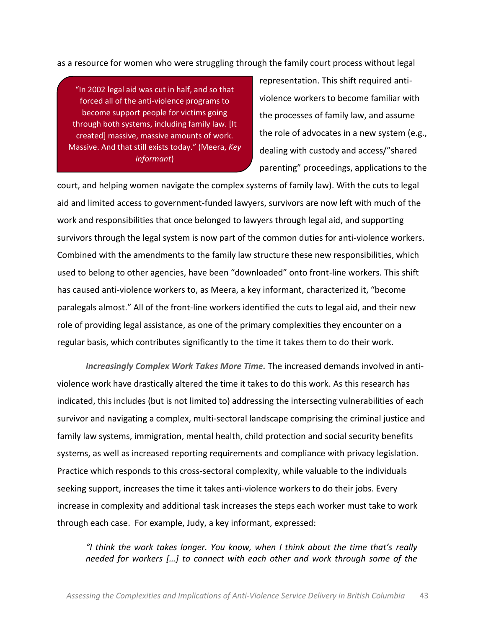as a resource for women who were struggling through the family court process without legal

"In 2002 legal aid was cut in half, and so that forced all of the anti-violence programs to become support people for victims going through both systems, including family law. [It created] massive, massive amounts of work. Massive. And that still exists today." (Meera, Key *informant*)

representation. This shift required antiviolence workers to become familiar with the processes of family law, and assume the role of advocates in a new system (e.g., dealing with custody and access/"shared parenting" proceedings, applications to the

court, and helping women navigate the complex systems of family law). With the cuts to legal aid and limited access to government-funded lawyers, survivors are now left with much of the work and responsibilities that once belonged to lawyers through legal aid, and supporting survivors through the legal system is now part of the common duties for anti-violence workers. Combined with the amendments to the family law structure these new responsibilities, which used to belong to other agencies, have been "downloaded" onto front-line workers. This shift has caused anti-violence workers to, as Meera, a key informant, characterized it, "become paralegals almost." All of the front-line workers identified the cuts to legal aid, and their new role of providing legal assistance, as one of the primary complexities they encounter on a regular basis, which contributes significantly to the time it takes them to do their work.

*Increasingly Complex Work Takes More Time.* The increased demands involved in antiviolence work have drastically altered the time it takes to do this work. As this research has indicated, this includes (but is not limited to) addressing the intersecting vulnerabilities of each survivor and navigating a complex, multi-sectoral landscape comprising the criminal justice and family law systems, immigration, mental health, child protection and social security benefits systems, as well as increased reporting requirements and compliance with privacy legislation. Practice which responds to this cross-sectoral complexity, while valuable to the individuals seeking support, increases the time it takes anti-violence workers to do their jobs. Every increase in complexity and additional task increases the steps each worker must take to work through each case. For example, Judy, a key informant, expressed:

*͞/ ƚŚŝŶŬ ƚŚĞ ǁŽƌŬ ƚĂŬĞƐ ůŽŶŐĞƌ͘ zŽƵ ŬŶŽǁ͕ ǁŚĞŶ/ ƚŚŝŶŬ ĂďŽƵƚ ƚŚĞ ƚŝŵĞ ƚŚĂƚ͛Ɛ really' needed for workers* [...] to connect with each other and work through some of the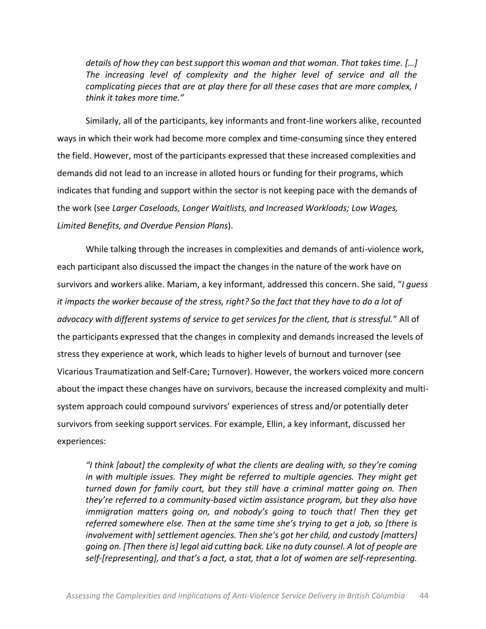details of how they can best support this woman and that woman. That takes time. [...] The increasing level of complexity and the higher level of service and all the *complicating'pieces'that'are'at'play'there'for'all'these'cases'that'are'more'complex,'I' think it takes more time.*"

Similarly, all of the participants, key informants and front-line workers alike, recounted ways in which their work had become more complex and time-consuming since they entered the field. However, most of the participants expressed that these increased complexities and demands did not lead to an increase in alloted hours or funding for their programs, which indicates that funding and support within the sector is not keeping pace with the demands of the work (see *Larger Caseloads, Longer Waitlists, and Increased Workloads; Low Wages, Limited'Benefits,'and'Overdue'Pension'Plans*).

While talking through the increases in complexities and demands of anti-violence work, each participant also discussed the impact the changes in the nature of the work have on survivors and workers alike. Mariam, a key informant, addressed this concern. She said, "I quess' it impacts the worker because of the stress, right? So the fact that they have to do a lot of advocacy with different systems of service to get services for the client, that is stressful." All of the participants expressed that the changes in complexity and demands increased the levels of stress they experience at work, which leads to higher levels of burnout and turnover (see Vicarious Traumatization and Self-Care; Turnover). However, the workers voiced more concern about the impact these changes have on survivors, because the increased complexity and multisystem approach could compound survivors' experiences of stress and/or potentially deter survivors from seeking support services. For example, Ellin, a key informant, discussed her experiences:

*I* think [about] the complexity of what the clients are dealing with, so they're coming in with multiple issues. They might be referred to multiple agencies. They might get *turned' down' for' family' court,' but' they' still' have' a' criminal' matter' going' on.' Then' they're referred to a community-based victim assistance program, but they also have immigration matters going on, and nobody's going to touch that! Then they get referred somewhere else. Then at the same time she's trying to get a job, so [there is involvement with] settlement agencies. Then she's got her child, and custody [matters] going'on.'[Then'there'is]'legal'aid'cutting'back.'Like'no'duty'counsel.'A'lot'of'people'are' self-[representing], and that's a fact, a stat, that a lot of women are self-representing.*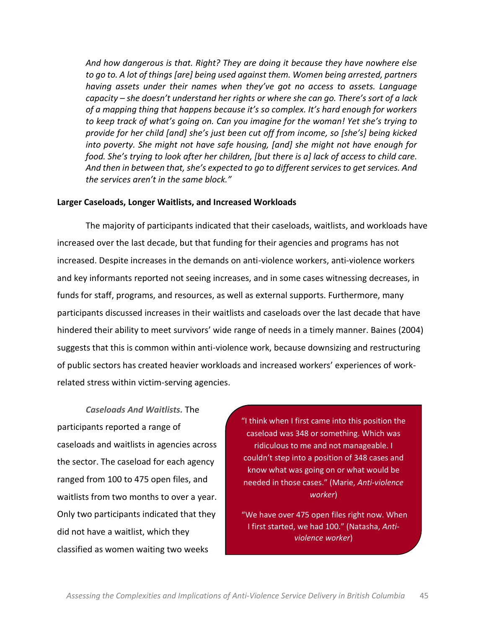And how dangerous is that. Right? They are doing it because they have nowhere else *to'go'to.'A'lot'of'things'[are]'being'used'against'them.'Women'being'arrested,'partners' having assets under their names when they've got no access to assets. Language capacity* – *she doesn't understand her rights or where she can go. There's sort of a lack* of a mapping thing that happens because it's so complex. It's hard enough for workers to keep track of what's going on. Can you imagine for the woman! Yet she's trying to provide for her child [and] she's just been cut off from income, so [she's] being kicked *into'poverty.'She'might'not'have'safe'housing,'[and]'she'might'not'have'enough'for' food. She's trying to look after her children, [but there is a] lack of access to child care.* And then in between that, she's expected to go to different services to get services. And *the services aren't in the same block."* 

### Larger Caseloads, Longer Waitlists, and Increased Workloads

The majority of participants indicated that their caseloads, waitlists, and workloads have increased over the last decade, but that funding for their agencies and programs has not increased. Despite increases in the demands on anti-violence workers, anti-violence workers and key informants reported not seeing increases, and in some cases witnessing decreases, in funds for staff, programs, and resources, as well as external supports. Furthermore, many participants discussed increases in their waitlists and caseloads over the last decade that have hindered their ability to meet survivors' wide range of needs in a timely manner. Baines (2004) suggests that this is common within anti-violence work, because downsizing and restructuring of public sectors has created heavier workloads and increased workers' experiences of workrelated stress within victim-serving agencies.

*Caseloads\$And\$Waitlists.* The! participants reported a range of caseloads and waitlists in agencies across the sector. The caseload for each agency ranged from 100 to 475 open files, and waitlists from two months to over a year. Only two participants indicated that they did not have a waitlist, which they classified as women waiting two weeks

"I think when I first came into this position the caseload was 348 or something. Which was ridiculous to me and not manageable. I couldn't step into a position of 348 cases and know what was going on or what would be needed in those cases." (Marie, Anti-violence *worker*)

"We have over 475 open files right now. When I first started, we had 100.<sup>"</sup> (Natasha, Anti*violence'worker*)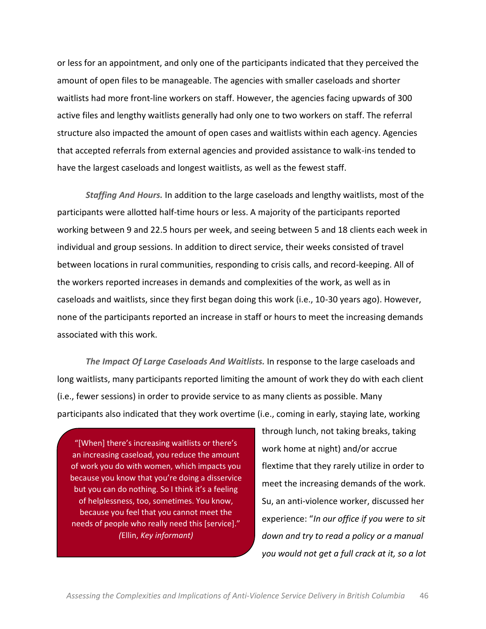or less for an appointment, and only one of the participants indicated that they perceived the amount of open files to be manageable. The agencies with smaller caseloads and shorter waitlists had more front-line workers on staff. However, the agencies facing upwards of 300 active files and lengthy waitlists generally had only one to two workers on staff. The referral structure also impacted the amount of open cases and waitlists within each agency. Agencies that accepted referrals from external agencies and provided assistance to walk-ins tended to have the largest caseloads and longest waitlists, as well as the fewest staff.

**Staffing And Hours.** In addition to the large caseloads and lengthy waitlists, most of the participants were allotted half-time hours or less. A majority of the participants reported working between 9 and 22.5 hours per week, and seeing between 5 and 18 clients each week in individual and group sessions. In addition to direct service, their weeks consisted of travel between locations in rural communities, responding to crisis calls, and record-keeping. All of the workers reported increases in demands and complexities of the work, as well as in caseloads and waitlists, since they first began doing this work (i.e., 10-30 years ago). However, none of the participants reported an increase in staff or hours to meet the increasing demands associated with this work.

The Impact Of Large Caseloads And Waitlists. In response to the large caseloads and long waitlists, many participants reported limiting the amount of work they do with each client (i.e., fewer sessions) in order to provide service to as many clients as possible. Many participants also indicated that they work overtime (i.e., coming in early, staying late, working

"[When] there's increasing waitlists or there's an increasing caseload, you reduce the amount of work you do with women, which impacts you because you know that you're doing a disservice but you can do nothing. So I think it's a feeling of helplessness, too, sometimes. You know, because you feel that you cannot meet the needs of people who really need this [service]." *(*Ellin,!*Key'informant)*

through lunch, not taking breaks, taking work home at night) and/or accrue flextime that they rarely utilize in order to meet the increasing demands of the work. Su, an anti-violence worker, discussed her experience: "In our office if you were to sit *down'and'try'to'read'a'policy'or'a'manual' you'would'not'get'a'full'crack'at'it,'so'a'lot'*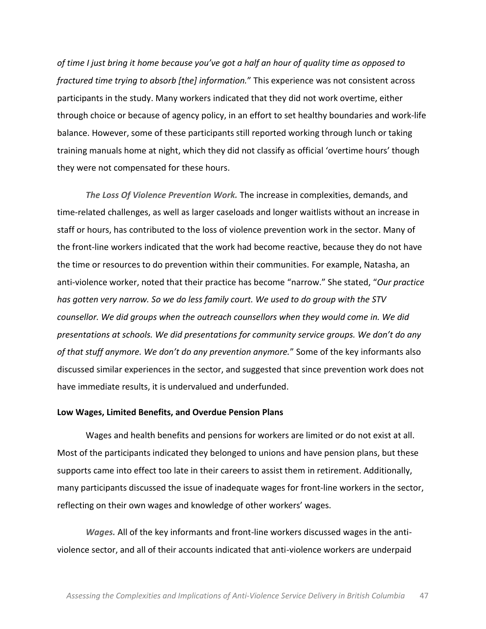*of time I just bring it home because you've got a half an hour of quality time as opposed to fractured time trying to absorb [the] information.*" This experience was not consistent across participants in the study. Many workers indicated that they did not work overtime, either through choice or because of agency policy, in an effort to set healthy boundaries and work-life balance. However, some of these participants still reported working through lunch or taking training manuals home at night, which they did not classify as official 'overtime hours' though they were not compensated for these hours.

*The Loss Of Violence Prevention Work.* **The increase in complexities, demands, and** time-related challenges, as well as larger caseloads and longer waitlists without an increase in staff or hours, has contributed to the loss of violence prevention work in the sector. Many of the front-line workers indicated that the work had become reactive, because they do not have the time or resources to do prevention within their communities. For example, Natasha, an anti-violence worker, noted that their practice has become "narrow." She stated, "Our practice has gotten very narrow. So we do less family court. We used to do group with the STV *counsellor.'We'did'groups'when'the'outreach'counsellors'when'they'would'come'in.'We'did' presentations at schools. We did presentations for community service groups. We don't do any of that stuff anymore. We don't do any prevention anymore.*" Some of the key informants also discussed similar experiences in the sector, and suggested that since prevention work does not have immediate results, it is undervalued and underfunded.

#### Low Wages, Limited Benefits, and Overdue Pension Plans

Wages and health benefits and pensions for workers are limited or do not exist at all. Most of the participants indicated they belonged to unions and have pension plans, but these supports came into effect too late in their careers to assist them in retirement. Additionally, many participants discussed the issue of inadequate wages for front-line workers in the sector, reflecting on their own wages and knowledge of other workers' wages.

*Wages.* All of the key informants and front-line workers discussed wages in the antiviolence sector, and all of their accounts indicated that anti-violence workers are underpaid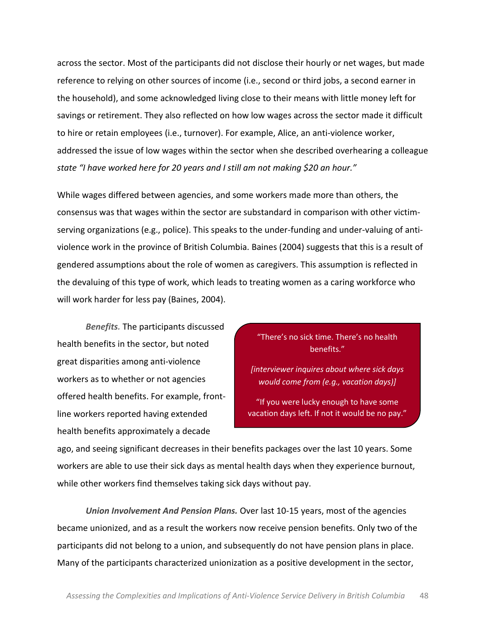across the sector. Most of the participants did not disclose their hourly or net wages, but made reference to relying on other sources of income (i.e., second or third jobs, a second earner in the household), and some acknowledged living close to their means with little money left for savings or retirement. They also reflected on how low wages across the sector made it difficult to hire or retain employees (i.e., turnover). For example, Alice, an anti-violence worker, addressed the issue of low wages within the sector when she described overhearing a colleague *state "I have worked here for 20 years and I still am not making \$20 an hour."* 

While wages differed between agencies, and some workers made more than others, the consensus was that wages within the sector are substandard in comparison with other victimserving organizations (e.g., police). This speaks to the under-funding and under-valuing of antiviolence work in the province of British Columbia. Baines (2004) suggests that this is a result of gendered assumptions about the role of women as caregivers. This assumption is reflected in the devaluing of this type of work, which leads to treating women as a caring workforce who will work harder for less pay (Baines, 2004).

**Benefits.** The participants discussed health benefits in the sector, but noted great disparities among anti-violence workers as to whether or not agencies offered health benefits. For example, frontline workers reported having extended health benefits approximately a decade

"There's no sick time. There's no health benefits."

*[interviewer'inquires'about'where'sick'days' would'come'from'(e.g.,'vacation'days)]*

"If you were lucky enough to have some vacation days left. If not it would be no pay."

(Su,!*Anti3violence'worker)*

ago, and seeing significant decreases in their benefits packages over the last 10 years. Some workers are able to use their sick days as mental health days when they experience burnout, while other workers find themselves taking sick days without pay.

*Union Involvement And Pension Plans.* Over last 10-15 years, most of the agencies became unionized, and as a result the workers now receive pension benefits. Only two of the participants did not belong to a union, and subsequently do not have pension plans in place. Many of the participants characterized unionization as a positive development in the sector,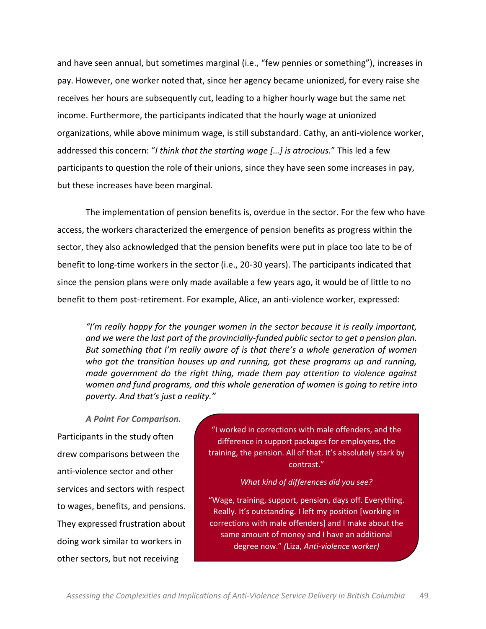and have seen annual, but sometimes marginal (i.e., "few pennies or something"), increases in pay. However, one worker noted that, since her agency became unionized, for every raise she receives her hours are subsequently cut, leading to a higher hourly wage but the same net income. Furthermore, the participants indicated that the hourly wage at unionized organizations, while above minimum wage, is still substandard. Cathy, an anti-violence worker, addressed this concern: "I think that the starting wage [...] is atrocious." This led a few participants to question the role of their unions, since they have seen some increases in pay, but these increases have been marginal.

The implementation of pension benefits is, overdue in the sector. For the few who have access, the workers characterized the emergence of pension benefits as progress within the sector, they also acknowledged that the pension benefits were put in place too late to be of benefit to long-time workers in the sector (i.e., 20-30 years). The participants indicated that since the pension plans were only made available a few years ago, it would be of little to no benefit to them post-retirement. For example, Alice, an anti-violence worker, expressed:

*I*/<sup>*m*</sup> really happy for the younger women in the sector because it is really important, and we were the last part of the provincially-funded public sector to get a pension plan. *But something that I'm really aware of is that there's a whole generation of women* who got the transition houses up and running, got these programs up and running, *made' government do' the' right' thing,'made' them' pay' attention' to' violence' against' women'and'fund'programs,'and'this'whole'generation'of'women'is'going'to'retire'into'* poverty. And that's just a reality."

*A\$Point\$For\$Comparison.* Participants in the study often drew comparisons between the anti-violence sector and other services and sectors with respect to wages, benefits, and pensions. They expressed frustration about doing work similar to workers in other sectors, but not receiving

"I worked in corrections with male offenders, and the difference in support packages for employees, the training, the pension. All of that. It's absolutely stark by contrast."

#### What kind of differences did you see?

"Wage, training, support, pension, days off. Everything. Really. It's outstanding. I left my position [working in corrections with male offenders] and I make about the same amount of money and I have an additional degree now." (Liza, Anti-violence worker)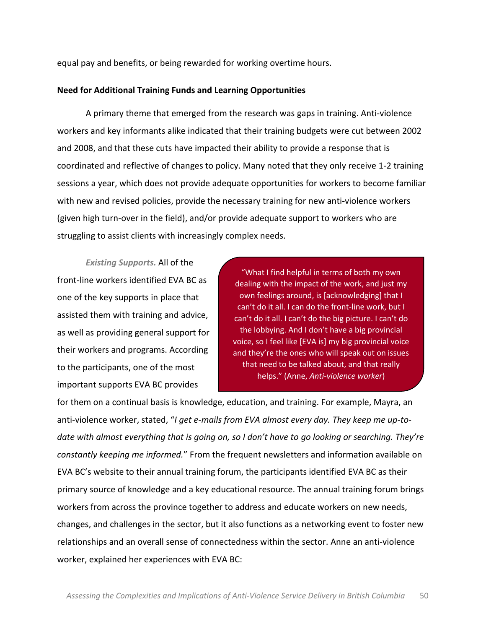equal pay and benefits, or being rewarded for working overtime hours.

## **Need'for'Additional'Training'Funds'and'Learning'Opportunities**

A primary theme that emerged from the research was gaps in training. Anti-violence workers and key informants alike indicated that their training budgets were cut between 2002 and 2008, and that these cuts have impacted their ability to provide a response that is coordinated and reflective of changes to policy. Many noted that they only receive 1-2 training sessions a year, which does not provide adequate opportunities for workers to become familiar with new and revised policies, provide the necessary training for new anti-violence workers (given high turn-over in the field), and/or provide adequate support to workers who are struggling to assist clients with increasingly complex needs.

*Existing Supports.* All of the front-line workers identified EVA BC as one of the key supports in place that assisted them with training and advice, as well as providing general support for their workers and programs. According to the participants, one of the most important supports EVA BC provides

"What I find helpful in terms of both my own dealing with the impact of the work, and just my own feelings around, is [acknowledging] that I can't do it all. I can do the front-line work, but I can't do it all. I can't do the big picture. I can't do the lobbying. And I don't have a big provincial voice, so I feel like [EVA is] my big provincial voice and they're the ones who will speak out on issues that need to be talked about, and that really helps." (Anne, Anti-violence worker)

for them on a continual basis is knowledge, education, and training. For example, Mayra, an anti-violence worker, stated, "*I'get e-mails from EVA almost every day. They keep me up-todate with almost everything that is going on, so I don't have to go looking or searching. They're constantly keeping me informed.*" From the frequent newsletters and information available on EVA BC's website to their annual training forum, the participants identified EVA BC as their primary source of knowledge and a key educational resource. The annual training forum brings workers from across the province together to address and educate workers on new needs, changes, and challenges in the sector, but it also functions as a networking event to foster new relationships and an overall sense of connectedness within the sector. Anne an anti-violence worker, explained her experiences with EVA BC: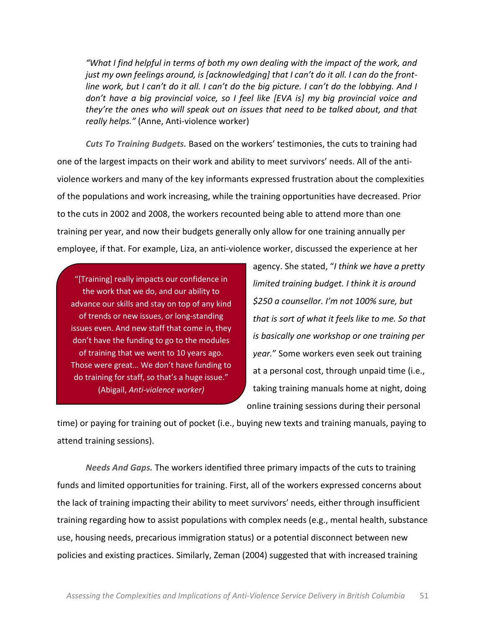*"What I find helpful in terms of both my own dealing with the impact of the work, and just my own feelings around, is [acknowledging] that I can't do it all. I can do the frontline work, but I can't do it all. I can't do the big picture. I can't do the lobbying. And I* don't have a big provincial voice, so I feel like [EVA is] my big provincial voice and *they're the ones who will speak out on issues that need to be talked about, and that really helps."* (Anne, Anti-violence worker)

**Cuts To Training Budgets.** Based on the workers' testimonies, the cuts to training had one of the largest impacts on their work and ability to meet survivors' needs. All of the antiviolence workers and many of the key informants expressed frustration about the complexities of the populations and work increasing, while the training opportunities have decreased. Prior to the cuts in 2002 and 2008, the workers recounted being able to attend more than one training per year, and now their budgets generally only allow for one training annually per employee, if that. For example, Liza, an anti-violence worker, discussed the experience at her

"[Training] really impacts our confidence in the work that we do, and our ability to advance our skills and stay on top of any kind of trends or new issues, or long-standing issues even. And new staff that come in, they don't have the funding to go to the modules of training that we went to 10 years ago. Those were great... We don't have funding to do training for staff, so that's a huge issue." (Abigail, Anti-violence worker)

agency. She stated, "I think we have a pretty' *limited'training'budget.'I'think'it'is'around' \$250 a counsellor. I'm not 100% sure, but* that is sort of what it feels like to me. So that *is'basically'one'workshop'or'one'training'per'* year." Some workers even seek out training at a personal cost, through unpaid time (i.e., taking training manuals home at night, doing online training sessions during their personal

time) or paying for training out of pocket (i.e., buying new texts and training manuals, paying to attend training sessions).

*Needs And Gaps.* The workers identified three primary impacts of the cuts to training funds and limited opportunities for training. First, all of the workers expressed concerns about the lack of training impacting their ability to meet survivors' needs, either through insufficient training regarding how to assist populations with complex needs (e.g., mental health, substance use, housing needs, precarious immigration status) or a potential disconnect between new policies and existing practices. Similarly, Zeman (2004) suggested that with increased training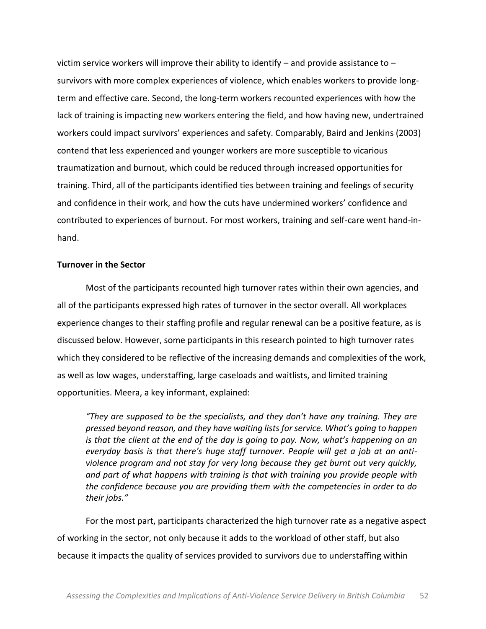victim service workers will improve their ability to identify  $-$  and provide assistance to  $$ survivors with more complex experiences of violence, which enables workers to provide longterm and effective care. Second, the long-term workers recounted experiences with how the lack of training is impacting new workers entering the field, and how having new, undertrained workers could impact survivors' experiences and safety. Comparably, Baird and Jenkins (2003) contend that less experienced and younger workers are more susceptible to vicarious traumatization and burnout, which could be reduced through increased opportunities for training. Third, all of the participants identified ties between training and feelings of security and confidence in their work, and how the cuts have undermined workers' confidence and contributed to experiences of burnout. For most workers, training and self-care went hand-inhand.

#### **Turnover in the Sector**

Most of the participants recounted high turnover rates within their own agencies, and all of the participants expressed high rates of turnover in the sector overall. All workplaces experience changes to their staffing profile and regular renewal can be a positive feature, as is discussed below. However, some participants in this research pointed to high turnover rates which they considered to be reflective of the increasing demands and complexities of the work, as well as low wages, understaffing, large caseloads and waitlists, and limited training opportunities. Meera, a key informant, explained:

*"They are supposed to be the specialists, and they don't have any training. They are* pressed beyond reason, and they have waiting lists for service. What's going to happen *is* that the client at the end of the day is going to pay. Now, what's happening on an *Everyday basis is that there's huge staff turnover. People will get a job at an antiviolence'program'and'not'stay'for'very'long'because'they'get'burnt'out'very'quickly,'* and part of what happens with training is that with training you provide people with *the'confidence'because'you'are'providing'them'with'the'competencies'in'order'to'do'* their jobs."

For the most part, participants characterized the high turnover rate as a negative aspect of working in the sector, not only because it adds to the workload of other staff, but also because it impacts the quality of services provided to survivors due to understaffing within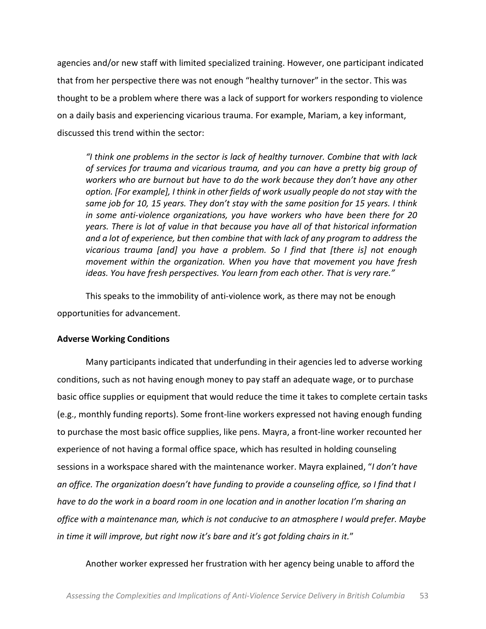agencies and/or new staff with limited specialized training. However, one participant indicated that from her perspective there was not enough "healthy turnover" in the sector. This was thought to be a problem where there was a lack of support for workers responding to violence on a daily basis and experiencing vicarious trauma. For example, Mariam, a key informant, discussed this trend within the sector:

*͞I'think'one'problems'in'the'sector'is'lack'of'healthy'turnover.'Combine'that'with'lack' of'services'for'trauma'and'vicarious'trauma,'and'you'can'have'a'pretty'big'group'of' workers who are burnout but have to do the work because they don't have any other* option. [For example], I think in other fields of work usually people do not stay with the *same job for 10, 15 years. They don't stay with the same position for 15 years. I think* in some anti-violence organizations, you have workers who have been there for 20' *years.'There'is'lot'of'value'in'that'because'you'have'all'of'that'historical'information'* and a lot of experience, but then combine that with lack of any program to address the *vicarious' trauma' [and]' you' have' a' problem.' So' I' find' that' [there' is]' not' enough' movement' within' the' organization.'When' you' have' that' movement' you' have' fresh' ideas. You have fresh perspectives. You learn from each other. That is very rare."* 

This speaks to the immobility of anti-violence work, as there may not be enough opportunities for advancement.

## **Adverse'Working'Conditions**

Many participants indicated that underfunding in their agencies led to adverse working conditions, such as not having enough money to pay staff an adequate wage, or to purchase basic office supplies or equipment that would reduce the time it takes to complete certain tasks (e.g., monthly funding reports). Some front-line workers expressed not having enough funding to purchase the most basic office supplies, like pens. Mayra, a front-line worker recounted her experience of not having a formal office space, which has resulted in holding counseling sessions in a workspace shared with the maintenance worker. Mayra explained, "I don't have an office. The organization doesn't have funding to provide a counseling office, so I find that I *have to do the work in a board room in one location and in another location I'm sharing an* office with a maintenance man, which is not conducive to an atmosphere I would prefer. Maybe *in time it will improve, but right now it's bare and it's got folding chairs in it."* 

Another worker expressed her frustration with her agency being unable to afford the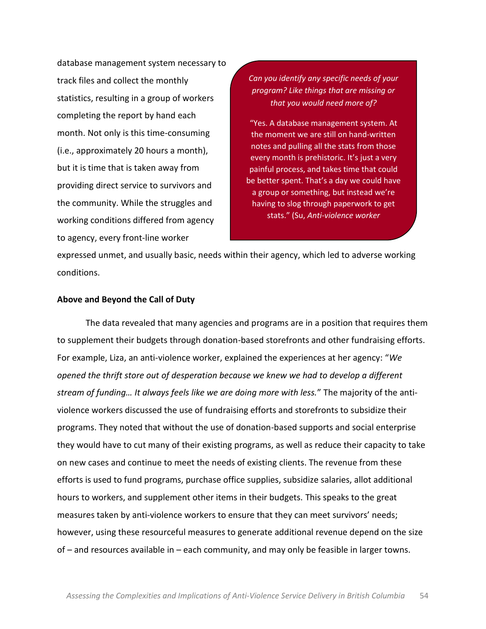database management system necessary to track files and collect the monthly statistics, resulting in a group of workers completing the report by hand each month. Not only is this time-consuming (i.e., approximately 20 hours a month), but it is time that is taken away from providing direct service to survivors and the community. While the struggles and working conditions differed from agency to agency, every front-line worker

*Can'you'identify'any'specific'needs'of'your' program?'Like'things'that'are'missing'or' that'you'would'need'more'of?*

"Yes. A database management system. At the moment we are still on hand-written notes and pulling all the stats from those every month is prehistoric. It's just a very painful process, and takes time that could be better spent. That's a day we could have a group or something, but instead we're having to slog through paperwork to get stats." (Su, Anti-violence worker

expressed unmet, and usually basic, needs within their agency, which led to adverse working conditions.

#### **Above'and'Beyond'the'Call'of'Duty'**

The data revealed that many agencies and programs are in a position that requires them to supplement their budgets through donation-based storefronts and other fundraising efforts. For example, Liza, an anti-violence worker, explained the experiences at her agency: "We *opened'the'thrift'store'out'of'desperation'because'we'knew'we'had'to'develop'a'different' stream of funding... It always feels like we are doing more with less.*" The majority of the antiviolence workers discussed the use of fundraising efforts and storefronts to subsidize their programs. They noted that without the use of donation-based supports and social enterprise they would have to cut many of their existing programs, as well as reduce their capacity to take on new cases and continue to meet the needs of existing clients. The revenue from these efforts is used to fund programs, purchase office supplies, subsidize salaries, allot additional hours to workers, and supplement other items in their budgets. This speaks to the great measures taken by anti-violence workers to ensure that they can meet survivors' needs; however, using these resourceful measures to generate additional revenue depend on the size of  $-$  and resources available in  $-$  each community, and may only be feasible in larger towns.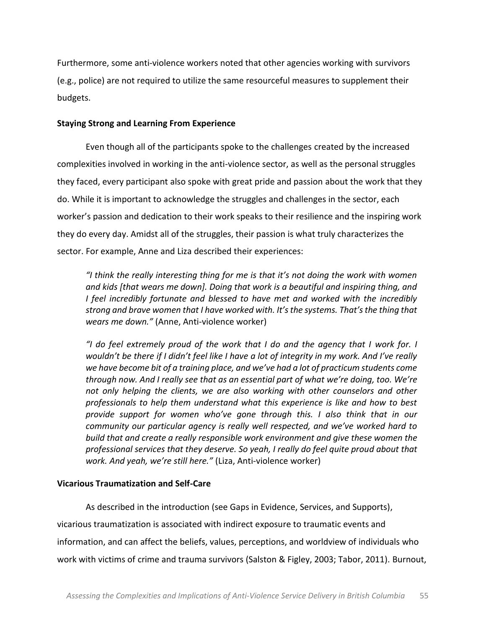Furthermore, some anti-violence workers noted that other agencies working with survivors (e.g., police) are not required to utilize the same resourceful measures to supplement their budgets.

## **Staying Strong and Learning From Experience**

Even though all of the participants spoke to the challenges created by the increased complexities involved in working in the anti-violence sector, as well as the personal struggles they faced, every participant also spoke with great pride and passion about the work that they do. While it is important to acknowledge the struggles and challenges in the sector, each worker's passion and dedication to their work speaks to their resilience and the inspiring work they do every day. Amidst all of the struggles, their passion is what truly characterizes the sector. For example, Anne and Liza described their experiences:

*"I* think the really interesting thing for me is that it's not doing the work with women *and'kids'[that'wears'me'down].'Doing'that'work'is'a'beautiful'and'inspiring'thing,'and' I' feel' incredibly' fortunate' and blessed' to' have' met' and' worked' with' the' incredibly' strong and brave women that I have worked with. It's the systems. That's the thing that wears me down."* (Anne, Anti-violence worker)

*"I* do feel extremely proud of the work that I do and the agency that I work for. I wouldn't be there if *I didn't feel like I have a lot of integrity in my work. And I've really* we have become bit of a training place, and we've had a lot of practicum students come *through now. And I really see that as an essential part of what we're doing, too. We're not' only' helping' the' clients,' we' are' also' working' with' other' counselors' and' other' professionals' to' help' them' understand'what' this'experience' is'like' and' how' to' best' ƉƌŽǀŝĚĞ ƐƵƉƉŽƌƚ ĨŽƌ ǁŽŵĞŶ ǁŚŽ͛ǀĞ ŐŽŶĞ ƚŚƌŽƵŐŚ ƚŚŝƐ͘ / ĂůƐŽ ƚŚŝŶŬ ƚhat' in' our' Community our particular agency is really well respected, and we've worked hard to build'that'and'create'a'really'responsible'work'environment'and'give'these'women'the' professional'services'that'they'deserve.'So'yeah,'I'really'do'feel'quite'proud'about'that' work. And yeah, we're still here."* (Liza, Anti-violence worker)

# **Vicarious Traumatization and Self-Care**

As described in the introduction (see Gaps in Evidence, Services, and Supports), vicarious traumatization is associated with indirect exposure to traumatic events and information, and can affect the beliefs, values, perceptions, and worldview of individuals who work with victims of crime and trauma survivors (Salston & Figley, 2003; Tabor, 2011). Burnout,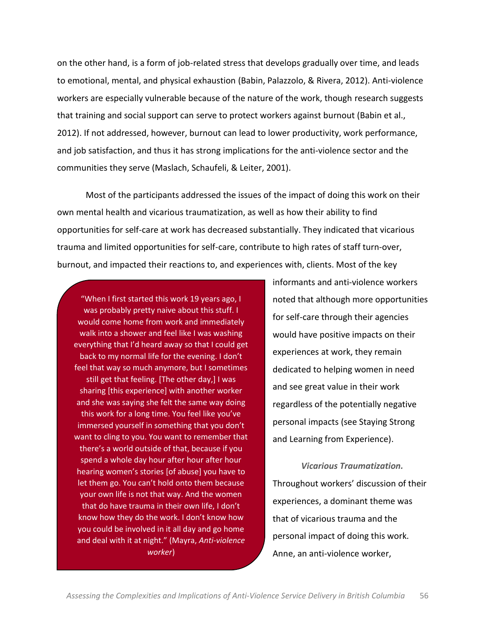on the other hand, is a form of job-related stress that develops gradually over time, and leads to emotional, mental, and physical exhaustion (Babin, Palazzolo, & Rivera, 2012). Anti-violence workers are especially vulnerable because of the nature of the work, though research suggests that training and social support can serve to protect workers against burnout (Babin et al., 2012). If not addressed, however, burnout can lead to lower productivity, work performance, and job satisfaction, and thus it has strong implications for the anti-violence sector and the communities they serve (Maslach, Schaufeli, & Leiter, 2001).

Most of the participants addressed the issues of the impact of doing this work on their own mental health and vicarious traumatization, as well as how their ability to find opportunities for self-care at work has decreased substantially. They indicated that vicarious trauma and limited opportunities for self-care, contribute to high rates of staff turn-over, burnout, and impacted their reactions to, and experiences with, clients. Most of the key

"When I first started this work 19 years ago, I was probably pretty naive about this stuff. I would come home from work and immediately walk into a shower and feel like I was washing everything that I'd heard away so that I could get back to my normal life for the evening. I don't feel that way so much anymore, but I sometimes still get that feeling. [The other day,] I was sharing [this experience] with another worker and she was saying she felt the same way doing this work for a long time. You feel like you've immersed yourself in something that you don't want to cling to you. You want to remember that there's a world outside of that, because if you spend a whole day hour after hour after hour hearing women's stories [of abuse] you have to let them go. You can't hold onto them because your own life is not that way. And the women that do have trauma in their own life, I don't know how they do the work. I don't know how you could be involved in it all day and go home and deal with it at night." (Mayra, Anti-violence *worker*)

informants and anti-violence workers noted that although more opportunities for self-care through their agencies would have positive impacts on their experiences at work, they remain dedicated to helping women in need and see great value in their work regardless of the potentially negative personal impacts (see Staying Strong and Learning from Experience).

*Vicarious\$Traumatization.* Throughout workers' discussion of their experiences, a dominant theme was that of vicarious trauma and the personal impact of doing this work. Anne, an anti-violence worker,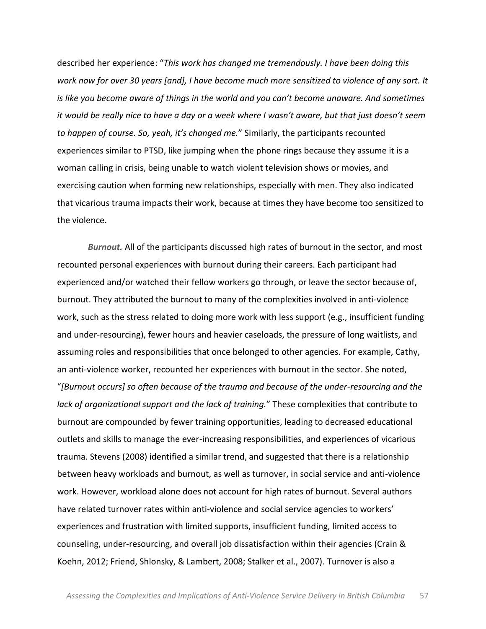described her experience: "This work has changed me tremendously. I have been doing this *work'now'for'over'30'years'[and],'I'have'become'much'more'sensitized'to'violence'of any'sort.'It' is like you become aware of things in the world and you can't become unaware. And sometimes it would be really nice to have a day or a week where I wasn't aware, but that just doesn't seem to happen of course. So, yeah, it's changed me.*" Similarly, the participants recounted experiences similar to PTSD, like jumping when the phone rings because they assume it is a woman calling in crisis, being unable to watch violent television shows or movies, and exercising caution when forming new relationships, especially with men. They also indicated that vicarious trauma impacts their work, because at times they have become too sensitized to the violence.

*Burnout.* All of the participants discussed high rates of burnout in the sector, and most recounted personal experiences with burnout during their careers. Each participant had experienced and/or watched their fellow workers go through, or leave the sector because of, burnout. They attributed the burnout to many of the complexities involved in anti-violence work, such as the stress related to doing more work with less support (e.g., insufficient funding and under-resourcing), fewer hours and heavier caseloads, the pressure of long waitlists, and assuming roles and responsibilities that once belonged to other agencies. For example, Cathy, an anti-violence worker, recounted her experiences with burnout in the sector. She noted, ͞*[Burnout'occurs]'so'often'because'of'the'trauma'and'because'of'the'under3resourcing'and'the' lack of organizational support and the lack of training.*" These complexities that contribute to burnout are compounded by fewer training opportunities, leading to decreased educational outlets and skills to manage the ever-increasing responsibilities, and experiences of vicarious trauma. Stevens (2008) identified a similar trend, and suggested that there is a relationship between heavy workloads and burnout, as well as turnover, in social service and anti-violence work. However, workload alone does not account for high rates of burnout. Several authors have related turnover rates within anti-violence and social service agencies to workers' experiences and frustration with limited supports, insufficient funding, limited access to counseling, under-resourcing, and overall job dissatisfaction within their agencies (Crain & Koehn, 2012; Friend, Shlonsky, & Lambert, 2008; Stalker et al., 2007). Turnover is also a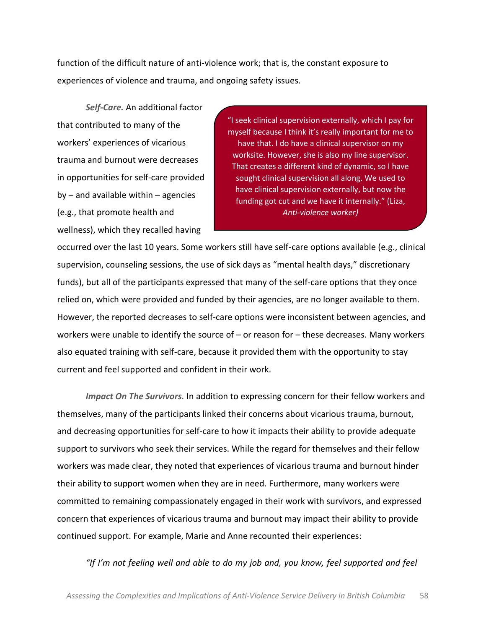function of the difficult nature of anti-violence work; that is, the constant exposure to experiences of violence and trauma, and ongoing safety issues.

**Self-Care.** An additional factor that contributed to many of the workers' experiences of vicarious trauma and burnout were decreases in opportunities for self-care provided by  $-$  and available within  $-$  agencies (e.g., that promote health and wellness), which they recalled having

"I seek clinical supervision externally, which I pay for myself because I think it's really important for me to have that. I do have a clinical supervisor on my worksite. However, she is also my line supervisor. That creates a different kind of dynamic, so I have sought clinical supervision all along. We used to have clinical supervision externally, but now the funding got cut and we have it internally." (Liza, Anti-violence worker)

occurred over the last 10 years. Some workers still have self-care options available (e.g., clinical supervision, counseling sessions, the use of sick days as "mental health days," discretionary funds), but all of the participants expressed that many of the self-care options that they once relied on, which were provided and funded by their agencies, are no longer available to them. However, the reported decreases to self-care options were inconsistent between agencies, and workers were unable to identify the source of  $-$  or reason for  $-$  these decreases. Many workers also equated training with self-care, because it provided them with the opportunity to stay current and feel supported and confident in their work.

*Impact On The Survivors.* In addition to expressing concern for their fellow workers and themselves, many of the participants linked their concerns about vicarious trauma, burnout, and decreasing opportunities for self-care to how it impacts their ability to provide adequate support to survivors who seek their services. While the regard for themselves and their fellow workers was made clear, they noted that experiences of vicarious trauma and burnout hinder their ability to support women when they are in need. Furthermore, many workers were committed to remaining compassionately engaged in their work with survivors, and expressed concern that experiences of vicarious trauma and burnout may impact their ability to provide continued support. For example, Marie and Anne recounted their experiences:

"If I'm not feeling well and able to do my job and, you know, feel supported and feel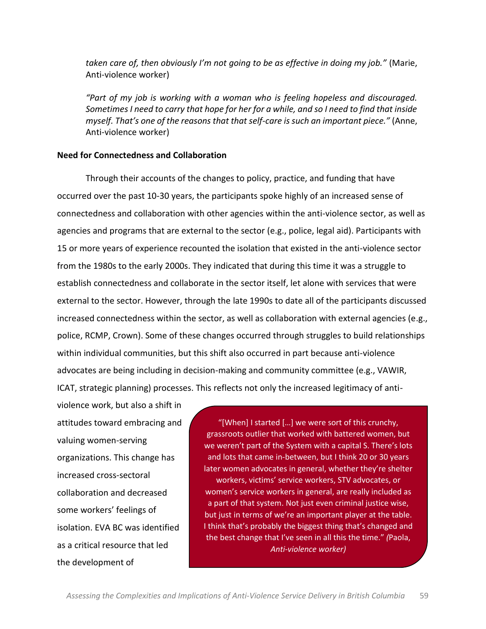taken care of, then obviously I'm not going to be as effective in doing my job." (Marie, Anti-violence worker)

*͞WĂƌƚ ŽĨŵLJũŽďŝƐǁŽƌŬŝŶŐǁŝƚŚ ĂǁŽŵĂŶ ǁŚŽ is' feeling' hopeless' and' discouraged.' Sometimes'I'need'to'carry'that'hope'for'her'for'a'while,'and'so'I'need'to'find'that'inside' myself. That's one of the reasons that that self-care is such an important piece."* (Anne, Anti-violence worker)

### **Need'for'Connectedness'and'Collaboration**

Through their accounts of the changes to policy, practice, and funding that have occurred over the past 10-30 years, the participants spoke highly of an increased sense of connectedness and collaboration with other agencies within the anti-violence sector, as well as agencies and programs that are external to the sector (e.g., police, legal aid). Participants with 15 or more years of experience recounted the isolation that existed in the anti-violence sector from the 1980s to the early 2000s. They indicated that during this time it was a struggle to establish connectedness and collaborate in the sector itself, let alone with services that were external to the sector. However, through the late 1990s to date all of the participants discussed increased connectedness within the sector, as well as collaboration with external agencies (e.g., police, RCMP, Crown). Some of these changes occurred through struggles to build relationships within individual communities, but this shift also occurred in part because anti-violence advocates are being including in decision-making and community committee (e.g., VAWIR, ICAT, strategic planning) processes. This reflects not only the increased legitimacy of anti-

violence work, but also a shift in attitudes toward embracing and valuing women-serving organizations. This change has increased cross-sectoral collaboration and decreased some workers' feelings of isolation. EVA BC was identified as a critical resource that led the development of

"[When] I started  $[...]$  we were sort of this crunchy, grassroots outlier that worked with battered women, but we weren't part of the System with a capital S. There's lots and lots that came in-between, but I think 20 or 30 years later women advocates in general, whether they're shelter workers, victims' service workers, STV advocates, or women's service workers in general, are really included as a part of that system. Not just even criminal justice wise, but just in terms of we're an important player at the table. I think that's probably the biggest thing that's changed and the best change that I've seen in all this the time.<sup>"</sup> (Paola, Anti-violence worker)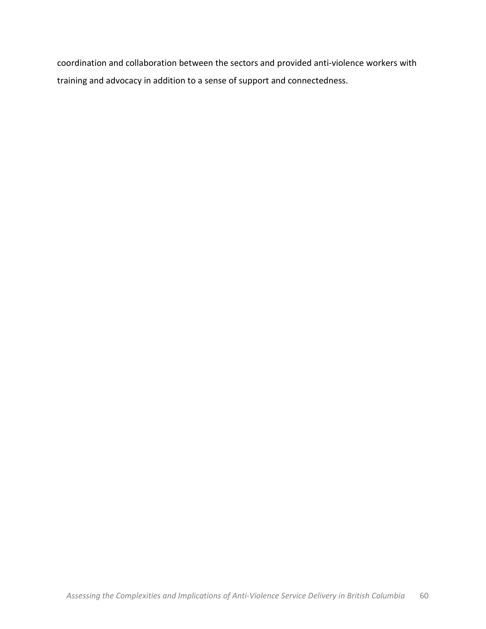coordination and collaboration between the sectors and provided anti-violence workers with training and advocacy in addition to a sense of support and connectedness.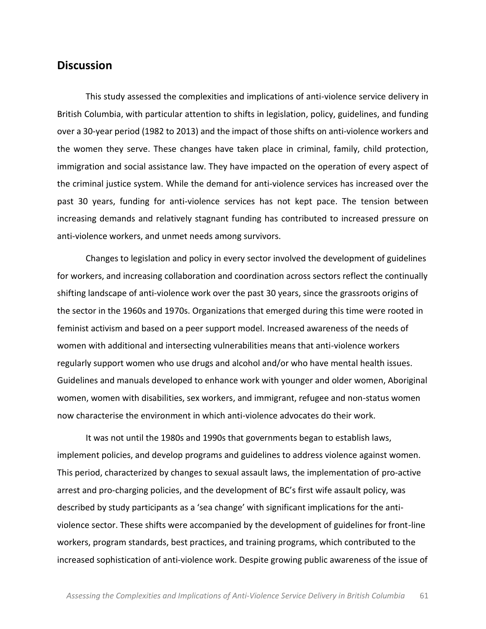# **Discussion**

This study assessed the complexities and implications of anti-violence service delivery in British Columbia, with particular attention to shifts in legislation, policy, guidelines, and funding over a 30-year period (1982 to 2013) and the impact of those shifts on anti-violence workers and the women they serve. These changes have taken place in criminal, family, child protection, immigration and social assistance law. They have impacted on the operation of every aspect of the criminal justice system. While the demand for anti-violence services has increased over the past 30 years, funding for anti-violence services has not kept pace. The tension between increasing demands and relatively stagnant funding has contributed to increased pressure on anti-violence workers, and unmet needs among survivors.

Changes to legislation and policy in every sector involved the development of guidelines for workers, and increasing collaboration and coordination across sectors reflect the continually shifting landscape of anti-violence work over the past 30 years, since the grassroots origins of the sector in the 1960s and 1970s. Organizations that emerged during this time were rooted in feminist activism and based on a peer support model. Increased awareness of the needs of women with additional and intersecting vulnerabilities means that anti-violence workers regularly support women who use drugs and alcohol and/or who have mental health issues. Guidelines and manuals developed to enhance work with younger and older women, Aboriginal women, women with disabilities, sex workers, and immigrant, refugee and non-status women now characterise the environment in which anti-violence advocates do their work.

It was not until the 1980s and 1990s that governments began to establish laws, implement policies, and develop programs and guidelines to address violence against women. This period, characterized by changes to sexual assault laws, the implementation of pro-active arrest and pro-charging policies, and the development of BC's first wife assault policy, was described by study participants as a 'sea change' with significant implications for the antiviolence sector. These shifts were accompanied by the development of guidelines for front-line workers, program standards, best practices, and training programs, which contributed to the increased sophistication of anti-violence work. Despite growing public awareness of the issue of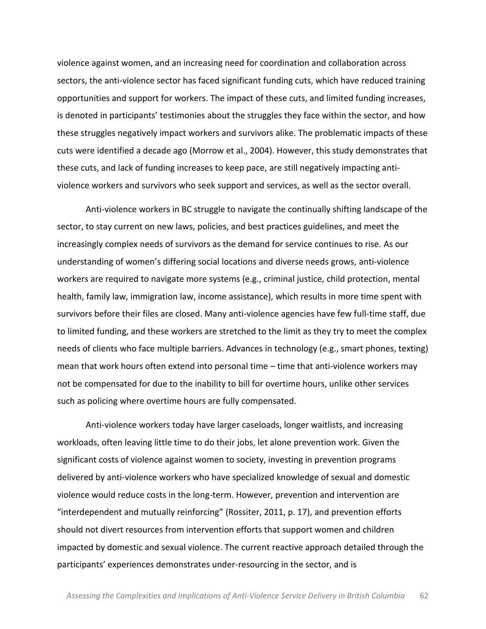violence against women, and an increasing need for coordination and collaboration across sectors, the anti-violence sector has faced significant funding cuts, which have reduced training opportunities and support for workers. The impact of these cuts, and limited funding increases, is denoted in participants' testimonies about the struggles they face within the sector, and how these struggles negatively impact workers and survivors alike. The problematic impacts of these cuts were identified a decade ago (Morrow et al., 2004). However, this study demonstrates that these cuts, and lack of funding increases to keep pace, are still negatively impacting antiviolence workers and survivors who seek support and services, as well as the sector overall.

Anti-violence workers in BC struggle to navigate the continually shifting landscape of the sector, to stay current on new laws, policies, and best practices guidelines, and meet the increasingly complex needs of survivors as the demand for service continues to rise. As our understanding of women's differing social locations and diverse needs grows, anti-violence workers are required to navigate more systems (e.g., criminal justice, child protection, mental health, family law, immigration law, income assistance), which results in more time spent with survivors before their files are closed. Many anti-violence agencies have few full-time staff, due to limited funding, and these workers are stretched to the limit as they try to meet the complex needs of clients who face multiple barriers. Advances in technology (e.g., smart phones, texting) mean that work hours often extend into personal time – time that anti-violence workers may not be compensated for due to the inability to bill for overtime hours, unlike other services such as policing where overtime hours are fully compensated.

Anti-violence workers today have larger caseloads, longer waitlists, and increasing workloads, often leaving little time to do their jobs, let alone prevention work. Given the significant costs of violence against women to society, investing in prevention programs delivered by anti-violence workers who have specialized knowledge of sexual and domestic violence would reduce costs in the long-term. However, prevention and intervention are "interdependent and mutually reinforcing" (Rossiter, 2011, p. 17), and prevention efforts should not divert resources from intervention efforts that support women and children impacted by domestic and sexual violence. The current reactive approach detailed through the participants' experiences demonstrates under-resourcing in the sector, and is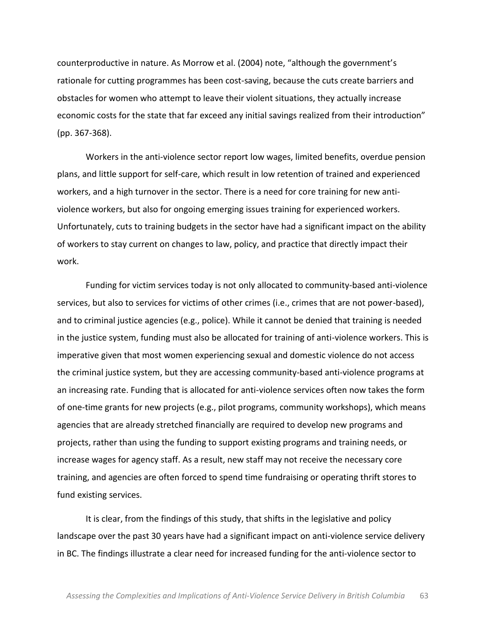counterproductive in nature. As Morrow et al. (2004) note, "although the government's rationale for cutting programmes has been cost-saving, because the cuts create barriers and obstacles for women who attempt to leave their violent situations, they actually increase economic costs for the state that far exceed any initial savings realized from their introduction"  $(pp. 367-368).$ 

Workers in the anti-violence sector report low wages, limited benefits, overdue pension plans, and little support for self-care, which result in low retention of trained and experienced workers, and a high turnover in the sector. There is a need for core training for new antiviolence workers, but also for ongoing emerging issues training for experienced workers. Unfortunately, cuts to training budgets in the sector have had a significant impact on the ability of workers to stay current on changes to law, policy, and practice that directly impact their work.

Funding for victim services today is not only allocated to community-based anti-violence services, but also to services for victims of other crimes (i.e., crimes that are not power-based), and to criminal justice agencies (e.g., police). While it cannot be denied that training is needed in the justice system, funding must also be allocated for training of anti-violence workers. This is imperative given that most women experiencing sexual and domestic violence do not access the criminal justice system, but they are accessing community-based anti-violence programs at an increasing rate. Funding that is allocated for anti-violence services often now takes the form of one-time grants for new projects (e.g., pilot programs, community workshops), which means agencies that are already stretched financially are required to develop new programs and projects, rather than using the funding to support existing programs and training needs, or increase wages for agency staff. As a result, new staff may not receive the necessary core training, and agencies are often forced to spend time fundraising or operating thrift stores to fund existing services.

It is clear, from the findings of this study, that shifts in the legislative and policy landscape over the past 30 years have had a significant impact on anti-violence service delivery in BC. The findings illustrate a clear need for increased funding for the anti-violence sector to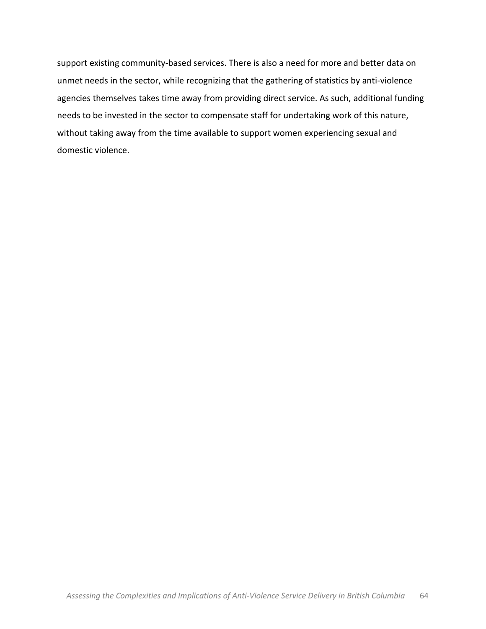support existing community-based services. There is also a need for more and better data on unmet needs in the sector, while recognizing that the gathering of statistics by anti-violence agencies themselves takes time away from providing direct service. As such, additional funding needs to be invested in the sector to compensate staff for undertaking work of this nature, without taking away from the time available to support women experiencing sexual and domestic violence.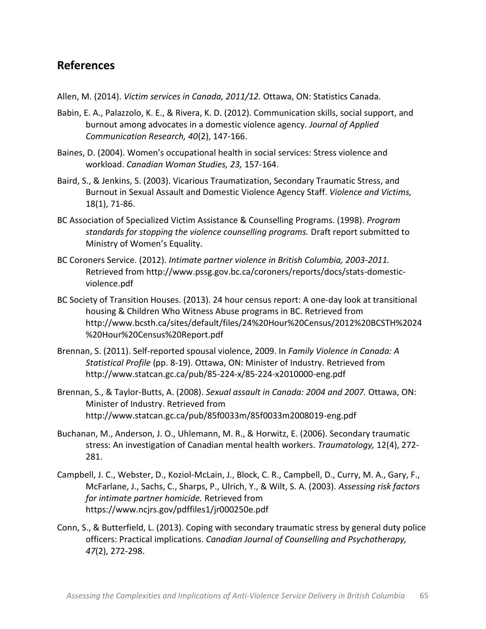# **References**

Allen, M. (2014). *Victim services in Canada, 2011/12.* Ottawa, ON: Statistics Canada.

- Babin, E. A., Palazzolo, K. E., & Rivera, K. D. (2012). Communication skills, social support, and burnout among advocates in a domestic violence agency. *Journal of Applied Communication Research, 40(2), 147-166.*
- Baines, D. (2004). Women's occupational health in social services: Stress violence and workload. Canadian Woman Studies, 23, 157-164.
- Baird, S., & Jenkins, S. (2003). Vicarious Traumatization, Secondary Traumatic Stress, and Burnout in Sexual Assault and Domestic Violence Agency Staff. Violence and Victims, 18(1), 71-86.
- BC Association of Specialized Victim Assistance & Counselling Programs. (1998). *Program* standards for stopping the violence counselling programs. Draft report submitted to Ministry of Women's Equality.
- BC Coroners Service. (2012). *Intimate partner violence in British Columbia, 2003-2011.* Retrieved from http://www.pssg.gov.bc.ca/coroners/reports/docs/stats-domesticviolence.pdf
- BC Society of Transition Houses. (2013). 24 hour census report: A one-day look at transitional housing & Children Who Witness Abuse programs in BC. Retrieved from http://www.bcsth.ca/sites/default/files/24%20Hour%20Census/2012%20BCSTH%2024 %20Hour%20Census%20Report.pdf
- Brennan, S. (2011). Self-reported spousal violence, 2009. In *Family Violence in Canada: A Statistical Profile* (pp. 8-19). Ottawa, ON: Minister of Industry. Retrieved from http://www.statcan.gc.ca/pub/85-224-x/85-224-x2010000-eng.pdf
- Brennan, S., & Taylor-Butts, A. (2008). Sexual assault in Canada: 2004 and 2007. Ottawa, ON: Minister of Industry. Retrieved from http://www.statcan.gc.ca/pub/85f0033m/85f0033m2008019-eng.pdf
- Buchanan, M., Anderson, J. O., Uhlemann, M. R., & Horwitz, E. (2006). Secondary traumatic stress: An investigation of Canadian mental health workers. *Traumatology,* 12(4), 272-281.!
- Campbell, J. C., Webster, D., Koziol-McLain, J., Block, C. R., Campbell, D., Curry, M. A., Gary, F., McFarlane, J., Sachs, C., Sharps, P., Ulrich, Y., & Wilt, S. A. (2003). *Assessing risk factors* for intimate partner homicide. Retrieved from https://www.ncjrs.gov/pdffiles1/jr000250e.pdf
- Conn, S., & Butterfield, L. (2013). Coping with secondary traumatic stress by general duty police officers: Practical implications. *Canadian Journal of Counselling and Psychotherapy*, *47*(2), 272-298.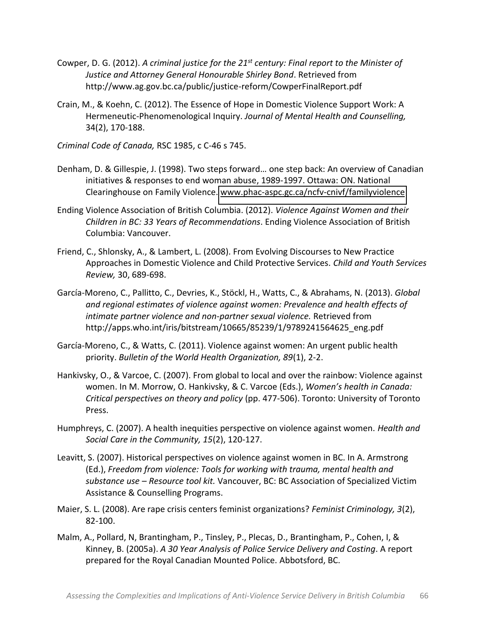- Cowper, D. G. (2012). *A criminal justice for the 21<sup>st</sup> century: Final report to the Minister of* Justice and Attorney General Honourable Shirley Bond. Retrieved from http://www.ag.gov.bc.ca/public/justice-reform/CowperFinalReport.pdf
- Crain, M., & Koehn, C. (2012). The Essence of Hope in Domestic Violence Support Work: A Hermeneutic-Phenomenological Inquiry. Journal of Mental Health and Counselling, 34(2), 170-188.
- *Criminal Code of Canada, RSC 1985, c C-46 s 745.*
- Denham, D. & Gillespie, J. (1998). Two steps forward... one step back: An overview of Canadian initiatives & responses to end woman abuse, 1989-1997. Ottawa: ON. National Clearinghouse on Family Violence. www.phac-aspc.gc.ca/ncfv-cnivf/familyviolence
- Ending Violence Association of British Columbia. (2012). *Violence Against Women and their Children in BC: 33 Years of Recommendations*. Ending Violence Association of British Columbia: Vancouver.
- Friend, C., Shlonsky, A., & Lambert, L. (2008). From Evolving Discourses to New Practice Approaches in Domestic Violence and Child Protective Services. *Child and Youth Services Review, 30, 689-698.*
- García-Moreno, C., Pallitto, C., Devries, K., Stöckl, H., Watts, C., & Abrahams, N. (2013). *Global and'regional'estimates'of'violence'against'women:'Prevalence'and'health'effects'of'* intimate partner violence and non-partner sexual violence. Retrieved from http://apps.who.int/iris/bitstream/10665/85239/1/9789241564625\_eng.pdf
- García-Moreno, C., & Watts, C. (2011). Violence against women: An urgent public health priority. Bulletin of the World Health Organization, 89(1), 2-2.
- Hankivsky, O., & Varcoe, C. (2007). From global to local and over the rainbow: Violence against women. In M. Morrow, O. Hankivsky, & C. Varcoe (Eds.), *Women's health in Canada: Critical perspectives on theory and policy* (pp. 477-506). Toronto: University of Toronto Press.
- Humphreys, C. (2007). A health inequities perspective on violence against women. *Health and* Social Care in the Community, 15(2), 120-127.
- Leavitt, S. (2007). Historical perspectives on violence against women in BC. In A. Armstrong (Ed.),!*Freedom'from'violence:'Tools'for'working'with'trauma,'mental'health'and'* substance use - Resource tool kit. Vancouver, BC: BC Association of Specialized Victim Assistance & Counselling Programs.
- Maier, S. L. (2008). Are rape crisis centers feminist organizations? *Feminist Criminology, 3*(2), 82-100.
- Malm, A., Pollard, N, Brantingham, P., Tinsley, P., Plecas, D., Brantingham, P., Cohen, I, & Kinney, B. (2005a). *A 30 Year Analysis of Police Service Delivery and Costing*. A report prepared for the Royal Canadian Mounted Police. Abbotsford, BC.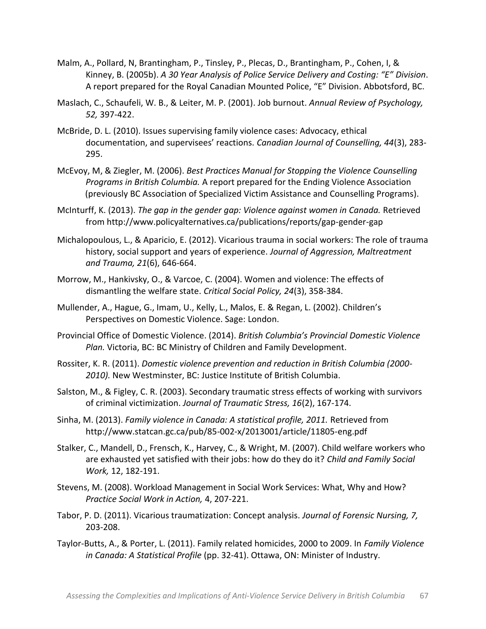- Malm, A., Pollard, N, Brantingham, P., Tinsley, P., Plecas, D., Brantingham, P., Cohen, I, & Kinney, B. (2005b). A 30 Year Analysis of Police Service Delivery and Costing: "E" Division. A report prepared for the Royal Canadian Mounted Police, "E" Division. Abbotsford, BC.
- Maslach, C., Schaufeli, W. B., & Leiter, M. P. (2001). Job burnout. *Annual Review of Psychology,* 52, 397-422.
- McBride, D. L. (2010). Issues supervising family violence cases: Advocacy, ethical documentation, and supervisees' reactions. Canadian Journal of Counselling, 44(3), 283-295.
- McEvoy, M, & Ziegler, M. (2006). *Best Practices Manual for Stopping the Violence Counselling Programs in British Columbia.* A report prepared for the Ending Violence Association (previously BC Association of Specialized Victim Assistance and Counselling Programs).
- McInturff, K. (2013). *The gap in the gender gap: Violence against women in Canada.* Retrieved from http://www.policyalternatives.ca/publications/reports/gap-gender-gap
- Michalopoulous, L., & Aparicio, E. (2012). Vicarious trauma in social workers: The role of trauma history, social support and years of experience. *Journal of Aggression, Maltreatment* and Trauma, 21(6), 646-664.
- Morrow, M., Hankivsky, O., & Varcoe, C. (2004). Women and violence: The effects of dismantling the welfare state. *Critical Social Policy, 24*(3), 358-384.
- Mullender, A., Hague, G., Imam, U., Kelly, L., Malos, E. & Regan, L. (2002). Children's Perspectives on Domestic Violence. Sage: London.
- Provincial Office of Domestic Violence. (2014). *British Columbia's Provincial Domestic Violence* Plan. Victoria, BC: BC Ministry of Children and Family Development.
- Rossiter, K. R. (2011). *Domestic violence prevention and reduction in British Columbia (2000-*2010). New Westminster, BC: Justice Institute of British Columbia.
- Salston, M., & Figley, C. R. (2003). Secondary traumatic stress effects of working with survivors of criminal victimization. Journal of Traumatic Stress, 16(2), 167-174.
- Sinha, M. (2013). *Family violence in Canada: A statistical profile, 2011.* Retrieved from http://www.statcan.gc.ca/pub/85-002-x/2013001/article/11805-eng.pdf
- Stalker, C., Mandell, D., Frensch, K., Harvey, C., & Wright, M. (2007). Child welfare workers who are exhausted yet satisfied with their jobs: how do they do it? *Child and Family Social Work,* 12, 182-191.
- Stevens, M. (2008). Workload Management in Social Work Services: What, Why and How? *Practice Social Work in Action, 4, 207-221.*
- Tabor, P. D. (2011). Vicarious traumatization: Concept analysis. *Journal of Forensic Nursing, 7,* 203-208.
- Taylor-Butts, A., & Porter, L. (2011). Family related homicides, 2000 to 2009. In *Family Violence in Canada: A Statistical Profile* (pp. 32-41). Ottawa, ON: Minister of Industry.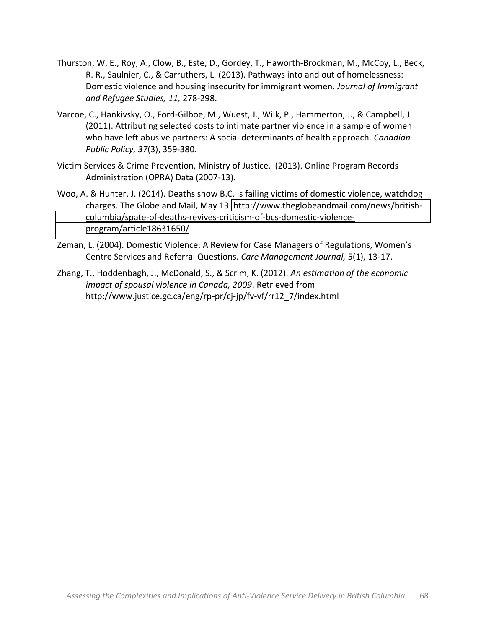- Thurston, W. E., Roy, A., Clow, B., Este, D., Gordey, T., Haworth-Brockman, M., McCoy, L., Beck, R. R., Saulnier, C., & Carruthers, L. (2013). Pathways into and out of homelessness: Domestic violence and housing insecurity for immigrant women. *Journal of Immigrant* and Refugee Studies, 11, 278-298.
- Varcoe, C., Hankivsky, O., Ford-Gilboe, M., Wuest, J., Wilk, P., Hammerton, J., & Campbell, J. (2011). Attributing selected costs to intimate partner violence in a sample of women who have left abusive partners: A social determinants of health approach. *Canadian Public Policy, 37(3), 359-380.*
- Victim Services & Crime Prevention, Ministry of Justice. (2013). Online Program Records Administration (OPRA) Data (2007-13).
- Woo, A. & Hunter, J. (2014). Deaths show B.C. is failing victims of domestic violence, watchdog charges. The Globe and Mail, May 13. http://www.theglobeandmail.com/news/britishcolumbia/spate-of-deaths-revives-criticism-of-bcs-domestic-violence[program/article18631650/](http://www.theglobeandmail.com/news/british-columbia/spate-of-deaths-revives-criticism-of-bcs-domestic-violence-program/article18631650/)
- Zeman, L. (2004). Domestic Violence: A Review for Case Managers of Regulations, Women's Centre Services and Referral Questions. *Care Management Journal,* 5(1), 13-17.
- Zhang, T., Hoddenbagh, J., McDonald, S., & Scrim, K. (2012). *An estimation of the economic impact of spousal violence in Canada, 2009.* Retrieved from http://www.justice.gc.ca/eng/rp-pr/cj-jp/fv-vf/rr12\_7/index.html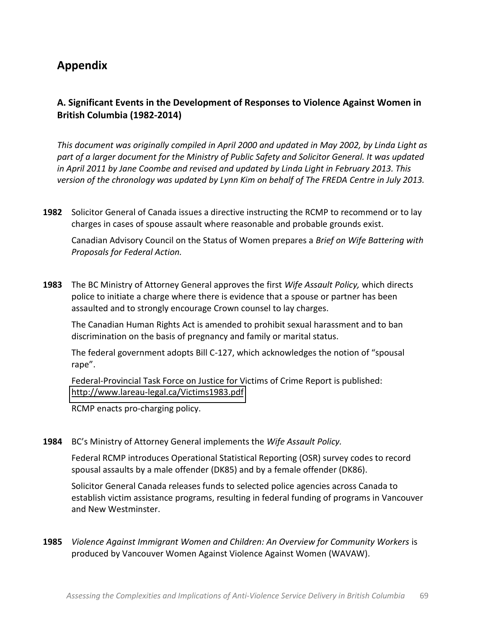# **Appendix**

# **A.'Significant'Events'in'the'Development'of'Responses'to'Violence'Against'Women'in' British Columbia (1982-2014)**

*This'document'was'originally'compiled'in'April'2000'and'updated'in'May'2002,'by'Linda'Light'as'* part of a larger document for the Ministry of Public Safety and Solicitor General. It was updated in April 2011 by Jane Coombe and revised and updated by Linda Light in February 2013. This *version'of'the'chronology'was'updated'by'Lynn'Kim'on'behalf'of'The'FREDA'Centre'in'July'2013.*

**1982** Solicitor General of Canada issues a directive instructing the RCMP to recommend or to lay charges in cases of spouse assault where reasonable and probable grounds exist.

Canadian Advisory Council on the Status of Women prepares a *Brief on Wife Battering with Proposals'for'Federal'Action.*

**1983** The BC Ministry of Attorney General approves the first *Wife Assault Policy,* which directs police to initiate a charge where there is evidence that a spouse or partner has been assaulted and to strongly encourage Crown counsel to lay charges.

The Canadian Human Rights Act is amended to prohibit sexual harassment and to ban discrimination on the basis of pregnancy and family or marital status.

The federal government adopts Bill C-127, which acknowledges the notion of "spousal rape".

Federal-Provincial Task Force on Justice for Victims of Crime Report is published: http://www.lareau-legal.ca/Victims1983.pdf

RCMP enacts pro-charging policy.

# 1984 BC's Ministry of Attorney General implements the Wife Assault Policy.

Federal RCMP introduces Operational Statistical Reporting (OSR) survey codes to record spousal assaults by a male offender (DK85) and by a female offender (DK86).

Solicitor General Canada releases funds to selected police agencies across Canada to establish victim assistance programs, resulting in federal funding of programs in Vancouver and New Westminster.

**1985** *Violence Against Immigrant Women and Children: An Overview for Community Workers* is produced by Vancouver Women Against Violence Against Women (WAVAW).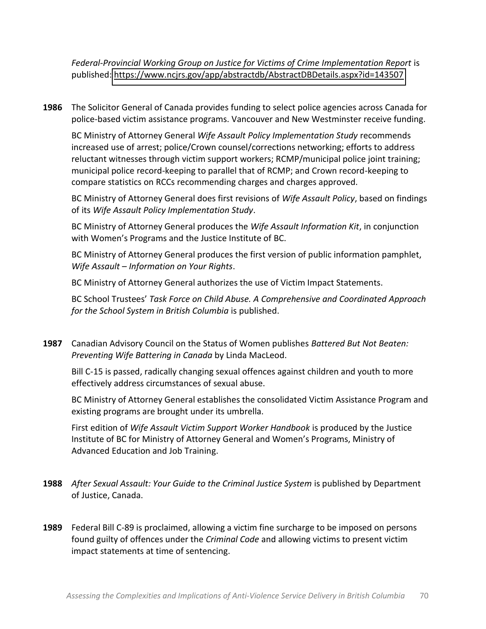Federal-Provincial Working Group on Justice for Victims of Crime Implementation Report is published:[!https://www.ncjrs.gov/app/abstractdb/AbstractDBDetails.aspx?id=143507](https://www.ncjrs.gov/app/abstractdb/AbstractDBDetails.aspx?id=143507)

**1986** The Solicitor General of Canada provides funding to select police agencies across Canada for police-based victim assistance programs. Vancouver and New Westminster receive funding.

BC Ministry of Attorney General *Wife Assault Policy Implementation Study* recommends increased use of arrest; police/Crown counsel/corrections networking; efforts to address reluctant witnesses through victim support workers; RCMP/municipal police joint training; municipal police record-keeping to parallel that of RCMP; and Crown record-keeping to compare statistics on RCCs recommending charges and charges approved.

BC Ministry of Attorney General does first revisions of *Wife Assault Policy*, based on findings of its *Wife Assault Policy Implementation Study*.

BC Ministry of Attorney General produces the *Wife Assault Information Kit*, in conjunction with Women's Programs and the Justice Institute of BC.

BC Ministry of Attorney General produces the first version of public information pamphlet, *Wife Assault* – *Information on Your Rights.* 

BC Ministry of Attorney General authorizes the use of Victim Impact Statements.

BC School Trustees' Task Force on Child Abuse. A Comprehensive and Coordinated Approach *for the School System in British Columbia* is published.

**1987** Canadian Advisory Council on the Status of Women publishes *Battered But Not Beaten:* Preventing Wife Battering in Canada by Linda MacLeod.

Bill C-15 is passed, radically changing sexual offences against children and youth to more effectively address circumstances of sexual abuse.

BC Ministry of Attorney General establishes the consolidated Victim Assistance Program and existing programs are brought under its umbrella.

First edition of *Wife Assault Victim Support Worker Handbook* is produced by the Justice Institute of BC for Ministry of Attorney General and Women's Programs, Ministry of Advanced Education and Job Training.

- **1988** *After Sexual Assault: Your Guide to the Criminal Justice System* is published by Department of Justice, Canada.
- **1989** Federal Bill C-89 is proclaimed, allowing a victim fine surcharge to be imposed on persons found guilty of offences under the *Criminal Code* and allowing victims to present victim impact statements at time of sentencing.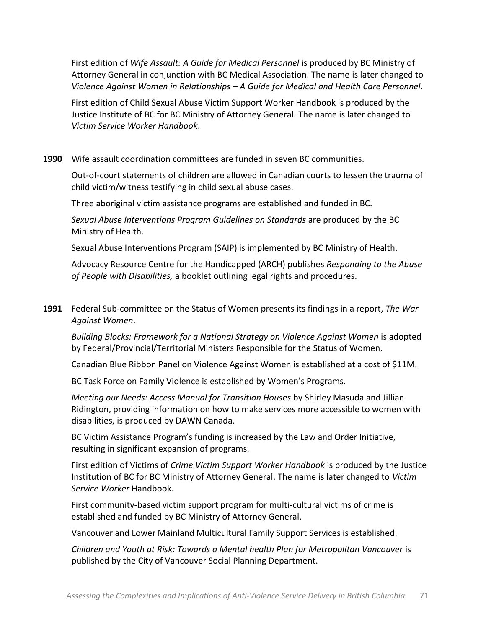First edition of *Wife Assault: A Guide for Medical Personnel* is produced by BC Ministry of Attorney General in conjunction with BC Medical Association. The name is later changed to *Violence'Against'Women'in'Relationships'ʹ A'Guide'for'Medical'and'Health'Care'Personnel*.

First edition of Child Sexual Abuse Victim Support Worker Handbook is produced by the Justice Institute of BC for BC Ministry of Attorney General. The name is later changed to *Victim'Service'Worker'Handbook*.

## **1990** Wife assault coordination committees are funded in seven BC communities.

Out-of-court statements of children are allowed in Canadian courts to lessen the trauma of child victim/witness testifying in child sexual abuse cases.

Three aboriginal victim assistance programs are established and funded in BC.

Sexual Abuse Interventions Program Guidelines on Standards are produced by the BC Ministry of Health.

Sexual Abuse Interventions Program (SAIP) is implemented by BC Ministry of Health.

Advocacy Resource Centre for the Handicapped (ARCH) publishes *Responding to the Abuse* of People with Disabilities, a booklet outlining legal rights and procedures.

**1991** Federal Sub-committee on the Status of Women presents its findings in a report, *The War Against'Women*.!

Building Blocks: Framework for a National Strategy on Violence Against Women is adopted by Federal/Provincial/Territorial Ministers Responsible for the Status of Women.

Canadian Blue Ribbon Panel on Violence Against Women is established at a cost of \$11M.

BC Task Force on Family Violence is established by Women's Programs.

*Meeting our Needs: Access Manual for Transition Houses by Shirley Masuda and Jillian* Ridington, providing information on how to make services more accessible to women with disabilities, is produced by DAWN Canada.

BC Victim Assistance Program's funding is increased by the Law and Order Initiative, resulting in significant expansion of programs.

First edition of Victims of *Crime Victim Support Worker Handbook* is produced by the Justice Institution of BC for BC Ministry of Attorney General. The name is later changed to *Victim Service'Worker* Handbook.

First community-based victim support program for multi-cultural victims of crime is established and funded by BC Ministry of Attorney General.

Vancouver and Lower Mainland Multicultural Family Support Services is established.

*Children'and'Youth'at'Risk:'Towards'a'Mental'health'Plan'for'Metropolitan'Vancouver* is! published by the City of Vancouver Social Planning Department.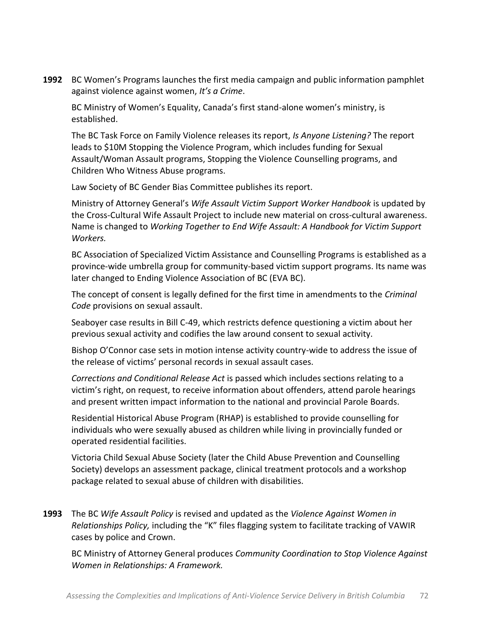**1992** BC Women's Programs launches the first media campaign and public information pamphlet against violence against women, It's a Crime.

BC Ministry of Women's Equality, Canada's first stand-alone women's ministry, is established.

The BC Task Force on Family Violence releases its report, *Is Anyone Listening?* The report leads to \$10M Stopping the Violence Program, which includes funding for Sexual Assault/Woman Assault programs, Stopping the Violence Counselling programs, and Children Who Witness Abuse programs.

Law Society of BC Gender Bias Committee publishes its report.

Ministry of Attorney General's *Wife Assault Victim Support Worker Handbook* is updated by the Cross-Cultural Wife Assault Project to include new material on cross-cultural awareness. Name is changed to *Working Together to End Wife Assault: A Handbook for Victim Support Workers.*

BC Association of Specialized Victim Assistance and Counselling Programs is established as a province-wide umbrella group for community-based victim support programs. Its name was later changed to Ending Violence Association of BC (EVA BC).

The concept of consent is legally defined for the first time in amendments to the *Criminal Code* provisions on sexual assault.

Seaboyer case results in Bill C-49, which restricts defence questioning a victim about her previous sexual activity and codifies the law around consent to sexual activity.

Bishop O'Connor case sets in motion intense activity country-wide to address the issue of the release of victims' personal records in sexual assault cases.

*Corrections and Conditional Release Act* is passed which includes sections relating to a victim's right, on request, to receive information about offenders, attend parole hearings and present written impact information to the national and provincial Parole Boards.

Residential Historical Abuse Program (RHAP) is established to provide counselling for individuals who were sexually abused as children while living in provincially funded or operated residential facilities.

Victoria Child Sexual Abuse Society (later the Child Abuse Prevention and Counselling Society) develops an assessment package, clinical treatment protocols and a workshop package related to sexual abuse of children with disabilities.

**1993** The BC *Wife Assault Policy* is revised and updated as the *Violence Against Women in Relationships Policy, including the "K" files flagging system to facilitate tracking of VAWIR* cases by police and Crown.

BC Ministry of Attorney General produces *Community Coordination to Stop Violence Against Women in Relationships: A Framework.*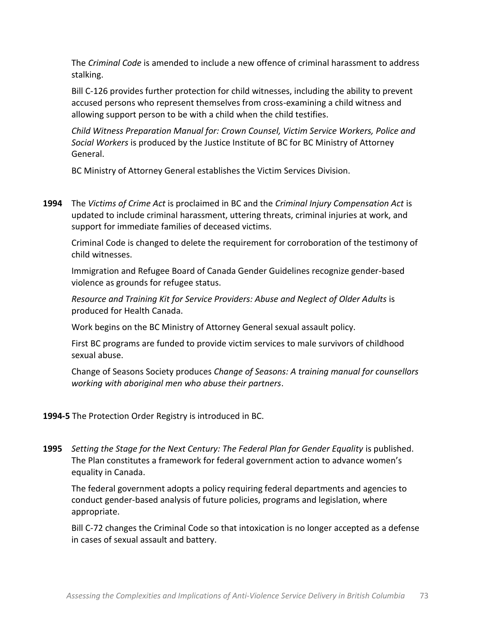The *Criminal Code* is amended to include a new offence of criminal harassment to address stalking.

Bill C-126 provides further protection for child witnesses, including the ability to prevent accused persons who represent themselves from cross-examining a child witness and allowing support person to be with a child when the child testifies.

*Child'Witness'Preparation'Manual'for:'Crown'Counsel,'Victim'Service'Workers,'Police'and' Social Workers* is produced by the Justice Institute of BC for BC Ministry of Attorney General.

BC Ministry of Attorney General establishes the Victim Services Division.

**1994** The *Victims of Crime Act* is proclaimed in BC and the *Criminal Injury Compensation Act* is updated to include criminal harassment, uttering threats, criminal injuries at work, and support for immediate families of deceased victims.

Criminal Code is changed to delete the requirement for corroboration of the testimony of child!witnesses.

Immigration and Refugee Board of Canada Gender Guidelines recognize gender-based violence as grounds for refugee status.

Resource and Training Kit for Service Providers: Abuse and Neglect of Older Adults is produced for Health Canada.

Work begins on the BC Ministry of Attorney General sexual assault policy.

First BC programs are funded to provide victim services to male survivors of childhood sexual abuse.

Change!of!Seasons!Society!produces!*Change of'Seasons:'A'training'manual'for'counsellors' working'with'aboriginal'men'who'abuse'their'partners*.

## **1994-5** The Protection Order Registry is introduced in BC.

**1995** Setting the Stage for the Next Century: The Federal Plan for Gender Equality is published. The Plan constitutes a framework for federal government action to advance women's equality in Canada.

The federal government adopts a policy requiring federal departments and agencies to conduct gender-based analysis of future policies, programs and legislation, where appropriate.

Bill C-72 changes the Criminal Code so that intoxication is no longer accepted as a defense in cases of sexual assault and battery.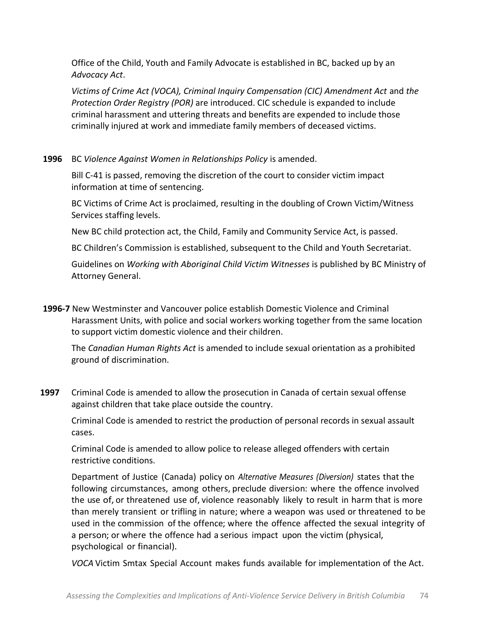Office of the Child, Youth and Family Advocate is established in BC, backed up by an *Advocacy'Act*.

Victims of Crime Act (VOCA), Criminal Inquiry Compensation (CIC) Amendment Act and the *Protection Order Registry (POR)* are introduced. CIC schedule is expanded to include criminal harassment and uttering threats and benefits are expended to include those criminally injured at work and immediate family members of deceased victims.

**1996** BC Violence Against Women in Relationships Policy is amended.

Bill C-41 is passed, removing the discretion of the court to consider victim impact information at time of sentencing.

BC Victims of Crime Act is proclaimed, resulting in the doubling of Crown Victim/Witness Services staffing levels.

New BC child protection act, the Child, Family and Community Service Act, is passed.

BC Children's Commission is established, subsequent to the Child and Youth Secretariat.

Guidelines on *Working with Aboriginal Child Victim Witnesses* is published by BC Ministry of Attorney General.

**1996-7** New Westminster and Vancouver police establish Domestic Violence and Criminal Harassment Units, with police and social workers working together from the same location to support victim domestic violence and their children.

The *Canadian Human Rights Act* is amended to include sexual orientation as a prohibited ground of discrimination.

**1997** Criminal Code is amended to allow the prosecution in Canada of certain sexual offense against children that take place outside the country.

Criminal Code is amended to restrict the production of personal records in sexual assault cases.

Criminal Code is amended to allow police to release alleged offenders with certain restrictive conditions.

Department of Justice (Canada) policy on *Alternative Measures (Diversion)* states that the following circumstances, among others, preclude diversion: where the offence involved the use of, or threatened use of, violence reasonably likely to result in harm that is more than merely transient or trifling in nature; where a weapon was used or threatened to be used in the commission of the offence; where the offence affected the sexual integrity of a person; or where the offence had a serious impact upon the victim (physical, psychological or financial).

*VOCA* Victim Smtax Special Account makes funds available for implementation of the Act.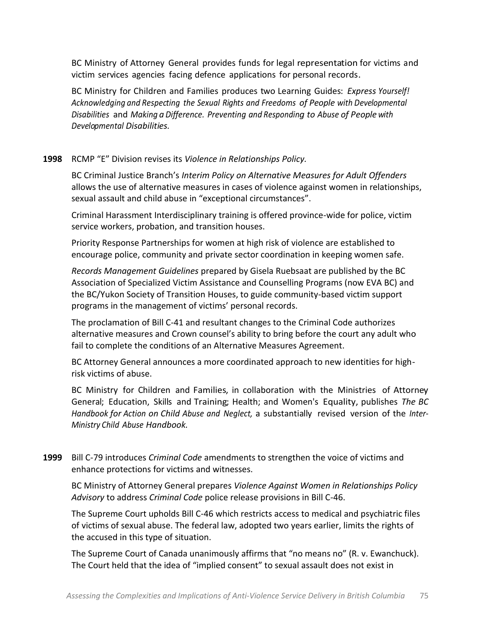BC Ministry of Attorney General provides funds for legal representation for victims and! victim services agencies facing defence applications for personal records.

BC Ministry for Children and Families produces two Learning Guides: *Express'Yourself! Acknowledging and Respecting the Sexual Rights and'Freedoms of People'with Developmental' Disabilities* and *Making a Difference. Preventing and Responding'to Abuse of People with Developmental Disabilities.*

## 1998 RCMP "E" Division revises its Violence in Relationships Policy.

BC Criminal Justice Branch's Interim Policy on Alternative Measures for Adult Offenders allows the use of alternative measures in cases of violence against women in relationships, sexual assault and child abuse in "exceptional circumstances".

Criminal Harassment Interdisciplinary training is offered province-wide for police, victim service workers, probation, and transition houses.

Priority Response Partnerships for women at high risk of violence are established to encourage police, community and private sector coordination in keeping women safe.

Records Management Guidelines prepared by Gisela Ruebsaat are published by the BC Association of Specialized Victim Assistance and Counselling Programs (now EVA BC) and the BC/Yukon Society of Transition Houses, to guide community-based victim support programs in the management of victims' personal records.

The proclamation of Bill C-41 and resultant changes to the Criminal Code authorizes alternative measures and Crown counsel's ability to bring before the court any adult who fail to complete the conditions of an Alternative Measures Agreement.

BC Attorney General announces a more coordinated approach to new identities for highrisk victims of abuse.

BC Ministry for Children and Families, in collaboration with the Ministries of Attorney General; Education, Skills and Training; Health; and Women's Equality, publishes *The'BC Handbook for Action on Child Abuse and Neglect,* a substantially revised version of the *Inter-Ministry Child Abuse Handbook.*

**1999** Bill C-79 introduces *Criminal Code* amendments to strengthen the voice of victims and enhance protections for victims and witnesses.

BC Ministry of Attorney General prepares *Violence Against Women in Relationships Policy* Advisory to address *Criminal Code* police release provisions in Bill C-46.

The Supreme Court upholds Bill C-46 which restricts access to medical and psychiatric files of victims of sexual abuse. The federal law, adopted two years earlier, limits the rights of the accused in this type of situation.

The Supreme Court of Canada unanimously affirms that "no means no" (R. v. Ewanchuck). The Court held that the idea of "implied consent" to sexual assault does not exist in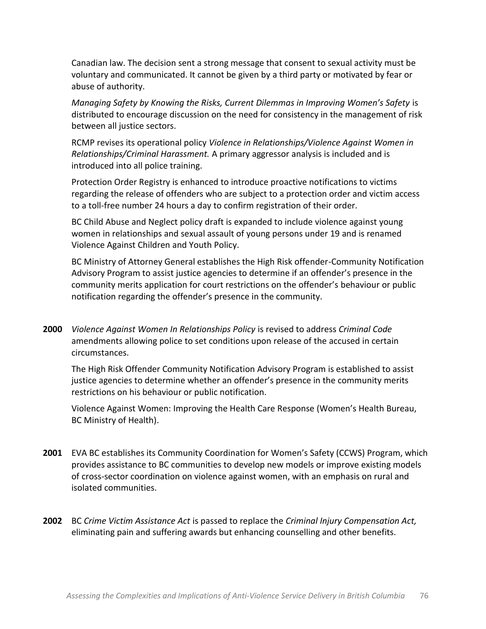Canadian law. The decision sent a strong message that consent to sexual activity must be voluntary and communicated. It cannot be given by a third party or motivated by fear or abuse of authority.

Managing Safety by Knowing the Risks, Current Dilemmas in Improving Women's Safety is distributed to encourage discussion on the need for consistency in the management of risk between all justice sectors.

RCMP revises its operational policy Violence in Relationships/Violence Against Women in Relationships/Criminal Harassment. A primary aggressor analysis is included and is introduced into all police training.

Protection Order Registry is enhanced to introduce proactive notifications to victims regarding the release of offenders who are subject to a protection order and victim access to a toll-free number 24 hours a day to confirm registration of their order.

BC Child Abuse and Neglect policy draft is expanded to include violence against young women in relationships and sexual assault of young persons under 19 and is renamed Violence Against Children and Youth Policy.

BC Ministry of Attorney General establishes the High Risk offender-Community Notification Advisory Program to assist justice agencies to determine if an offender's presence in the community merits application for court restrictions on the offender's behaviour or public notification regarding the offender's presence in the community.

2000 Violence Against Women In Relationships Policy is revised to address Criminal Code amendments allowing police to set conditions upon release of the accused in certain circumstances.

The High Risk Offender Community Notification Advisory Program is established to assist justice agencies to determine whether an offender's presence in the community merits restrictions on his behaviour or public notification.

Violence Against Women: Improving the Health Care Response (Women's Health Bureau, BC Ministry of Health).

- **2001** EVA BC establishes its Community Coordination for Women's Safety (CCWS) Program, which provides assistance to BC communities to develop new models or improve existing models of cross-sector coordination on violence against women, with an emphasis on rural and isolated communities.
- 2002 BC Crime Victim Assistance Act is passed to replace the Criminal Injury Compensation Act, eliminating pain and suffering awards but enhancing counselling and other benefits.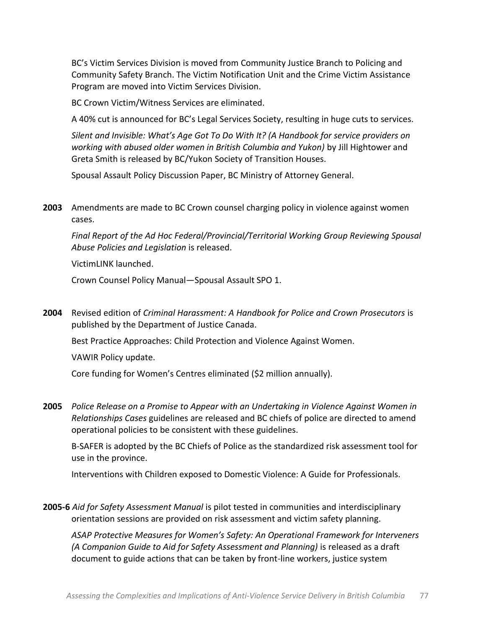BC's Victim Services Division is moved from Community Justice Branch to Policing and Community Safety Branch. The Victim Notification Unit and the Crime Victim Assistance Program are moved into Victim Services Division.

BC Crown Victim/Witness Services are eliminated.

A 40% cut is announced for BC's Legal Services Society, resulting in huge cuts to services.

Silent and Invisible: What's Age Got To Do With It? (A Handbook for service providers on working with abused older women in British Columbia and Yukon) by Jill Hightower and Greta Smith is released by BC/Yukon Society of Transition Houses.

Spousal Assault Policy Discussion Paper, BC Ministry of Attorney General.

2003 Amendments are made to BC Crown counsel charging policy in violence against women cases.

Final Report of the Ad Hoc Federal/Provincial/Territorial Working Group Reviewing Spousal Abuse Policies and Legislation is released.

VictimLINK launched.

Crown Counsel Policy Manual-Spousal Assault SPO 1.

2004 Revised edition of Criminal Harassment: A Handbook for Police and Crown Prosecutors is published by the Department of Justice Canada.

Best Practice Approaches: Child Protection and Violence Against Women.

VAWIR Policy update.

Core funding for Women's Centres eliminated (\$2 million annually).

2005 Police Release on a Promise to Appear with an Undertaking in Violence Against Women in Relationships Cases guidelines are released and BC chiefs of police are directed to amend operational policies to be consistent with these guidelines.

B-SAFER is adopted by the BC Chiefs of Police as the standardized risk assessment tool for use in the province.

Interventions with Children exposed to Domestic Violence: A Guide for Professionals.

2005-6 Aid for Safety Assessment Manual is pilot tested in communities and interdisciplinary orientation sessions are provided on risk assessment and victim safety planning.

ASAP Protective Measures for Women's Safety: An Operational Framework for Interveners (A Companion Guide to Aid for Safety Assessment and Planning) is released as a draft document to guide actions that can be taken by front-line workers, justice system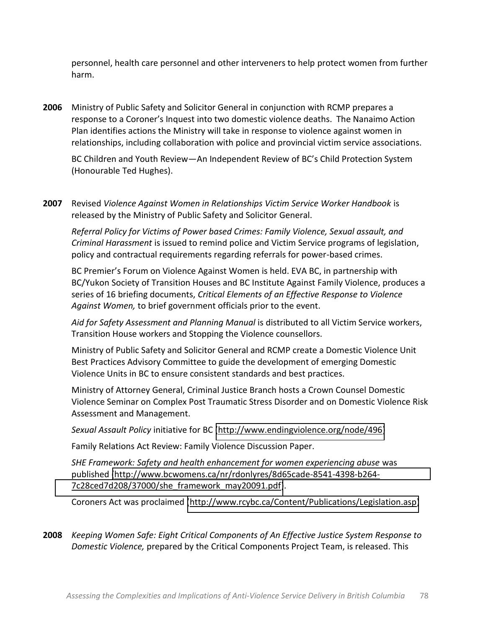personnel, health care personnel and other interveners to help protect women from further harm.

2006 Ministry of Public Safety and Solicitor General in conjunction with RCMP prepares a response to a Coroner's Inquest into two domestic violence deaths. The Nanaimo Action Plan identifies actions the Ministry will take in response to violence against women in relationships, including collaboration with police and provincial victim service associations.

BC Children and Youth Review — An Independent Review of BC's Child Protection System (Honourable Ted Hughes).

**2007** Revised *Violence Against Women in Relationships Victim Service Worker Handbook* is released by the Ministry of Public Safety and Solicitor General.

Referral Policy for Victims of Power based Crimes: Family Violence, Sexual assault, and *Criminal Harassment* is issued to remind police and Victim Service programs of legislation, policy and contractual requirements regarding referrals for power-based crimes.

BC Premier's Forum on Violence Against Women is held. EVA BC, in partnership with BC/Yukon Society of Transition Houses and BC Institute Against Family Violence, produces a series of 16 briefing documents, *Critical Elements of an Effective Response to Violence* Against Women, to brief government officials prior to the event.

Aid for Safety Assessment and Planning Manual is distributed to all Victim Service workers, Transition House workers and Stopping the Violence counsellors.

Ministry of Public Safety and Solicitor General and RCMP create a Domestic Violence Unit Best Practices Advisory Committee to guide the development of emerging Domestic Violence Units in BC to ensure consistent standards and best practices.

Ministry of Attorney General, Criminal Justice Branch hosts a Crown Counsel Domestic Violence Seminar on Complex Post Traumatic Stress Disorder and on Domestic Violence Risk Assessment and Management.

*Sexual Assault Policy* initiative for BC [\(http://www.endingviolence.org/node/496\)](http://www.endingviolence.org/node/496)

Family Relations Act Review: Family Violence Discussion Paper.

*SHE Framework: Safety and health enhancement for women experiencing abuse was* published (http://www.bcwomens.ca/nr/rdonlyres/8d65cade-8541-4398-b264-[7c28ced7d208/37000/she\\_framework\\_may20091.pdf\)](http://www.bcwomens.ca/nr/rdonlyres/8d65cade-8541-4398-b264-7c28ced7d208/37000/she_framework_may20091.pdf).

Coroners Act was proclaimed [\(http://www.rcybc.ca/Content/Publications/Legislation.asp\)](http://www.rcybc.ca/Content/Publications/Legislation.asp)

**2008** *Keeping'Women'Safe:'Eight'Critical'Components'of'An'Effective'Justice'System'Response'to' Domestic Violence,* prepared by the Critical Components Project Team, is released. This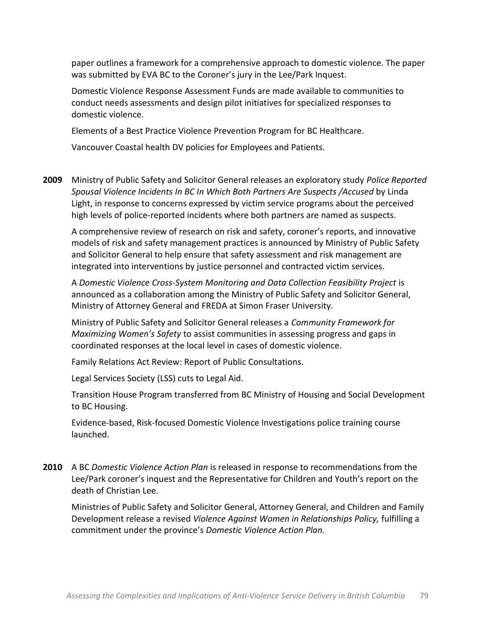paper outlines a framework for a comprehensive approach to domestic violence. The paper was submitted by EVA BC to the Coroner's jury in the Lee/Park Inquest.

Domestic Violence Response Assessment Funds are made available to communities to conduct needs assessments and design pilot initiatives for specialized responses to domestic violence.

Elements of a Best Practice Violence Prevention Program for BC Healthcare.

Vancouver Coastal health DV policies for Employees and Patients.

**2009** Ministry of Public Safety and Solicitor General releases an exploratory study *Police Reported* Spousal Violence Incidents In BC In Which Both Partners Are Suspects / Accused by Linda Light, in response to concerns expressed by victim service programs about the perceived high levels of police-reported incidents where both partners are named as suspects.

A comprehensive review of research on risk and safety, coroner's reports, and innovative models of risk and safety management practices is announced by Ministry of Public Safety and Solicitor General to help ensure that safety assessment and risk management are integrated into interventions by justice personnel and contracted victim services.

A Domestic Violence Cross-System Monitoring and Data Collection Feasibility Project is announced as a collaboration among the Ministry of Public Safety and Solicitor General, Ministry of Attorney General and FREDA at Simon Fraser University.

Ministry of Public Safety and Solicitor General releases a *Community Framework for Maximizing Women's Safety* to assist communities in assessing progress and gaps in coordinated responses at the local level in cases of domestic violence.

Family Relations Act Review: Report of Public Consultations.

Legal Services Society (LSS) cuts to Legal Aid.

Transition House Program transferred from BC Ministry of Housing and Social Development to BC Housing.

Evidence-based, Risk-focused Domestic Violence Investigations police training course launched.

**2010** A BC *Domestic Violence Action Plan* is released in response to recommendations from the Lee/Park coroner's inquest and the Representative for Children and Youth's report on the death of Christian Lee.

Ministries of Public Safety and Solicitor General, Attorney General, and Children and Family Development release a revised *Violence Against Women in Relationships Policy*, fulfilling a commitment under the province's Domestic Violence Action Plan.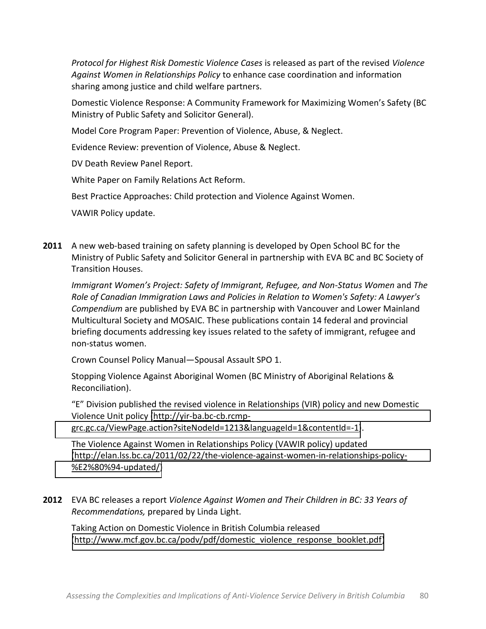*Protocol for Highest Risk Domestic Violence Cases* is released as part of the revised *Violence* Against Women in Relationships Policy to enhance case coordination and information sharing among justice and child welfare partners.

Domestic Violence Response: A Community Framework for Maximizing Women's Safety (BC Ministry of Public Safety and Solicitor General).

Model Core Program Paper: Prevention of Violence, Abuse, & Neglect.

Evidence Review: prevention of Violence, Abuse & Neglect.

DV Death Review Panel Report.

White Paper on Family Relations Act Reform.

Best Practice Approaches: Child protection and Violence Against Women.

VAWIR Policy update.

**2011** A new web-based training on safety planning is developed by Open School BC for the Ministry of Public Safety and Solicitor General in partnership with EVA BC and BC Society of Transition Houses.

*Immigrant Women's Project: Safety of Immigrant, Refugee, and Non-Status Women and The Role'of'Canadian'Immigration'Laws'and'Policies'in'Relation'to'Women's'Safety:'A'Lawyer's' Compendium* are published by EVA BC in partnership with Vancouver and Lower Mainland Multicultural Society and MOSAIC. These publications contain 14 federal and provincial briefing documents addressing key issues related to the safety of immigrant, refugee and non-status women.

Crown Counsel Policy Manual–Spousal Assault SPO 1.

Stopping Violence Against Aboriginal Women (BC Ministry of Aboriginal Relations & Reconciliation).

"E" Division published the revised violence in Relationships (VIR) policy and new Domestic Violence Unit policy (http://yir-ba.bc-cb.rcmpgrc.gc.ca/ViewPage.action?siteNodeId=1213&languageId=1&contentId=-1).

The Violence Against Women in Relationships Policy (VAWIR policy) updated  $(\text{http://elan.lss.bc.ca/2011/02/22/the-violence-against-women-in-relationships-policy-$ %E2%80%94-updated/)

**2012** EVA BC releases a report *Violence Against Women and Their Children in BC: 33 Years of Recommendations, prepared by Linda Light.* 

Taking Action on Domestic Violence in British Columbia released [\(http://www.mcf.gov.bc.ca/podv/pdf/domestic\\_violence\\_response\\_booklet.pdf\)](http://www.mcf.gov.bc.ca/podv/pdf/domestic_violence_response_booklet.pdf)